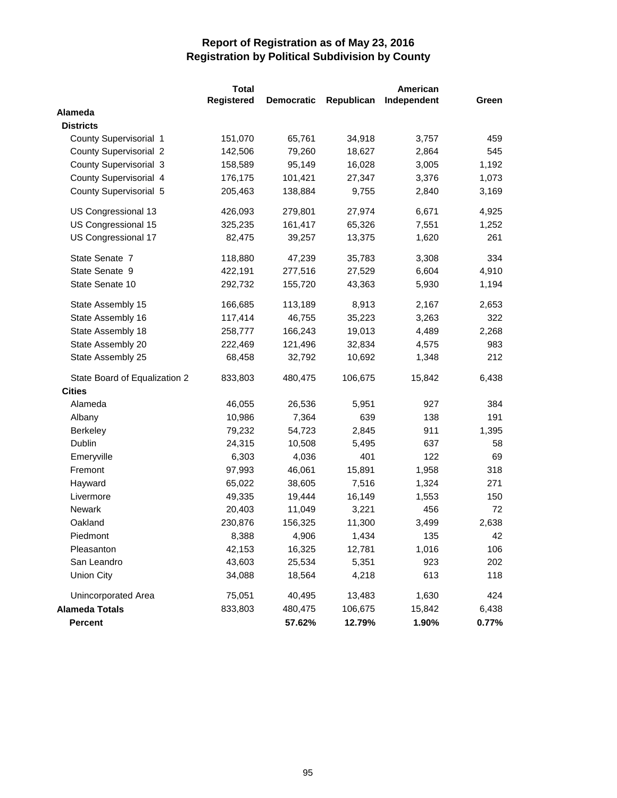|                               | <b>Total</b> |                   |            | American    |       |
|-------------------------------|--------------|-------------------|------------|-------------|-------|
|                               | Registered   | <b>Democratic</b> | Republican | Independent | Green |
| Alameda                       |              |                   |            |             |       |
| <b>Districts</b>              |              |                   |            |             |       |
| County Supervisorial 1        | 151,070      | 65,761            | 34,918     | 3,757       | 459   |
| <b>County Supervisorial 2</b> | 142,506      | 79,260            | 18,627     | 2,864       | 545   |
| <b>County Supervisorial 3</b> | 158,589      | 95,149            | 16,028     | 3,005       | 1,192 |
| County Supervisorial 4        | 176,175      | 101,421           | 27,347     | 3,376       | 1,073 |
| County Supervisorial 5        | 205,463      | 138,884           | 9,755      | 2,840       | 3,169 |
| US Congressional 13           | 426,093      | 279,801           | 27,974     | 6,671       | 4,925 |
| US Congressional 15           | 325,235      | 161,417           | 65,326     | 7,551       | 1,252 |
| US Congressional 17           | 82,475       | 39,257            | 13,375     | 1,620       | 261   |
| State Senate 7                | 118,880      | 47,239            | 35,783     | 3,308       | 334   |
| State Senate 9                | 422,191      | 277,516           | 27,529     | 6,604       | 4,910 |
| State Senate 10               | 292,732      | 155,720           | 43,363     | 5,930       | 1,194 |
| State Assembly 15             | 166,685      | 113,189           | 8,913      | 2,167       | 2,653 |
| State Assembly 16             | 117,414      | 46,755            | 35,223     | 3,263       | 322   |
| State Assembly 18             | 258,777      | 166,243           | 19,013     | 4,489       | 2,268 |
| State Assembly 20             | 222,469      | 121,496           | 32,834     | 4,575       | 983   |
| State Assembly 25             | 68,458       | 32,792            | 10,692     | 1,348       | 212   |
| State Board of Equalization 2 | 833,803      | 480,475           | 106,675    | 15,842      | 6,438 |
| <b>Cities</b>                 |              |                   |            |             |       |
| Alameda                       | 46,055       | 26,536            | 5,951      | 927         | 384   |
| Albany                        | 10,986       | 7,364             | 639        | 138         | 191   |
| Berkeley                      | 79,232       | 54,723            | 2,845      | 911         | 1,395 |
| Dublin                        | 24,315       | 10,508            | 5,495      | 637         | 58    |
| Emeryville                    | 6,303        | 4,036             | 401        | 122         | 69    |
| Fremont                       | 97,993       | 46,061            | 15,891     | 1,958       | 318   |
| Hayward                       | 65,022       | 38,605            | 7,516      | 1,324       | 271   |
| Livermore                     | 49,335       | 19,444            | 16,149     | 1,553       | 150   |
| <b>Newark</b>                 | 20,403       | 11,049            | 3,221      | 456         | 72    |
| Oakland                       | 230,876      | 156,325           | 11,300     | 3,499       | 2,638 |
| Piedmont                      | 8,388        | 4,906             | 1,434      | 135         | 42    |
| Pleasanton                    | 42,153       | 16,325            | 12,781     | 1,016       | 106   |
| San Leandro                   | 43,603       | 25,534            | 5,351      | 923         | 202   |
| <b>Union City</b>             | 34,088       | 18,564            | 4,218      | 613         | 118   |
| Unincorporated Area           | 75,051       | 40,495            | 13,483     | 1,630       | 424   |
| <b>Alameda Totals</b>         | 833,803      | 480,475           | 106,675    | 15,842      | 6,438 |
| <b>Percent</b>                |              | 57.62%            | 12.79%     | 1.90%       | 0.77% |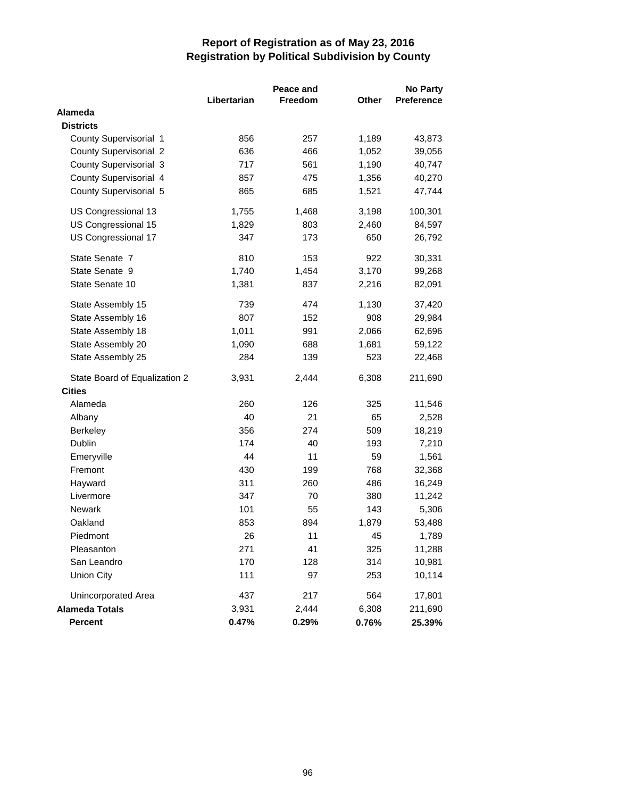|                               |             | Peace and |       | <b>No Party</b> |  |
|-------------------------------|-------------|-----------|-------|-----------------|--|
|                               | Libertarian | Freedom   | Other | Preference      |  |
| Alameda                       |             |           |       |                 |  |
| <b>Districts</b>              |             |           |       |                 |  |
| County Supervisorial 1        | 856         | 257       | 1,189 | 43,873          |  |
| <b>County Supervisorial 2</b> | 636         | 466       | 1,052 | 39,056          |  |
| County Supervisorial 3        | 717         | 561       | 1,190 | 40,747          |  |
| County Supervisorial 4        | 857         | 475       | 1,356 | 40,270          |  |
| County Supervisorial 5        | 865         | 685       | 1,521 | 47,744          |  |
| US Congressional 13           | 1,755       | 1,468     | 3,198 | 100,301         |  |
| US Congressional 15           | 1,829       | 803       | 2,460 | 84,597          |  |
| US Congressional 17           | 347         | 173       | 650   | 26,792          |  |
| State Senate 7                | 810         | 153       | 922   | 30,331          |  |
| State Senate 9                | 1,740       | 1,454     | 3,170 | 99,268          |  |
| State Senate 10               | 1,381       | 837       | 2,216 | 82,091          |  |
| State Assembly 15             | 739         | 474       | 1,130 | 37,420          |  |
| State Assembly 16             | 807         | 152       | 908   | 29,984          |  |
| State Assembly 18             | 1,011       | 991       | 2,066 | 62,696          |  |
| State Assembly 20             | 1,090       | 688       | 1,681 | 59,122          |  |
| State Assembly 25             | 284         | 139       | 523   | 22,468          |  |
| State Board of Equalization 2 | 3,931       | 2,444     | 6,308 | 211,690         |  |
| <b>Cities</b>                 |             |           |       |                 |  |
| Alameda                       | 260         | 126       | 325   | 11,546          |  |
| Albany                        | 40          | 21        | 65    | 2,528           |  |
| <b>Berkeley</b>               | 356         | 274       | 509   | 18,219          |  |
| Dublin                        | 174         | 40        | 193   | 7,210           |  |
| Emeryville                    | 44          | 11        | 59    | 1,561           |  |
| Fremont                       | 430         | 199       | 768   | 32,368          |  |
| Hayward                       | 311         | 260       | 486   | 16,249          |  |
| Livermore                     | 347         | 70        | 380   | 11,242          |  |
| <b>Newark</b>                 | 101         | 55        | 143   | 5,306           |  |
| Oakland                       | 853         | 894       | 1,879 | 53,488          |  |
| Piedmont                      | 26          | 11        | 45    | 1,789           |  |
| Pleasanton                    | 271         | 41        | 325   | 11,288          |  |
| San Leandro                   | 170         | 128       | 314   | 10,981          |  |
| <b>Union City</b>             | 111         | 97        | 253   | 10,114          |  |
| Unincorporated Area           | 437         | 217       | 564   | 17,801          |  |
| <b>Alameda Totals</b>         | 3,931       | 2,444     | 6,308 | 211,690         |  |
| Percent                       | 0.47%       | 0.29%     | 0.76% | 25.39%          |  |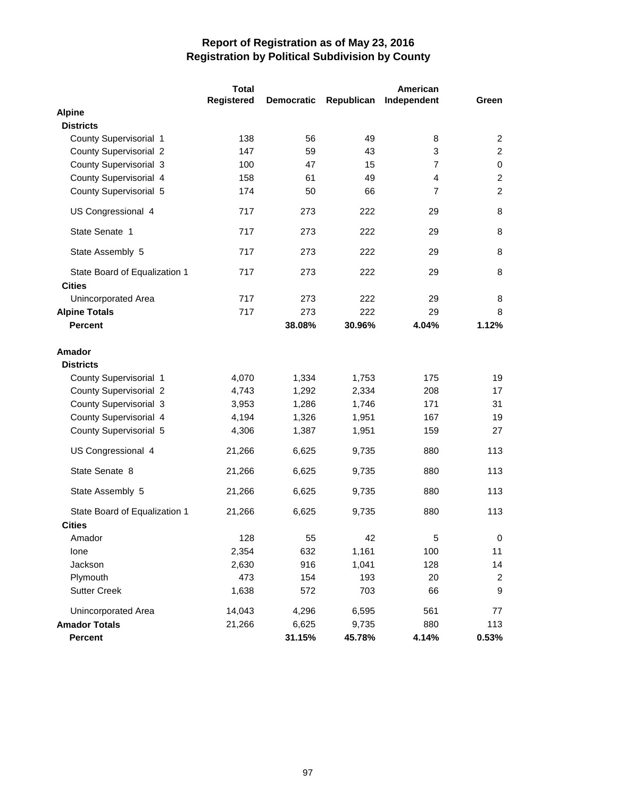|                                                | <b>Total</b> | American          |            |                |                |  |
|------------------------------------------------|--------------|-------------------|------------|----------------|----------------|--|
|                                                | Registered   | <b>Democratic</b> | Republican | Independent    | Green          |  |
| <b>Alpine</b>                                  |              |                   |            |                |                |  |
| <b>Districts</b>                               |              |                   |            |                |                |  |
| County Supervisorial 1                         | 138          | 56                | 49         | 8              | 2              |  |
| <b>County Supervisorial 2</b>                  | 147          | 59                | 43         | 3              | $\overline{c}$ |  |
| County Supervisorial 3                         | 100          | 47                | 15         | $\overline{7}$ | 0              |  |
| County Supervisorial 4                         | 158          | 61                | 49         | $\overline{4}$ | $\overline{c}$ |  |
| County Supervisorial 5                         | 174          | 50                | 66         | $\overline{7}$ | $\overline{c}$ |  |
| US Congressional 4                             | 717          | 273               | 222        | 29             | 8              |  |
| State Senate 1                                 | 717          | 273               | 222        | 29             | 8              |  |
| State Assembly 5                               | 717          | 273               | 222        | 29             | 8              |  |
| State Board of Equalization 1<br><b>Cities</b> | 717          | 273               | 222        | 29             | 8              |  |
| Unincorporated Area                            | 717          | 273               | 222        | 29             | 8              |  |
| <b>Alpine Totals</b>                           | 717          | 273               | 222        | 29             | 8              |  |
| <b>Percent</b>                                 |              | 38.08%            | 30.96%     | 4.04%          | 1.12%          |  |
| Amador<br><b>Districts</b>                     |              |                   |            |                |                |  |
| County Supervisorial 1                         | 4,070        | 1,334             | 1,753      | 175            | 19             |  |
| <b>County Supervisorial 2</b>                  | 4,743        | 1,292             | 2,334      | 208            | 17             |  |
| County Supervisorial 3                         | 3,953        | 1,286             | 1,746      | 171            | 31             |  |
| County Supervisorial 4                         | 4,194        | 1,326             | 1,951      | 167            | 19             |  |
| County Supervisorial 5                         | 4,306        | 1,387             | 1,951      | 159            | 27             |  |
| US Congressional 4                             | 21,266       | 6,625             | 9,735      | 880            | 113            |  |
| State Senate 8                                 | 21,266       | 6,625             | 9,735      | 880            | 113            |  |
| State Assembly 5                               | 21,266       | 6,625             | 9,735      | 880            | 113            |  |
| State Board of Equalization 1                  | 21,266       | 6,625             | 9,735      | 880            | 113            |  |
| <b>Cities</b>                                  |              |                   |            |                |                |  |
| Amador                                         | 128          | 55                | 42         | 5              | 0              |  |
| lone                                           | 2,354        | 632               | 1,161      | 100            | 11             |  |
| Jackson                                        | 2,630        | 916               | 1,041      | 128            | 14             |  |
| Plymouth                                       | 473          | 154               | 193        | 20             | 2              |  |
| <b>Sutter Creek</b>                            | 1,638        | 572               | 703        | 66             | 9              |  |
| Unincorporated Area                            | 14,043       | 4,296             | 6,595      | 561            | 77             |  |
| <b>Amador Totals</b>                           | 21,266       | 6,625             | 9,735      | 880            | 113            |  |
| Percent                                        |              | 31.15%            | 45.78%     | 4.14%          | 0.53%          |  |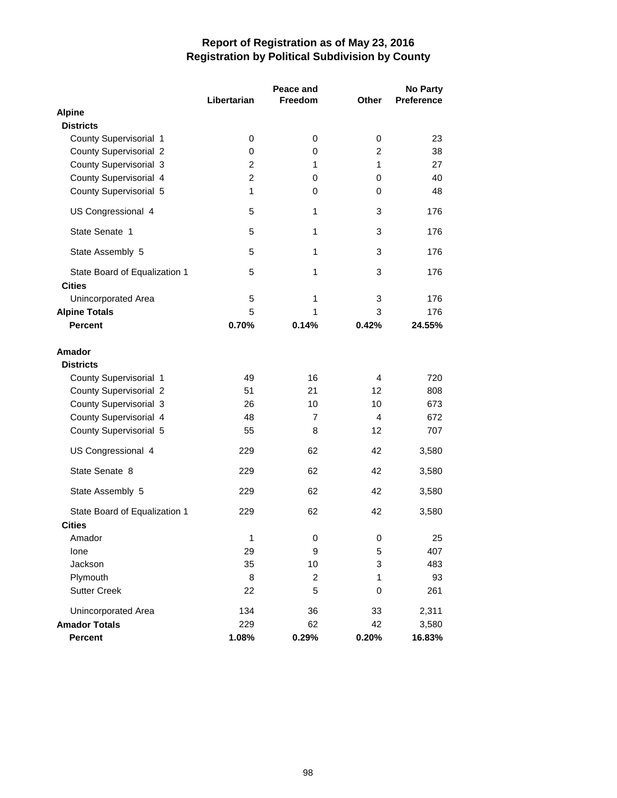|                                                |                | Peace and               |                | <b>No Party</b>   |
|------------------------------------------------|----------------|-------------------------|----------------|-------------------|
|                                                | Libertarian    | Freedom                 | <b>Other</b>   | <b>Preference</b> |
| <b>Alpine</b>                                  |                |                         |                |                   |
| <b>Districts</b>                               |                |                         |                |                   |
| County Supervisorial 1                         | 0              | 0                       | 0              | 23                |
| <b>County Supervisorial 2</b>                  | 0              | 0                       | $\overline{2}$ | 38                |
| County Supervisorial 3                         | $\overline{2}$ | 1                       | 1              | 27                |
| County Supervisorial 4                         | $\overline{c}$ | 0                       | 0              | 40                |
| County Supervisorial 5                         | $\mathbf{1}$   | 0                       | 0              | 48                |
| US Congressional 4                             | 5              | 1                       | 3              | 176               |
| State Senate 1                                 | 5              | 1                       | 3              | 176               |
| State Assembly 5                               | 5              | $\mathbf{1}$            | 3              | 176               |
| State Board of Equalization 1<br><b>Cities</b> | 5              | 1                       | 3              | 176               |
| Unincorporated Area                            | 5              | 1                       | 3              | 176               |
| <b>Alpine Totals</b>                           | 5              | 1                       | 3              | 176               |
| <b>Percent</b>                                 | 0.70%          | 0.14%                   | 0.42%          | 24.55%            |
| <b>Amador</b><br><b>Districts</b>              |                |                         |                |                   |
| County Supervisorial 1                         | 49             | 16                      | 4              | 720               |
| <b>County Supervisorial 2</b>                  | 51             | 21                      | 12             | 808               |
| County Supervisorial 3                         | 26             | 10                      | 10             | 673               |
| County Supervisorial 4                         | 48             | $\overline{7}$          | 4              | 672               |
| County Supervisorial 5                         | 55             | 8                       | 12             | 707               |
| US Congressional 4                             | 229            | 62                      | 42             | 3,580             |
| State Senate 8                                 | 229            | 62                      | 42             | 3,580             |
| State Assembly 5                               | 229            | 62                      | 42             | 3,580             |
| State Board of Equalization 1                  | 229            | 62                      | 42             | 3,580             |
| <b>Cities</b>                                  |                |                         |                |                   |
| Amador                                         | 1              | 0                       | 0              | 25                |
| lone                                           | 29             | 9                       | 5              | 407               |
| Jackson                                        | 35             | 10                      | 3              | 483               |
| Plymouth                                       | 8              | $\overline{\mathbf{c}}$ | 1              | 93                |
| <b>Sutter Creek</b>                            | 22             | 5                       | 0              | 261               |
| Unincorporated Area                            | 134            | 36                      | 33             | 2,311             |
| <b>Amador Totals</b>                           | 229            | 62                      | 42             | 3,580             |
| Percent                                        | 1.08%          | 0.29%                   | 0.20%          | 16.83%            |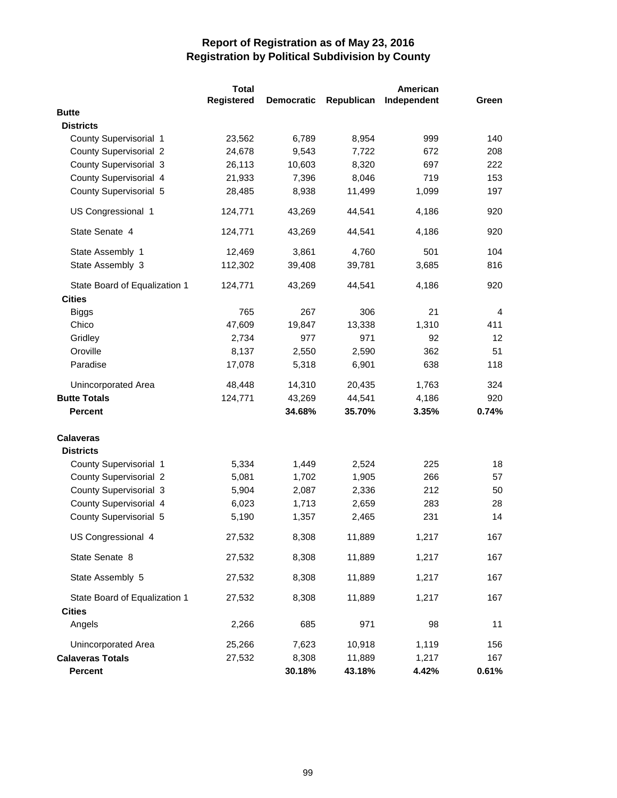|                               | <b>Total</b>      | American          |            |             |       |  |
|-------------------------------|-------------------|-------------------|------------|-------------|-------|--|
|                               | <b>Registered</b> | <b>Democratic</b> | Republican | Independent | Green |  |
| <b>Butte</b>                  |                   |                   |            |             |       |  |
| <b>Districts</b>              |                   |                   |            |             |       |  |
| County Supervisorial 1        | 23,562            | 6,789             | 8,954      | 999         | 140   |  |
| <b>County Supervisorial 2</b> | 24,678            | 9,543             | 7,722      | 672         | 208   |  |
| <b>County Supervisorial 3</b> | 26,113            | 10,603            | 8,320      | 697         | 222   |  |
| County Supervisorial 4        | 21,933            | 7,396             | 8,046      | 719         | 153   |  |
| County Supervisorial 5        | 28,485            | 8,938             | 11,499     | 1,099       | 197   |  |
| US Congressional 1            | 124,771           | 43,269            | 44,541     | 4,186       | 920   |  |
| State Senate 4                | 124,771           | 43,269            | 44,541     | 4,186       | 920   |  |
| State Assembly 1              | 12,469            | 3,861             | 4,760      | 501         | 104   |  |
| State Assembly 3              | 112,302           | 39,408            | 39,781     | 3,685       | 816   |  |
| State Board of Equalization 1 | 124,771           | 43,269            | 44,541     | 4,186       | 920   |  |
| <b>Cities</b>                 |                   |                   |            |             |       |  |
| <b>Biggs</b>                  | 765               | 267               | 306        | 21          | 4     |  |
| Chico                         | 47,609            | 19,847            | 13,338     | 1,310       | 411   |  |
| Gridley                       | 2,734             | 977               | 971        | 92          | 12    |  |
| Oroville                      | 8,137             | 2,550             | 2,590      | 362         | 51    |  |
| Paradise                      | 17,078            | 5,318             | 6,901      | 638         | 118   |  |
| Unincorporated Area           | 48,448            | 14,310            | 20,435     | 1,763       | 324   |  |
| <b>Butte Totals</b>           | 124,771           | 43,269            | 44,541     | 4,186       | 920   |  |
| <b>Percent</b>                |                   | 34.68%            | 35.70%     | 3.35%       | 0.74% |  |
| <b>Calaveras</b>              |                   |                   |            |             |       |  |
| <b>Districts</b>              |                   |                   |            |             |       |  |
| County Supervisorial 1        | 5,334             | 1,449             | 2,524      | 225         | 18    |  |
| <b>County Supervisorial 2</b> | 5,081             | 1,702             | 1,905      | 266         | 57    |  |
| County Supervisorial 3        | 5,904             | 2,087             | 2,336      | 212         | 50    |  |
| County Supervisorial 4        | 6,023             | 1,713             | 2,659      | 283         | 28    |  |
| County Supervisorial 5        | 5,190             | 1,357             | 2,465      | 231         | 14    |  |
| US Congressional 4            | 27,532            | 8,308             | 11,889     | 1,217       | 167   |  |
| State Senate 8                | 27,532            | 8,308             | 11,889     | 1,217       | 167   |  |
| State Assembly 5              | 27,532            | 8,308             | 11,889     | 1,217       | 167   |  |
| State Board of Equalization 1 | 27,532            | 8,308             | 11,889     | 1,217       | 167   |  |
| <b>Cities</b>                 |                   |                   |            |             |       |  |
| Angels                        | 2,266             | 685               | 971        | 98          | 11    |  |
| Unincorporated Area           | 25,266            | 7,623             | 10,918     | 1,119       | 156   |  |
| <b>Calaveras Totals</b>       | 27,532            | 8,308             | 11,889     | 1,217       | 167   |  |
| Percent                       |                   | 30.18%            | 43.18%     | 4.42%       | 0.61% |  |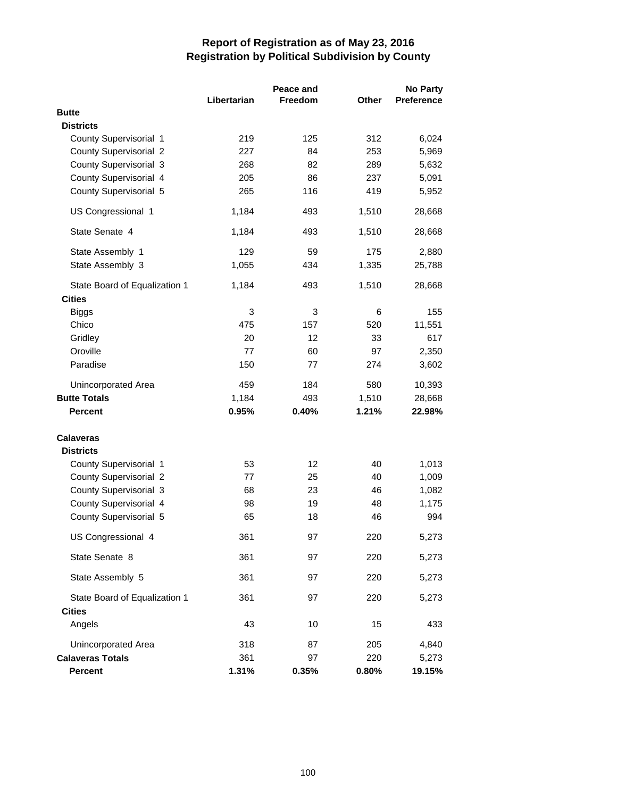|                               |             | Peace and |       | <b>No Party</b>   |  |
|-------------------------------|-------------|-----------|-------|-------------------|--|
|                               | Libertarian | Freedom   | Other | <b>Preference</b> |  |
| <b>Butte</b>                  |             |           |       |                   |  |
| <b>Districts</b>              |             |           |       |                   |  |
| County Supervisorial 1        | 219         | 125       | 312   | 6,024             |  |
| <b>County Supervisorial 2</b> | 227         | 84        | 253   | 5,969             |  |
| County Supervisorial 3        | 268         | 82        | 289   | 5,632             |  |
| County Supervisorial 4        | 205         | 86        | 237   | 5,091             |  |
| County Supervisorial 5        | 265         | 116       | 419   | 5,952             |  |
| US Congressional 1            | 1,184       | 493       | 1,510 | 28,668            |  |
| State Senate 4                | 1,184       | 493       | 1,510 | 28,668            |  |
| State Assembly 1              | 129         | 59        | 175   | 2,880             |  |
| State Assembly 3              | 1,055       | 434       | 1,335 | 25,788            |  |
| State Board of Equalization 1 | 1,184       | 493       | 1,510 | 28,668            |  |
| <b>Cities</b>                 |             |           |       |                   |  |
| <b>Biggs</b>                  | 3           | 3         | 6     | 155               |  |
| Chico                         | 475         | 157       | 520   | 11,551            |  |
| Gridley                       | 20          | 12        | 33    | 617               |  |
| Oroville                      | 77          | 60        | 97    | 2,350             |  |
| Paradise                      | 150         | 77        | 274   | 3,602             |  |
| Unincorporated Area           | 459         | 184       | 580   | 10,393            |  |
| <b>Butte Totals</b>           | 1,184       | 493       | 1,510 | 28,668            |  |
| <b>Percent</b>                | 0.95%       | 0.40%     | 1.21% | 22.98%            |  |
| <b>Calaveras</b>              |             |           |       |                   |  |
| <b>Districts</b>              |             |           |       |                   |  |
| County Supervisorial 1        | 53          | 12        | 40    | 1,013             |  |
| <b>County Supervisorial 2</b> | 77          | 25        | 40    | 1,009             |  |
| County Supervisorial 3        | 68          | 23        | 46    | 1,082             |  |
| County Supervisorial 4        | 98          | 19        | 48    | 1,175             |  |
| County Supervisorial 5        | 65          | 18        | 46    | 994               |  |
| US Congressional 4            | 361         | 97        | 220   | 5,273             |  |
| State Senate 8                | 361         | 97        | 220   | 5,273             |  |
| State Assembly 5              | 361         | 97        | 220   | 5,273             |  |
| State Board of Equalization 1 | 361         | 97        | 220   | 5,273             |  |
| <b>Cities</b>                 |             |           |       |                   |  |
| Angels                        | 43          | 10        | 15    | 433               |  |
| Unincorporated Area           | 318         | 87        | 205   | 4,840             |  |
| <b>Calaveras Totals</b>       | 361         | 97        | 220   | 5,273             |  |
| Percent                       | 1.31%       | 0.35%     | 0.80% | 19.15%            |  |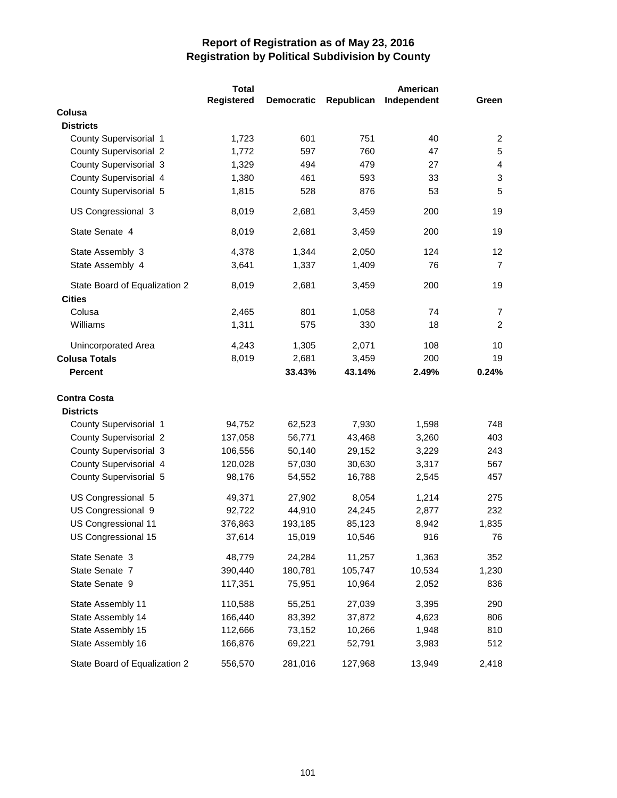|                               | <b>Total</b> | American          |            |             |                |  |
|-------------------------------|--------------|-------------------|------------|-------------|----------------|--|
|                               | Registered   | <b>Democratic</b> | Republican | Independent | Green          |  |
| Colusa                        |              |                   |            |             |                |  |
| <b>Districts</b>              |              |                   |            |             |                |  |
| County Supervisorial 1        | 1,723        | 601               | 751        | 40          | 2              |  |
| <b>County Supervisorial 2</b> | 1,772        | 597               | 760        | 47          | 5              |  |
| County Supervisorial 3        | 1,329        | 494               | 479        | 27          | $\overline{4}$ |  |
| County Supervisorial 4        | 1,380        | 461               | 593        | 33          | 3              |  |
| County Supervisorial 5        | 1,815        | 528               | 876        | 53          | 5              |  |
| US Congressional 3            | 8,019        | 2,681             | 3,459      | 200         | 19             |  |
| State Senate 4                | 8,019        | 2,681             | 3,459      | 200         | 19             |  |
| State Assembly 3              | 4,378        | 1,344             | 2,050      | 124         | 12             |  |
| State Assembly 4              | 3,641        | 1,337             | 1,409      | 76          | 7              |  |
| State Board of Equalization 2 | 8,019        | 2,681             | 3,459      | 200         | 19             |  |
| <b>Cities</b>                 |              |                   |            |             |                |  |
| Colusa                        | 2,465        | 801               | 1,058      | 74          | 7              |  |
| Williams                      | 1,311        | 575               | 330        | 18          | $\overline{c}$ |  |
| Unincorporated Area           | 4,243        | 1,305             | 2,071      | 108         | 10             |  |
| <b>Colusa Totals</b>          | 8,019        | 2,681             | 3,459      | 200         | 19             |  |
| <b>Percent</b>                |              | 33.43%            | 43.14%     | 2.49%       | 0.24%          |  |
| <b>Contra Costa</b>           |              |                   |            |             |                |  |
| <b>Districts</b>              |              |                   |            |             |                |  |
| County Supervisorial 1        | 94,752       | 62,523            | 7,930      | 1,598       | 748            |  |
| <b>County Supervisorial 2</b> | 137,058      | 56,771            | 43,468     | 3,260       | 403            |  |
| County Supervisorial 3        | 106,556      | 50,140            | 29,152     | 3,229       | 243            |  |
| County Supervisorial 4        | 120,028      | 57,030            | 30,630     | 3,317       | 567            |  |
| County Supervisorial 5        | 98,176       | 54,552            | 16,788     | 2,545       | 457            |  |
| US Congressional 5            | 49,371       | 27,902            | 8,054      | 1,214       | 275            |  |
| US Congressional 9            | 92,722       | 44,910            | 24,245     | 2,877       | 232            |  |
| US Congressional 11           | 376,863      | 193,185           | 85,123     | 8,942       | 1,835          |  |
| US Congressional 15           | 37,614       | 15,019            | 10,546     | 916         | 76             |  |
| State Senate 3                | 48,779       | 24,284            | 11,257     | 1,363       | 352            |  |
| State Senate 7                | 390,440      | 180,781           | 105,747    | 10,534      | 1,230          |  |
| State Senate 9                | 117,351      | 75,951            | 10,964     | 2,052       | 836            |  |
| State Assembly 11             | 110,588      | 55,251            | 27,039     | 3,395       | 290            |  |
| State Assembly 14             | 166,440      | 83,392            | 37,872     | 4,623       | 806            |  |
| State Assembly 15             | 112,666      | 73,152            | 10,266     | 1,948       | 810            |  |
| State Assembly 16             | 166,876      | 69,221            | 52,791     | 3,983       | 512            |  |
| State Board of Equalization 2 | 556,570      | 281,016           | 127,968    | 13,949      | 2,418          |  |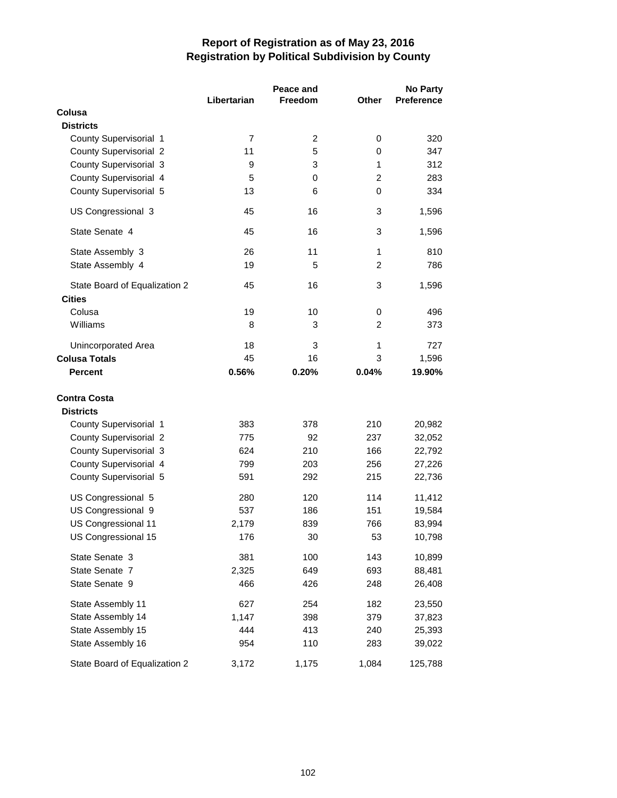|                               |                | Peace and |                | <b>No Party</b>   |  |
|-------------------------------|----------------|-----------|----------------|-------------------|--|
|                               | Libertarian    | Freedom   | <b>Other</b>   | <b>Preference</b> |  |
| Colusa                        |                |           |                |                   |  |
| <b>Districts</b>              |                |           |                |                   |  |
| County Supervisorial 1        | $\overline{7}$ | 2         | 0              | 320               |  |
| <b>County Supervisorial 2</b> | 11             | 5         | 0              | 347               |  |
| <b>County Supervisorial 3</b> | 9              | 3         | 1              | 312               |  |
| County Supervisorial 4        | 5              | 0         | $\overline{c}$ | 283               |  |
| County Supervisorial 5        | 13             | 6         | 0              | 334               |  |
| US Congressional 3            | 45             | 16        | 3              | 1,596             |  |
| State Senate 4                | 45             | 16        | 3              | 1,596             |  |
| State Assembly 3              | 26             | 11        | $\mathbf{1}$   | 810               |  |
| State Assembly 4              | 19             | 5         | 2              | 786               |  |
| State Board of Equalization 2 | 45             | 16        | 3              | 1,596             |  |
| <b>Cities</b>                 |                |           |                |                   |  |
| Colusa                        | 19             | 10        | 0              | 496               |  |
| Williams                      | 8              | 3         | 2              | 373               |  |
| <b>Unincorporated Area</b>    | 18             | 3         | 1              | 727               |  |
| <b>Colusa Totals</b>          | 45             | 16        | 3              | 1,596             |  |
| <b>Percent</b>                | 0.56%          | 0.20%     | 0.04%          | 19.90%            |  |
| <b>Contra Costa</b>           |                |           |                |                   |  |
| <b>Districts</b>              |                |           |                |                   |  |
| County Supervisorial 1        | 383            | 378       | 210            | 20,982            |  |
| <b>County Supervisorial 2</b> | 775            | 92        | 237            | 32,052            |  |
| County Supervisorial 3        | 624            | 210       | 166            | 22,792            |  |
| County Supervisorial 4        | 799            | 203       | 256            | 27,226            |  |
| County Supervisorial 5        | 591            | 292       | 215            | 22,736            |  |
| US Congressional 5            | 280            | 120       | 114            | 11,412            |  |
| US Congressional 9            | 537            | 186       | 151            | 19,584            |  |
| US Congressional 11           | 2,179          | 839       | 766            | 83,994            |  |
| US Congressional 15           | 176            | 30        | 53             | 10,798            |  |
| State Senate 3                | 381            | 100       | 143            | 10,899            |  |
| State Senate 7                | 2,325          | 649       | 693            | 88,481            |  |
| State Senate 9                | 466            | 426       | 248            | 26,408            |  |
| State Assembly 11             | 627            | 254       | 182            | 23,550            |  |
| State Assembly 14             | 1,147          | 398       | 379            | 37,823            |  |
| State Assembly 15             | 444            | 413       | 240            | 25,393            |  |
| State Assembly 16             | 954            | 110       | 283            | 39,022            |  |
| State Board of Equalization 2 | 3,172          | 1,175     | 1,084          | 125,788           |  |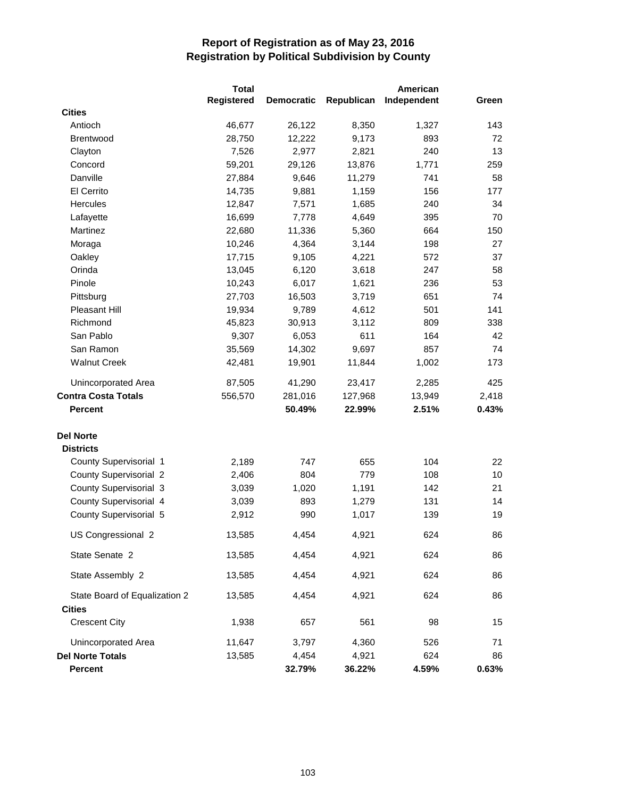|                               | <b>Total</b> |                   |            | American    |       |
|-------------------------------|--------------|-------------------|------------|-------------|-------|
|                               | Registered   | <b>Democratic</b> | Republican | Independent | Green |
| <b>Cities</b>                 |              |                   |            |             |       |
| Antioch                       | 46,677       | 26,122            | 8,350      | 1,327       | 143   |
| Brentwood                     | 28,750       | 12,222            | 9,173      | 893         | 72    |
| Clayton                       | 7,526        | 2,977             | 2,821      | 240         | 13    |
| Concord                       | 59,201       | 29,126            | 13,876     | 1,771       | 259   |
| Danville                      | 27,884       | 9,646             | 11,279     | 741         | 58    |
| El Cerrito                    | 14,735       | 9,881             | 1,159      | 156         | 177   |
| Hercules                      | 12,847       | 7,571             | 1,685      | 240         | 34    |
| Lafayette                     | 16,699       | 7,778             | 4,649      | 395         | 70    |
| Martinez                      | 22,680       | 11,336            | 5,360      | 664         | 150   |
| Moraga                        | 10,246       | 4,364             | 3,144      | 198         | 27    |
| Oakley                        | 17,715       | 9,105             | 4,221      | 572         | 37    |
| Orinda                        | 13,045       | 6,120             | 3,618      | 247         | 58    |
| Pinole                        | 10,243       | 6,017             | 1,621      | 236         | 53    |
| Pittsburg                     | 27,703       | 16,503            | 3,719      | 651         | 74    |
| <b>Pleasant Hill</b>          | 19,934       | 9,789             | 4,612      | 501         | 141   |
| Richmond                      | 45,823       | 30,913            | 3,112      | 809         | 338   |
| San Pablo                     | 9,307        | 6,053             | 611        | 164         | 42    |
| San Ramon                     | 35,569       | 14,302            | 9,697      | 857         | 74    |
| <b>Walnut Creek</b>           | 42,481       | 19,901            | 11,844     | 1,002       | 173   |
| Unincorporated Area           | 87,505       | 41,290            | 23,417     | 2,285       | 425   |
| <b>Contra Costa Totals</b>    | 556,570      | 281,016           | 127,968    | 13,949      | 2,418 |
| <b>Percent</b>                |              | 50.49%            | 22.99%     | 2.51%       | 0.43% |
| <b>Del Norte</b>              |              |                   |            |             |       |
| <b>Districts</b>              |              |                   |            |             |       |
| County Supervisorial 1        | 2,189        | 747               | 655        | 104         | 22    |
| <b>County Supervisorial 2</b> | 2,406        | 804               | 779        | 108         | 10    |
| <b>County Supervisorial 3</b> | 3,039        | 1,020             | 1,191      | 142         | 21    |
| County Supervisorial 4        | 3,039        | 893               | 1,279      | 131         | 14    |
| County Supervisorial 5        | 2,912        | 990               | 1,017      | 139         | 19    |
| US Congressional 2            | 13,585       | 4,454             | 4,921      | 624         | 86    |
| State Senate 2                | 13,585       | 4,454             | 4,921      | 624         | 86    |
| State Assembly 2              | 13,585       | 4,454             | 4,921      | 624         | 86    |
| State Board of Equalization 2 | 13,585       | 4,454             | 4,921      | 624         | 86    |
| <b>Cities</b>                 |              |                   |            |             |       |
| <b>Crescent City</b>          | 1,938        | 657               | 561        | 98          | 15    |
| Unincorporated Area           | 11,647       | 3,797             | 4,360      | 526         | 71    |
| <b>Del Norte Totals</b>       | 13,585       | 4,454             | 4,921      | 624         | 86    |
| <b>Percent</b>                |              | 32.79%            | 36.22%     | 4.59%       | 0.63% |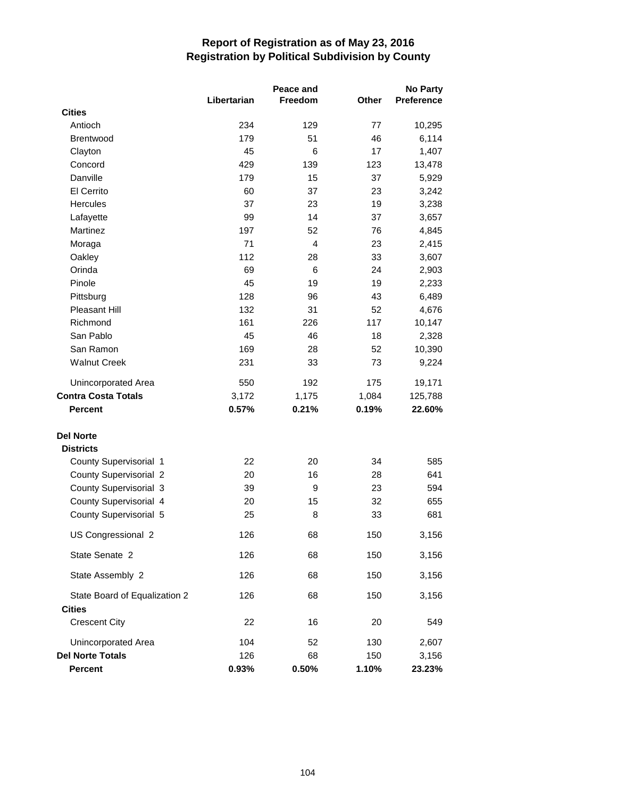|                               |             | Peace and      |       | <b>No Party</b>   |  |
|-------------------------------|-------------|----------------|-------|-------------------|--|
|                               | Libertarian | Freedom        | Other | <b>Preference</b> |  |
| <b>Cities</b>                 |             |                |       |                   |  |
| Antioch                       | 234         | 129            | 77    | 10,295            |  |
| Brentwood                     | 179         | 51             | 46    | 6,114             |  |
| Clayton                       | 45          | 6              | 17    | 1,407             |  |
| Concord                       | 429         | 139            | 123   | 13,478            |  |
| Danville                      | 179         | 15             | 37    | 5,929             |  |
| El Cerrito                    | 60          | 37             | 23    | 3,242             |  |
| Hercules                      | 37          | 23             | 19    | 3,238             |  |
| Lafayette                     | 99          | 14             | 37    | 3,657             |  |
| Martinez                      | 197         | 52             | 76    | 4,845             |  |
| Moraga                        | 71          | $\overline{4}$ | 23    | 2,415             |  |
| Oakley                        | 112         | 28             | 33    | 3,607             |  |
| Orinda                        | 69          | 6              | 24    | 2,903             |  |
| Pinole                        | 45          | 19             | 19    | 2,233             |  |
| Pittsburg                     | 128         | 96             | 43    | 6,489             |  |
| Pleasant Hill                 | 132         | 31             | 52    | 4,676             |  |
| Richmond                      | 161         | 226            | 117   | 10,147            |  |
| San Pablo                     | 45          | 46             | 18    | 2,328             |  |
| San Ramon                     | 169         | 28             | 52    | 10,390            |  |
| <b>Walnut Creek</b>           | 231         | 33             | 73    | 9,224             |  |
| Unincorporated Area           | 550         | 192            | 175   | 19,171            |  |
| <b>Contra Costa Totals</b>    | 3,172       | 1,175          | 1,084 | 125,788           |  |
| <b>Percent</b>                | 0.57%       | 0.21%          | 0.19% | 22.60%            |  |
| <b>Del Norte</b>              |             |                |       |                   |  |
| <b>Districts</b>              |             |                |       |                   |  |
| County Supervisorial 1        | 22          | 20             | 34    | 585               |  |
| <b>County Supervisorial 2</b> | 20          | 16             | 28    | 641               |  |
| County Supervisorial 3        | 39          | 9              | 23    | 594               |  |
| County Supervisorial 4        | 20          | 15             | 32    | 655               |  |
| County Supervisorial 5        | 25          | 8              | 33    | 681               |  |
| US Congressional 2            | 126         | 68             | 150   | 3,156             |  |
| State Senate 2                | 126         | 68             | 150   | 3,156             |  |
| State Assembly 2              | 126         | 68             | 150   | 3,156             |  |
| State Board of Equalization 2 | 126         | 68             | 150   | 3,156             |  |
| <b>Cities</b>                 |             |                |       |                   |  |
| <b>Crescent City</b>          | 22          | 16             | 20    | 549               |  |
| Unincorporated Area           | 104         | 52             | 130   | 2,607             |  |
| <b>Del Norte Totals</b>       | 126         | 68             | 150   | 3,156             |  |
| Percent                       | 0.93%       | 0.50%          | 1.10% | 23.23%            |  |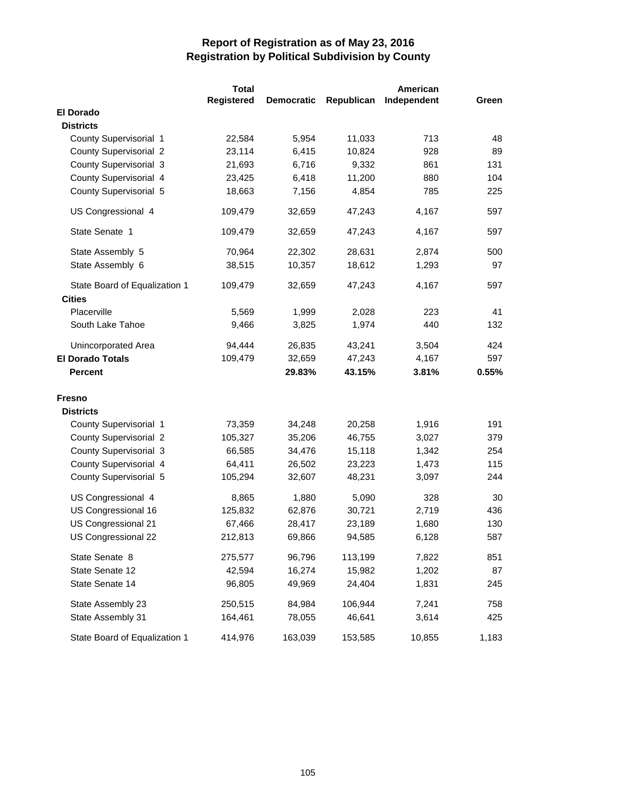|                               | <b>Total</b>      |                   |            | American    |       |
|-------------------------------|-------------------|-------------------|------------|-------------|-------|
|                               | <b>Registered</b> | <b>Democratic</b> | Republican | Independent | Green |
| <b>El Dorado</b>              |                   |                   |            |             |       |
| <b>Districts</b>              |                   |                   |            |             |       |
| County Supervisorial 1        | 22,584            | 5,954             | 11,033     | 713         | 48    |
| <b>County Supervisorial 2</b> | 23,114            | 6,415             | 10,824     | 928         | 89    |
| County Supervisorial 3        | 21,693            | 6,716             | 9,332      | 861         | 131   |
| County Supervisorial 4        | 23,425            | 6,418             | 11,200     | 880         | 104   |
| County Supervisorial 5        | 18,663            | 7,156             | 4,854      | 785         | 225   |
| US Congressional 4            | 109,479           | 32,659            | 47,243     | 4,167       | 597   |
| State Senate 1                | 109,479           | 32,659            | 47,243     | 4,167       | 597   |
| State Assembly 5              | 70,964            | 22,302            | 28,631     | 2,874       | 500   |
| State Assembly 6              | 38,515            | 10,357            | 18,612     | 1,293       | 97    |
| State Board of Equalization 1 | 109,479           | 32,659            | 47,243     | 4,167       | 597   |
| <b>Cities</b>                 |                   |                   |            |             |       |
| Placerville                   | 5,569             | 1,999             | 2,028      | 223         | 41    |
| South Lake Tahoe              | 9,466             | 3,825             | 1,974      | 440         | 132   |
| Unincorporated Area           | 94,444            | 26,835            | 43,241     | 3,504       | 424   |
| <b>El Dorado Totals</b>       | 109,479           | 32,659            | 47,243     | 4,167       | 597   |
| <b>Percent</b>                |                   | 29.83%            | 43.15%     | 3.81%       | 0.55% |
| <b>Fresno</b>                 |                   |                   |            |             |       |
| <b>Districts</b>              |                   |                   |            |             |       |
| County Supervisorial 1        | 73,359            | 34,248            | 20,258     | 1,916       | 191   |
| County Supervisorial 2        | 105,327           | 35,206            | 46,755     | 3,027       | 379   |
| County Supervisorial 3        | 66,585            | 34,476            | 15,118     | 1,342       | 254   |
| County Supervisorial 4        | 64,411            | 26,502            | 23,223     | 1,473       | 115   |
| County Supervisorial 5        | 105,294           | 32,607            | 48,231     | 3,097       | 244   |
| US Congressional 4            | 8,865             | 1,880             | 5,090      | 328         | 30    |
| US Congressional 16           | 125,832           | 62,876            | 30,721     | 2,719       | 436   |
| US Congressional 21           | 67,466            | 28,417            | 23,189     | 1,680       | 130   |
| US Congressional 22           | 212,813           | 69,866            | 94,585     | 6,128       | 587   |
| State Senate 8                | 275,577           | 96,796            | 113,199    | 7,822       | 851   |
| State Senate 12               | 42,594            | 16,274            | 15,982     | 1,202       | 87    |
| State Senate 14               | 96,805            | 49,969            | 24,404     | 1,831       | 245   |
| State Assembly 23             | 250,515           | 84,984            | 106,944    | 7,241       | 758   |
| State Assembly 31             | 164,461           | 78,055            | 46,641     | 3,614       | 425   |
| State Board of Equalization 1 | 414,976           | 163,039           | 153,585    | 10,855      | 1,183 |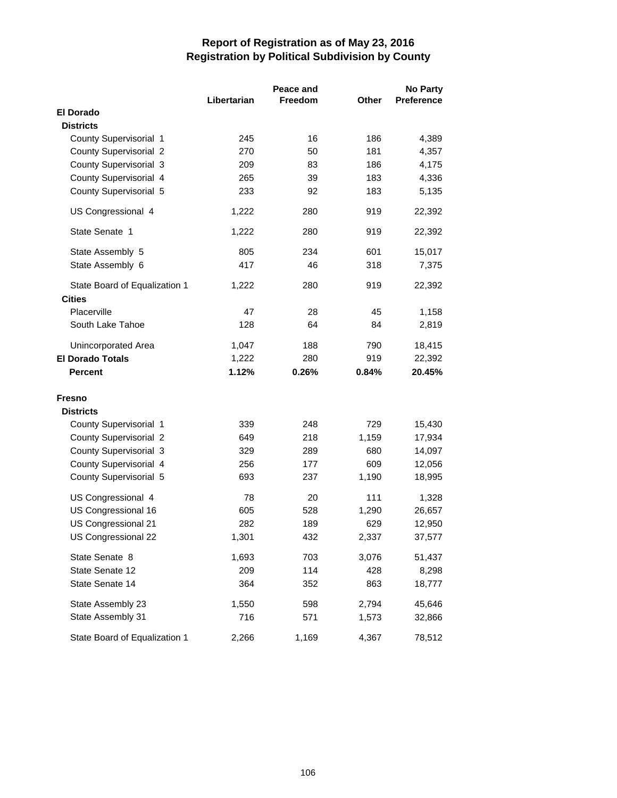|                                                |             | Peace and |       | <b>No Party</b> |  |
|------------------------------------------------|-------------|-----------|-------|-----------------|--|
|                                                | Libertarian | Freedom   | Other | Preference      |  |
| <b>El Dorado</b>                               |             |           |       |                 |  |
| <b>Districts</b>                               |             |           |       |                 |  |
| County Supervisorial 1                         | 245         | 16        | 186   | 4,389           |  |
| <b>County Supervisorial 2</b>                  | 270         | 50        | 181   | 4,357           |  |
| County Supervisorial 3                         | 209         | 83        | 186   | 4,175           |  |
| County Supervisorial 4                         | 265         | 39        | 183   | 4,336           |  |
| County Supervisorial 5                         | 233         | 92        | 183   | 5,135           |  |
| US Congressional 4                             | 1,222       | 280       | 919   | 22,392          |  |
| State Senate 1                                 | 1,222       | 280       | 919   | 22,392          |  |
| State Assembly 5                               | 805         | 234       | 601   | 15,017          |  |
| State Assembly 6                               | 417         | 46        | 318   | 7,375           |  |
|                                                |             |           |       |                 |  |
| State Board of Equalization 1<br><b>Cities</b> | 1,222       | 280       | 919   | 22,392          |  |
| Placerville                                    | 47          | 28        | 45    | 1,158           |  |
| South Lake Tahoe                               | 128         | 64        | 84    | 2,819           |  |
|                                                |             |           |       |                 |  |
| Unincorporated Area                            | 1,047       | 188       | 790   | 18,415          |  |
| <b>El Dorado Totals</b>                        | 1,222       | 280       | 919   | 22,392          |  |
| <b>Percent</b>                                 | 1.12%       | 0.26%     | 0.84% | 20.45%          |  |
|                                                |             |           |       |                 |  |
| <b>Fresno</b><br><b>Districts</b>              |             |           |       |                 |  |
| County Supervisorial 1                         | 339         | 248       | 729   | 15,430          |  |
| <b>County Supervisorial 2</b>                  | 649         | 218       | 1,159 | 17,934          |  |
| County Supervisorial 3                         | 329         | 289       | 680   | 14,097          |  |
| County Supervisorial 4                         | 256         | 177       | 609   | 12,056          |  |
| County Supervisorial 5                         | 693         | 237       | 1,190 | 18,995          |  |
|                                                |             |           |       |                 |  |
| US Congressional 4                             | 78          | 20        | 111   | 1,328           |  |
| US Congressional 16                            | 605         | 528       | 1,290 | 26,657          |  |
| US Congressional 21                            | 282         | 189       | 629   | 12,950          |  |
| US Congressional 22                            | 1,301       | 432       | 2,337 | 37,577          |  |
| State Senate 8                                 | 1,693       | 703       | 3,076 | 51,437          |  |
| State Senate 12                                | 209         | 114       | 428   | 8,298           |  |
| State Senate 14                                | 364         | 352       | 863   | 18,777          |  |
| State Assembly 23                              | 1,550       | 598       | 2,794 | 45,646          |  |
| State Assembly 31                              | 716         | 571       | 1,573 | 32,866          |  |
| State Board of Equalization 1                  | 2,266       | 1,169     | 4,367 | 78,512          |  |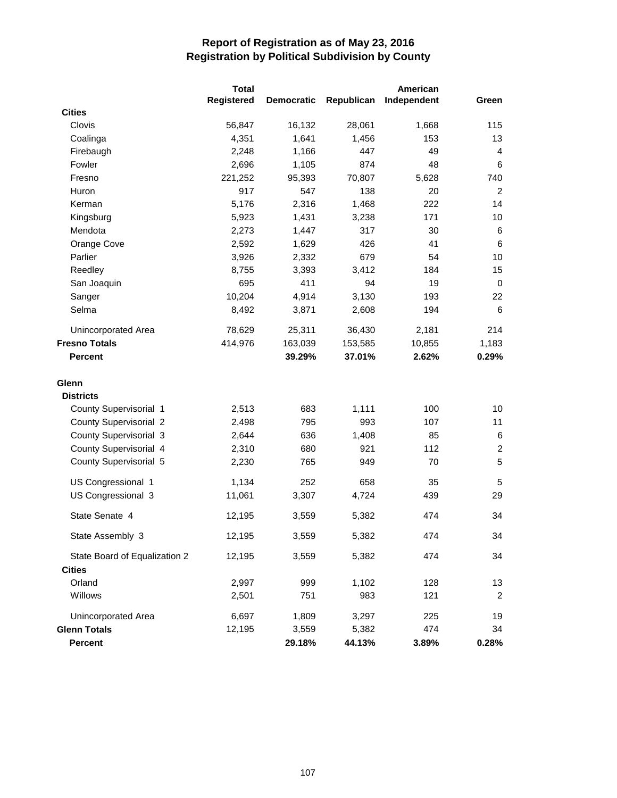|                               | <b>Total</b> |                   |            | American    |                |
|-------------------------------|--------------|-------------------|------------|-------------|----------------|
|                               | Registered   | <b>Democratic</b> | Republican | Independent | Green          |
| <b>Cities</b>                 |              |                   |            |             |                |
| Clovis                        | 56,847       | 16,132            | 28,061     | 1,668       | 115            |
| Coalinga                      | 4,351        | 1,641             | 1,456      | 153         | 13             |
| Firebaugh                     | 2,248        | 1,166             | 447        | 49          | 4              |
| Fowler                        | 2,696        | 1,105             | 874        | 48          | 6              |
| Fresno                        | 221,252      | 95,393            | 70,807     | 5,628       | 740            |
| Huron                         | 917          | 547               | 138        | 20          | $\overline{c}$ |
| Kerman                        | 5,176        | 2,316             | 1,468      | 222         | 14             |
| Kingsburg                     | 5,923        | 1,431             | 3,238      | 171         | 10             |
| Mendota                       | 2,273        | 1,447             | 317        | 30          | 6              |
| Orange Cove                   | 2,592        | 1,629             | 426        | 41          | 6              |
| Parlier                       | 3,926        | 2,332             | 679        | 54          | 10             |
| Reedley                       | 8,755        | 3,393             | 3,412      | 184         | 15             |
| San Joaquin                   | 695          | 411               | 94         | 19          | 0              |
| Sanger                        | 10,204       | 4,914             | 3,130      | 193         | 22             |
| Selma                         | 8,492        | 3,871             | 2,608      | 194         | 6              |
| <b>Unincorporated Area</b>    | 78,629       | 25,311            | 36,430     | 2,181       | 214            |
| <b>Fresno Totals</b>          | 414,976      | 163,039           | 153,585    | 10,855      | 1,183          |
| <b>Percent</b>                |              | 39.29%            | 37.01%     | 2.62%       | 0.29%          |
| Glenn                         |              |                   |            |             |                |
| <b>Districts</b>              |              |                   |            |             |                |
| County Supervisorial 1        | 2,513        | 683               | 1,111      | 100         | 10             |
| County Supervisorial 2        | 2,498        | 795               | 993        | 107         | 11             |
| County Supervisorial 3        | 2,644        | 636               | 1,408      | 85          | 6              |
| County Supervisorial 4        | 2,310        | 680               | 921        | 112         | $\overline{c}$ |
| County Supervisorial 5        | 2,230        | 765               | 949        | 70          | 5              |
| US Congressional 1            | 1,134        | 252               | 658        | 35          | 5              |
| US Congressional 3            | 11,061       | 3,307             | 4,724      | 439         | 29             |
| State Senate 4                | 12,195       | 3,559             | 5,382      | 474         | 34             |
| State Assembly 3              | 12,195       | 3,559             | 5,382      | 474         | 34             |
| State Board of Equalization 2 | 12,195       | 3,559             | 5,382      | 474         | 34             |
| <b>Cities</b>                 |              |                   |            |             |                |
| Orland                        | 2,997        | 999               | 1,102      | 128         | 13             |
| Willows                       | 2,501        | 751               | 983        | 121         | $\overline{c}$ |
| <b>Unincorporated Area</b>    | 6,697        | 1,809             | 3,297      | 225         | 19             |
| <b>Glenn Totals</b>           | 12,195       | 3,559             | 5,382      | 474         | 34             |
| Percent                       |              | 29.18%            | 44.13%     | 3.89%       | 0.28%          |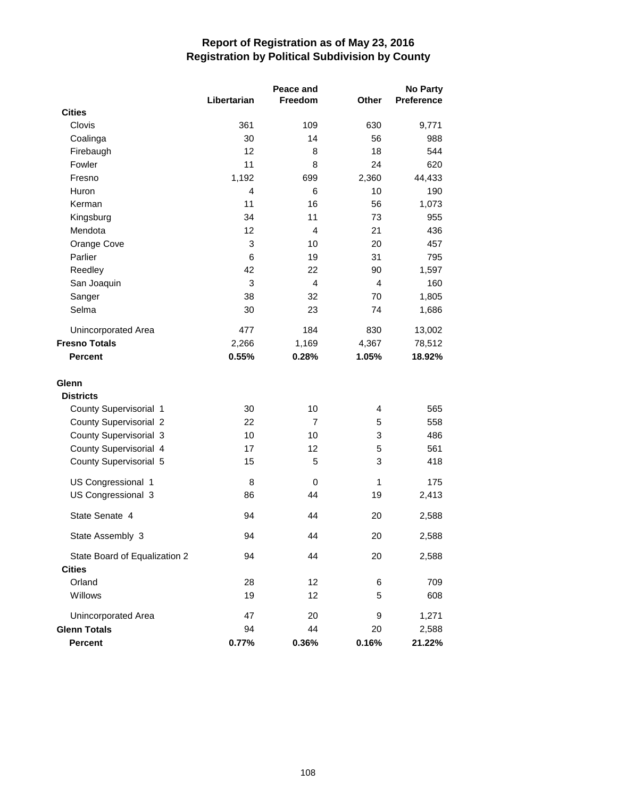|                               |             | Peace and      |       | <b>No Party</b> |
|-------------------------------|-------------|----------------|-------|-----------------|
|                               | Libertarian | Freedom        | Other | Preference      |
| <b>Cities</b>                 |             |                |       |                 |
| Clovis                        | 361         | 109            | 630   | 9,771           |
| Coalinga                      | 30          | 14             | 56    | 988             |
| Firebaugh                     | 12          | 8              | 18    | 544             |
| Fowler                        | 11          | 8              | 24    | 620             |
| Fresno                        | 1,192       | 699            | 2,360 | 44,433          |
| Huron                         | 4           | 6              | 10    | 190             |
| Kerman                        | 11          | 16             | 56    | 1,073           |
| Kingsburg                     | 34          | 11             | 73    | 955             |
| Mendota                       | 12          | $\overline{4}$ | 21    | 436             |
| Orange Cove                   | 3           | 10             | 20    | 457             |
| Parlier                       | 6           | 19             | 31    | 795             |
| Reedley                       | 42          | 22             | 90    | 1,597           |
| San Joaquin                   | 3           | $\overline{4}$ | 4     | 160             |
| Sanger                        | 38          | 32             | 70    | 1,805           |
| Selma                         | 30          | 23             | 74    | 1,686           |
| Unincorporated Area           | 477         | 184            | 830   | 13,002          |
| <b>Fresno Totals</b>          | 2,266       | 1,169          | 4,367 | 78,512          |
| <b>Percent</b>                | 0.55%       | 0.28%          | 1.05% | 18.92%          |
| Glenn                         |             |                |       |                 |
| <b>Districts</b>              |             |                |       |                 |
| County Supervisorial 1        | 30          | 10             | 4     | 565             |
| <b>County Supervisorial 2</b> | 22          | $\overline{7}$ | 5     | 558             |
| County Supervisorial 3        | 10          | 10             | 3     | 486             |
| County Supervisorial 4        | 17          | 12             | 5     | 561             |
| County Supervisorial 5        | 15          | 5              | 3     | 418             |
| US Congressional 1            | 8           | 0              | 1     | 175             |
| US Congressional 3            | 86          | 44             | 19    | 2,413           |
| State Senate 4                | 94          | 44             | 20    | 2,588           |
| State Assembly 3              | 94          | 44             | 20    | 2,588           |
| State Board of Equalization 2 | 94          | 44             | 20    | 2,588           |
| <b>Cities</b>                 |             |                |       |                 |
| Orland                        | 28          | 12             | 6     | 709             |
| Willows                       | 19          | 12             | 5     | 608             |
| Unincorporated Area           | 47          | 20             | 9     | 1,271           |
| <b>Glenn Totals</b>           | 94          | 44             | 20    | 2,588           |
| Percent                       | 0.77%       | 0.36%          | 0.16% | 21.22%          |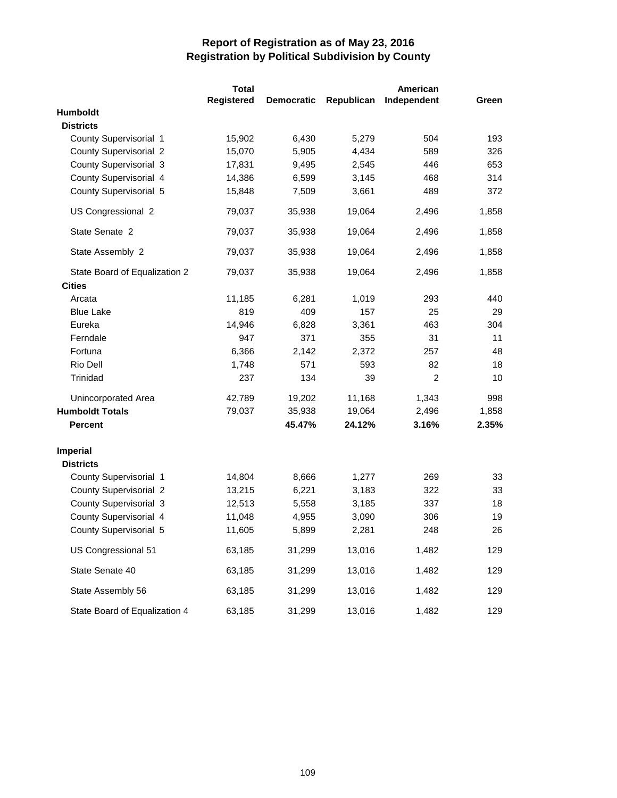|                               | <b>Total</b> |                   |            | American       |       |
|-------------------------------|--------------|-------------------|------------|----------------|-------|
|                               | Registered   | <b>Democratic</b> | Republican | Independent    | Green |
| Humboldt                      |              |                   |            |                |       |
| <b>Districts</b>              |              |                   |            |                |       |
| County Supervisorial 1        | 15,902       | 6,430             | 5,279      | 504            | 193   |
| <b>County Supervisorial 2</b> | 15,070       | 5,905             | 4,434      | 589            | 326   |
| <b>County Supervisorial 3</b> | 17,831       | 9,495             | 2,545      | 446            | 653   |
| County Supervisorial 4        | 14,386       | 6,599             | 3,145      | 468            | 314   |
| County Supervisorial 5        | 15,848       | 7,509             | 3,661      | 489            | 372   |
| US Congressional 2            | 79,037       | 35,938            | 19,064     | 2,496          | 1,858 |
| State Senate 2                | 79,037       | 35,938            | 19,064     | 2,496          | 1,858 |
| State Assembly 2              | 79,037       | 35,938            | 19,064     | 2,496          | 1,858 |
| State Board of Equalization 2 | 79,037       | 35,938            | 19,064     | 2,496          | 1,858 |
| <b>Cities</b>                 |              |                   |            |                |       |
| Arcata                        | 11,185       | 6,281             | 1,019      | 293            | 440   |
| <b>Blue Lake</b>              | 819          | 409               | 157        | 25             | 29    |
| Eureka                        | 14,946       | 6,828             | 3,361      | 463            | 304   |
| Ferndale                      | 947          | 371               | 355        | 31             | 11    |
| Fortuna                       | 6,366        | 2,142             | 2,372      | 257            | 48    |
| Rio Dell                      | 1,748        | 571               | 593        | 82             | 18    |
| Trinidad                      | 237          | 134               | 39         | $\overline{2}$ | 10    |
| Unincorporated Area           | 42,789       | 19,202            | 11,168     | 1,343          | 998   |
| <b>Humboldt Totals</b>        | 79,037       | 35,938            | 19,064     | 2,496          | 1,858 |
| <b>Percent</b>                |              | 45.47%            | 24.12%     | 3.16%          | 2.35% |
| <b>Imperial</b>               |              |                   |            |                |       |
| <b>Districts</b>              |              |                   |            |                |       |
| County Supervisorial 1        | 14,804       | 8,666             | 1,277      | 269            | 33    |
| County Supervisorial 2        | 13,215       | 6,221             | 3,183      | 322            | 33    |
| County Supervisorial 3        | 12,513       | 5,558             | 3,185      | 337            | 18    |
| County Supervisorial 4        | 11,048       | 4,955             | 3,090      | 306            | 19    |
| County Supervisorial 5        | 11,605       | 5,899             | 2,281      | 248            | 26    |
| US Congressional 51           | 63,185       | 31,299            | 13,016     | 1,482          | 129   |
| State Senate 40               | 63,185       | 31,299            | 13,016     | 1,482          | 129   |
| State Assembly 56             | 63,185       | 31,299            | 13,016     | 1,482          | 129   |
| State Board of Equalization 4 | 63,185       | 31,299            | 13,016     | 1,482          | 129   |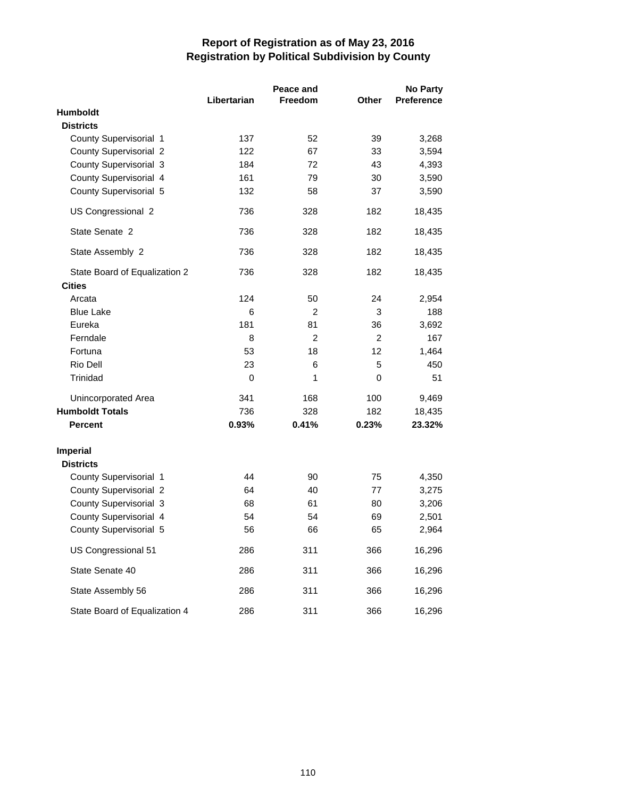|                               |             | Peace and      |                | <b>No Party</b> |  |
|-------------------------------|-------------|----------------|----------------|-----------------|--|
|                               | Libertarian | Freedom        | Other          | Preference      |  |
| Humboldt                      |             |                |                |                 |  |
| <b>Districts</b>              |             |                |                |                 |  |
| County Supervisorial 1        | 137         | 52             | 39             | 3,268           |  |
| <b>County Supervisorial 2</b> | 122         | 67             | 33             | 3,594           |  |
| County Supervisorial 3        | 184         | 72             | 43             | 4,393           |  |
| County Supervisorial 4        | 161         | 79             | 30             | 3,590           |  |
| County Supervisorial 5        | 132         | 58             | 37             | 3,590           |  |
| US Congressional 2            | 736         | 328            | 182            | 18,435          |  |
| State Senate 2                | 736         | 328            | 182            | 18,435          |  |
| State Assembly 2              | 736         | 328            | 182            | 18,435          |  |
| State Board of Equalization 2 | 736         | 328            | 182            | 18,435          |  |
| <b>Cities</b>                 |             |                |                |                 |  |
| Arcata                        | 124         | 50             | 24             | 2,954           |  |
| <b>Blue Lake</b>              | 6           | $\overline{2}$ | 3              | 188             |  |
| Eureka                        | 181         | 81             | 36             | 3,692           |  |
| Ferndale                      | 8           | $\overline{2}$ | $\overline{2}$ | 167             |  |
| Fortuna                       | 53          | 18             | 12             | 1,464           |  |
| Rio Dell                      | 23          | 6              | 5              | 450             |  |
| Trinidad                      | $\mathbf 0$ | 1              | 0              | 51              |  |
| Unincorporated Area           | 341         | 168            | 100            | 9,469           |  |
| <b>Humboldt Totals</b>        | 736         | 328            | 182            | 18,435          |  |
| Percent                       | 0.93%       | 0.41%          | 0.23%          | 23.32%          |  |
| <b>Imperial</b>               |             |                |                |                 |  |
| <b>Districts</b>              |             |                |                |                 |  |
| County Supervisorial 1        | 44          | 90             | 75             | 4,350           |  |
| <b>County Supervisorial 2</b> | 64          | 40             | 77             | 3,275           |  |
| County Supervisorial 3        | 68          | 61             | 80             | 3,206           |  |
| County Supervisorial 4        | 54          | 54             | 69             | 2,501           |  |
| County Supervisorial 5        | 56          | 66             | 65             | 2,964           |  |
| US Congressional 51           | 286         | 311            | 366            | 16,296          |  |
| State Senate 40               | 286         | 311            | 366            | 16,296          |  |
| State Assembly 56             | 286         | 311            | 366            | 16,296          |  |
| State Board of Equalization 4 | 286         | 311            | 366            | 16,296          |  |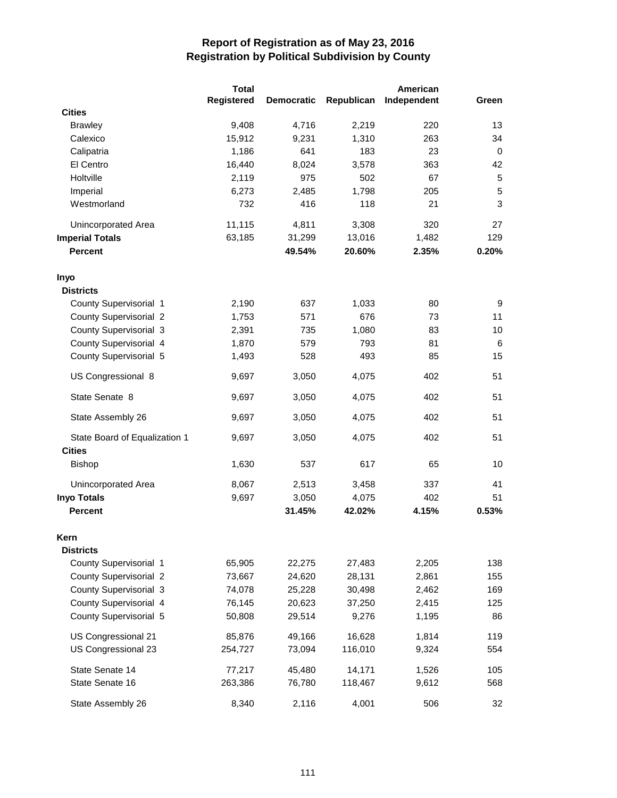|                               | <b>Total</b> |                   |            | American    |             |  |
|-------------------------------|--------------|-------------------|------------|-------------|-------------|--|
|                               | Registered   | <b>Democratic</b> | Republican | Independent | Green       |  |
| <b>Cities</b>                 |              |                   |            |             |             |  |
| <b>Brawley</b>                | 9,408        | 4,716             | 2,219      | 220         | 13          |  |
| Calexico                      | 15,912       | 9,231             | 1,310      | 263         | 34          |  |
| Calipatria                    | 1,186        | 641               | 183        | 23          | 0           |  |
| El Centro                     | 16,440       | 8,024             | 3,578      | 363         | 42          |  |
| Holtville                     | 2,119        | 975               | 502        | 67          | $\mathbf 5$ |  |
| Imperial                      | 6,273        | 2,485             | 1,798      | 205         | 5           |  |
| Westmorland                   | 732          | 416               | 118        | 21          | 3           |  |
| Unincorporated Area           | 11,115       | 4,811             | 3,308      | 320         | 27          |  |
| <b>Imperial Totals</b>        | 63,185       | 31,299            | 13,016     | 1,482       | 129         |  |
| <b>Percent</b>                |              | 49.54%            | 20.60%     | 2.35%       | 0.20%       |  |
| Inyo                          |              |                   |            |             |             |  |
| <b>Districts</b>              |              |                   |            |             |             |  |
| County Supervisorial 1        | 2,190        | 637               | 1,033      | 80          | 9           |  |
| <b>County Supervisorial 2</b> | 1,753        | 571               | 676        | 73          | 11          |  |
| County Supervisorial 3        | 2,391        | 735               | 1,080      | 83          | 10          |  |
| County Supervisorial 4        | 1,870        | 579               | 793        | 81          | 6           |  |
| County Supervisorial 5        | 1,493        | 528               | 493        | 85          | 15          |  |
| US Congressional 8            | 9,697        | 3,050             | 4,075      | 402         | 51          |  |
| State Senate 8                | 9,697        | 3,050             | 4,075      | 402         | 51          |  |
| State Assembly 26             | 9,697        | 3,050             | 4,075      | 402         | 51          |  |
| State Board of Equalization 1 | 9,697        | 3,050             | 4,075      | 402         | 51          |  |
| <b>Cities</b>                 |              |                   |            |             |             |  |
| <b>Bishop</b>                 | 1,630        | 537               | 617        | 65          | 10          |  |
| Unincorporated Area           | 8,067        | 2,513             | 3,458      | 337         | 41          |  |
| <b>Inyo Totals</b>            | 9,697        | 3,050             | 4,075      | 402         | 51          |  |
| <b>Percent</b>                |              | 31.45%            | 42.02%     | 4.15%       | 0.53%       |  |
| Kern                          |              |                   |            |             |             |  |
| <b>Districts</b>              |              |                   |            |             |             |  |
| County Supervisorial 1        | 65,905       | 22,275            | 27,483     | 2,205       | 138         |  |
| <b>County Supervisorial 2</b> | 73,667       | 24,620            | 28,131     | 2,861       | 155         |  |
| County Supervisorial 3        | 74,078       | 25,228            | 30,498     | 2,462       | 169         |  |
| County Supervisorial 4        | 76,145       | 20,623            | 37,250     | 2,415       | 125         |  |
| County Supervisorial 5        | 50,808       | 29,514            | 9,276      | 1,195       | 86          |  |
| US Congressional 21           | 85,876       | 49,166            | 16,628     | 1,814       | 119         |  |
| US Congressional 23           | 254,727      | 73,094            | 116,010    | 9,324       | 554         |  |
| State Senate 14               | 77,217       | 45,480            | 14,171     | 1,526       | 105         |  |
| State Senate 16               | 263,386      | 76,780            | 118,467    | 9,612       | 568         |  |
| State Assembly 26             | 8,340        | 2,116             | 4,001      | 506         | 32          |  |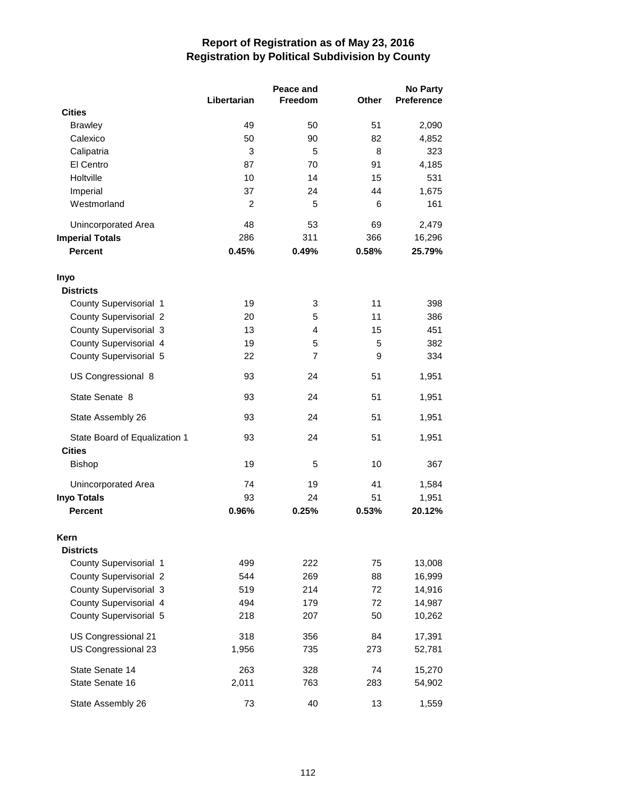|                               |                | Peace and      |       | <b>No Party</b>   |  |
|-------------------------------|----------------|----------------|-------|-------------------|--|
|                               | Libertarian    | Freedom        | Other | <b>Preference</b> |  |
| <b>Cities</b>                 |                |                |       |                   |  |
| <b>Brawley</b>                | 49             | 50             | 51    | 2,090             |  |
| Calexico                      | 50             | 90             | 82    | 4,852             |  |
| Calipatria                    | 3              | 5              | 8     | 323               |  |
| El Centro                     | 87             | 70             | 91    | 4,185             |  |
| Holtville                     | 10             | 14             | 15    | 531               |  |
| Imperial                      | 37             | 24             | 44    | 1,675             |  |
| Westmorland                   | $\overline{2}$ | 5              | 6     | 161               |  |
| Unincorporated Area           | 48             | 53             | 69    | 2,479             |  |
| <b>Imperial Totals</b>        | 286            | 311            | 366   | 16,296            |  |
| <b>Percent</b>                | 0.45%          | 0.49%          | 0.58% | 25.79%            |  |
| Inyo                          |                |                |       |                   |  |
| <b>Districts</b>              |                |                |       |                   |  |
| County Supervisorial 1        | 19             | 3              | 11    | 398               |  |
| <b>County Supervisorial 2</b> | 20             | 5              | 11    | 386               |  |
| County Supervisorial 3        | 13             | 4              | 15    | 451               |  |
| County Supervisorial 4        | 19             | 5              | 5     | 382               |  |
| County Supervisorial 5        | 22             | $\overline{7}$ | 9     | 334               |  |
| US Congressional 8            | 93             | 24             | 51    | 1,951             |  |
| State Senate 8                | 93             | 24             | 51    | 1,951             |  |
| State Assembly 26             | 93             | 24             | 51    | 1,951             |  |
| State Board of Equalization 1 | 93             | 24             | 51    | 1,951             |  |
| <b>Cities</b>                 |                |                |       |                   |  |
| <b>Bishop</b>                 | 19             | 5              | 10    | 367               |  |
| Unincorporated Area           | 74             | 19             | 41    | 1,584             |  |
| <b>Inyo Totals</b>            | 93             | 24             | 51    | 1,951             |  |
| <b>Percent</b>                | 0.96%          | 0.25%          | 0.53% | 20.12%            |  |
| Kern                          |                |                |       |                   |  |
| <b>Districts</b>              |                |                |       |                   |  |
| County Supervisorial 1        | 499            | 222            | 75    | 13,008            |  |
| County Supervisorial 2        | 544            | 269            | 88    | 16,999            |  |
| County Supervisorial 3        | 519            | 214            | 72    | 14,916            |  |
| County Supervisorial 4        | 494            | 179            | 72    | 14,987            |  |
| County Supervisorial 5        | 218            | 207            | 50    | 10,262            |  |
| US Congressional 21           | 318            | 356            | 84    | 17,391            |  |
| US Congressional 23           | 1,956          | 735            | 273   | 52,781            |  |
| State Senate 14               | 263            | 328            | 74    | 15,270            |  |
| State Senate 16               | 2,011          | 763            | 283   | 54,902            |  |
| State Assembly 26             | 73             | 40             | 13    | 1,559             |  |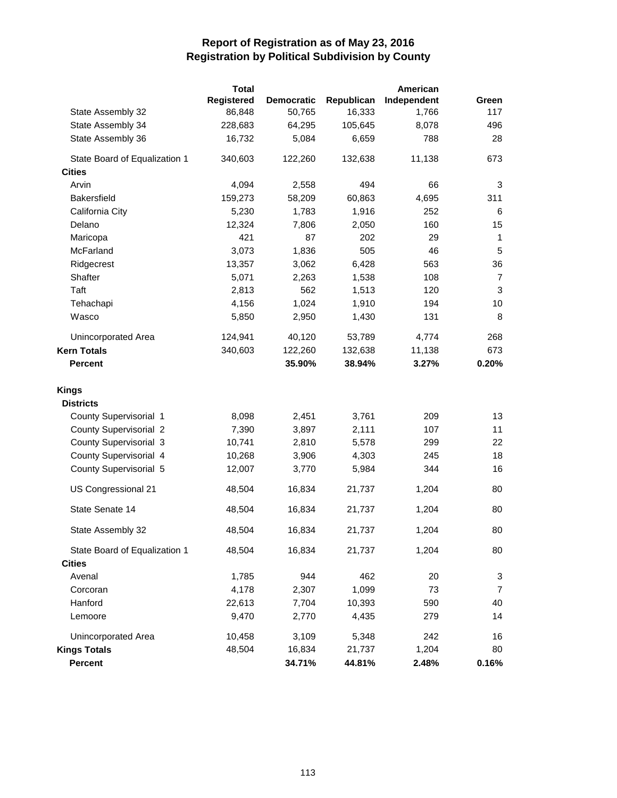|                               | <b>Total</b> |                   |            | American    |                |
|-------------------------------|--------------|-------------------|------------|-------------|----------------|
|                               | Registered   | <b>Democratic</b> | Republican | Independent | Green          |
| State Assembly 32             | 86,848       | 50,765            | 16,333     | 1,766       | 117            |
| State Assembly 34             | 228,683      | 64,295            | 105,645    | 8,078       | 496            |
| State Assembly 36             | 16,732       | 5,084             | 6,659      | 788         | 28             |
| State Board of Equalization 1 | 340,603      | 122,260           | 132,638    | 11,138      | 673            |
| <b>Cities</b>                 |              |                   |            |             |                |
| Arvin                         | 4,094        | 2,558             | 494        | 66          | 3              |
| <b>Bakersfield</b>            | 159,273      | 58,209            | 60,863     | 4,695       | 311            |
| California City               | 5,230        | 1,783             | 1,916      | 252         | 6              |
| Delano                        | 12,324       | 7,806             | 2,050      | 160         | 15             |
| Maricopa                      | 421          | 87                | 202        | 29          | 1              |
| McFarland                     | 3,073        | 1,836             | 505        | 46          | 5              |
| Ridgecrest                    | 13,357       | 3,062             | 6,428      | 563         | 36             |
| Shafter                       | 5,071        | 2,263             | 1,538      | 108         | 7              |
| Taft                          | 2,813        | 562               | 1,513      | 120         | 3              |
| Tehachapi                     | 4,156        | 1,024             | 1,910      | 194         | 10             |
| Wasco                         | 5,850        | 2,950             | 1,430      | 131         | 8              |
| Unincorporated Area           | 124,941      | 40,120            | 53,789     | 4,774       | 268            |
| <b>Kern Totals</b>            | 340,603      | 122,260           | 132,638    | 11,138      | 673            |
| <b>Percent</b>                |              | 35.90%            | 38.94%     | 3.27%       | 0.20%          |
| <b>Kings</b>                  |              |                   |            |             |                |
| <b>Districts</b>              |              |                   |            |             |                |
| County Supervisorial 1        | 8,098        | 2,451             | 3,761      | 209         | 13             |
| <b>County Supervisorial 2</b> | 7,390        | 3,897             | 2,111      | 107         | 11             |
| County Supervisorial 3        | 10,741       | 2,810             | 5,578      | 299         | 22             |
| County Supervisorial 4        | 10,268       | 3,906             | 4,303      | 245         | 18             |
| County Supervisorial 5        | 12,007       | 3,770             | 5,984      | 344         | 16             |
| US Congressional 21           | 48,504       | 16,834            | 21,737     | 1,204       | 80             |
| State Senate 14               | 48,504       | 16,834            | 21,737     | 1,204       | 80             |
| State Assembly 32             | 48,504       | 16,834            | 21,737     | 1,204       | 80             |
| State Board of Equalization 1 | 48,504       | 16,834            | 21,737     | 1,204       | 80             |
| <b>Cities</b>                 |              |                   |            |             |                |
| Avenal                        | 1,785        | 944               | 462        | 20          | 3              |
| Corcoran                      | 4,178        | 2,307             | 1,099      | 73          | $\overline{7}$ |
| Hanford                       | 22,613       | 7,704             | 10,393     | 590         | 40             |
| Lemoore                       | 9,470        | 2,770             | 4,435      | 279         | 14             |
| Unincorporated Area           | 10,458       | 3,109             | 5,348      | 242         | 16             |
| <b>Kings Totals</b>           | 48,504       | 16,834            | 21,737     | 1,204       | 80             |
| Percent                       |              | 34.71%            | 44.81%     | 2.48%       | 0.16%          |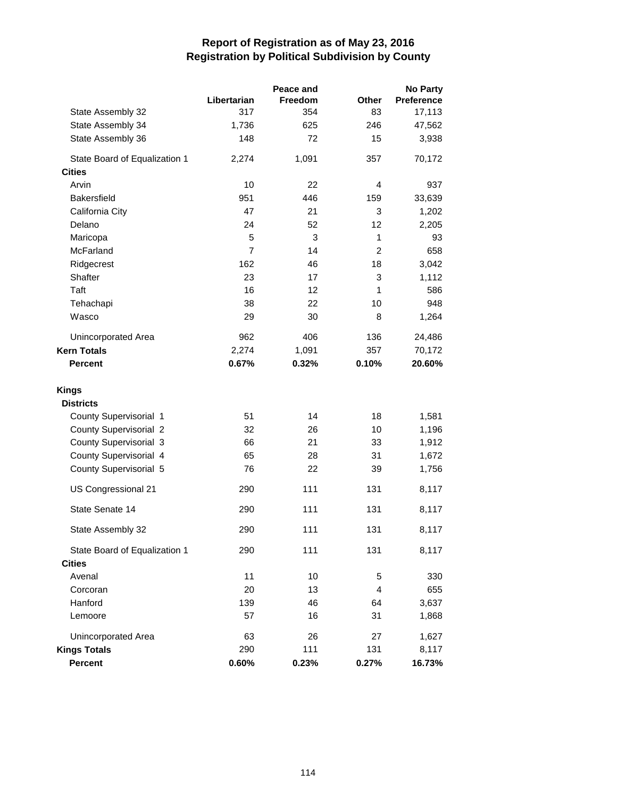|                               |                | Peace and    |                | <b>No Party</b> |
|-------------------------------|----------------|--------------|----------------|-----------------|
|                               | Libertarian    | Freedom      | Other          | Preference      |
| State Assembly 32             | 317            | 354          | 83             | 17,113          |
| State Assembly 34             | 1,736          | 625          | 246            | 47,562          |
| State Assembly 36             | 148            | 72           | 15             | 3,938           |
| State Board of Equalization 1 | 2,274          | 1,091        | 357            | 70,172          |
| <b>Cities</b>                 |                |              |                |                 |
| Arvin                         | 10             | 22           | 4              | 937             |
| <b>Bakersfield</b>            | 951            | 446          | 159            | 33,639          |
| California City               | 47             | 21           | 3              | 1,202           |
| Delano                        | 24             | 52           | 12             | 2,205           |
| Maricopa                      | 5              | $\mathbf{3}$ | 1              | 93              |
| McFarland                     | $\overline{7}$ | 14           | $\overline{c}$ | 658             |
| Ridgecrest                    | 162            | 46           | 18             | 3,042           |
| Shafter                       | 23             | 17           | 3              | 1,112           |
| <b>Taft</b>                   | 16             | 12           | 1              | 586             |
| Tehachapi                     | 38             | 22           | 10             | 948             |
| Wasco                         | 29             | 30           | 8              | 1,264           |
| Unincorporated Area           | 962            | 406          | 136            | 24,486          |
| <b>Kern Totals</b>            | 2,274          | 1,091        | 357            | 70,172          |
| <b>Percent</b>                | 0.67%          | 0.32%        | 0.10%          | 20.60%          |
| Kings                         |                |              |                |                 |
| <b>Districts</b>              |                |              |                |                 |
| County Supervisorial 1        | 51             | 14           | 18             | 1,581           |
| <b>County Supervisorial 2</b> | 32             | 26           | 10             | 1,196           |
| County Supervisorial 3        | 66             | 21           | 33             | 1,912           |
| County Supervisorial 4        | 65             | 28           | 31             | 1,672           |
| County Supervisorial 5        | 76             | 22           | 39             | 1,756           |
| US Congressional 21           | 290            | 111          | 131            | 8,117           |
| State Senate 14               | 290            | 111          | 131            | 8,117           |
| State Assembly 32             | 290            | 111          | 131            | 8,117           |
| State Board of Equalization 1 | 290            | 111          | 131            | 8,117           |
| <b>Cities</b>                 |                |              |                |                 |
| Avenal                        | 11             | 10           | 5              | 330             |
| Corcoran                      | 20             | 13           | 4              | 655             |
| Hanford                       | 139            | 46           | 64             | 3,637           |
| Lemoore                       | 57             | 16           | 31             | 1,868           |
| Unincorporated Area           | 63             | 26           | 27             | 1,627           |
| <b>Kings Totals</b>           | 290            | 111          | 131            | 8,117           |
| Percent                       | 0.60%          | 0.23%        | 0.27%          | 16.73%          |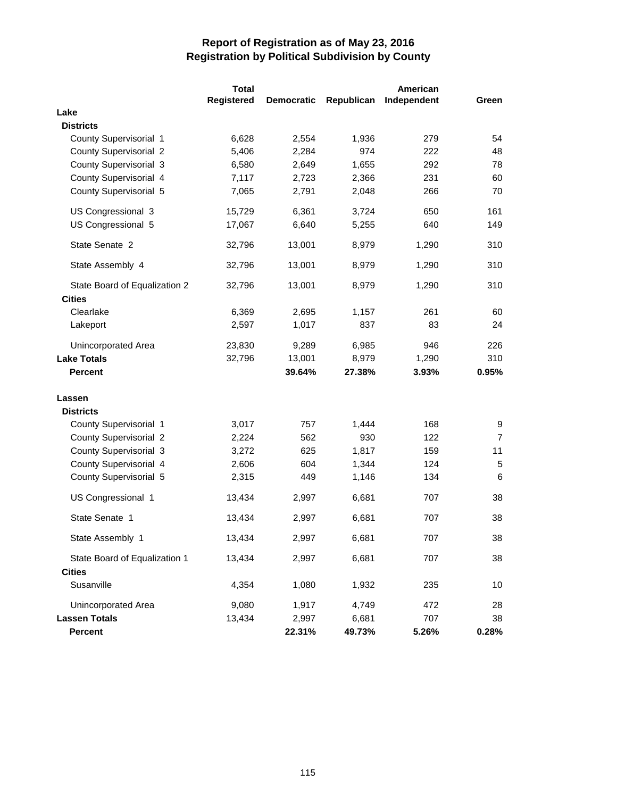|                               | <b>Total</b>      |                   |            | American    |                |
|-------------------------------|-------------------|-------------------|------------|-------------|----------------|
|                               | <b>Registered</b> | <b>Democratic</b> | Republican | Independent | Green          |
| Lake                          |                   |                   |            |             |                |
| <b>Districts</b>              |                   |                   |            |             |                |
| County Supervisorial 1        | 6,628             | 2,554             | 1,936      | 279         | 54             |
| <b>County Supervisorial 2</b> | 5,406             | 2,284             | 974        | 222         | 48             |
| County Supervisorial 3        | 6,580             | 2,649             | 1,655      | 292         | 78             |
| County Supervisorial 4        | 7,117             | 2,723             | 2,366      | 231         | 60             |
| County Supervisorial 5        | 7,065             | 2,791             | 2,048      | 266         | 70             |
| US Congressional 3            | 15,729            | 6,361             | 3,724      | 650         | 161            |
| US Congressional 5            | 17,067            | 6,640             | 5,255      | 640         | 149            |
| State Senate 2                | 32,796            | 13,001            | 8,979      | 1,290       | 310            |
| State Assembly 4              | 32,796            | 13,001            | 8,979      | 1,290       | 310            |
| State Board of Equalization 2 | 32,796            | 13,001            | 8,979      | 1,290       | 310            |
| <b>Cities</b>                 |                   |                   |            |             |                |
| Clearlake                     | 6,369             | 2,695             | 1,157      | 261         | 60             |
| Lakeport                      | 2,597             | 1,017             | 837        | 83          | 24             |
| <b>Unincorporated Area</b>    | 23,830            | 9,289             | 6,985      | 946         | 226            |
| <b>Lake Totals</b>            | 32,796            | 13,001            | 8,979      | 1,290       | 310            |
| <b>Percent</b>                |                   | 39.64%            | 27.38%     | 3.93%       | 0.95%          |
| Lassen                        |                   |                   |            |             |                |
| <b>Districts</b>              |                   |                   |            |             |                |
| County Supervisorial 1        | 3,017             | 757               | 1,444      | 168         | 9              |
| <b>County Supervisorial 2</b> | 2,224             | 562               | 930        | 122         | $\overline{7}$ |
| County Supervisorial 3        | 3,272             | 625               | 1,817      | 159         | 11             |
| County Supervisorial 4        | 2,606             | 604               | 1,344      | 124         | 5              |
| County Supervisorial 5        | 2,315             | 449               | 1,146      | 134         | 6              |
| US Congressional 1            | 13,434            | 2,997             | 6,681      | 707         | 38             |
| State Senate 1                | 13,434            | 2,997             | 6,681      | 707         | 38             |
| State Assembly 1              | 13,434            | 2,997             | 6,681      | 707         | 38             |
| State Board of Equalization 1 | 13,434            | 2,997             | 6,681      | 707         | 38             |
| <b>Cities</b>                 |                   |                   |            |             |                |
| Susanville                    | 4,354             | 1,080             | 1,932      | 235         | 10             |
| <b>Unincorporated Area</b>    | 9,080             | 1,917             | 4,749      | 472         | 28             |
| <b>Lassen Totals</b>          | 13,434            | 2,997             | 6,681      | 707         | 38             |
| Percent                       |                   | 22.31%            | 49.73%     | 5.26%       | 0.28%          |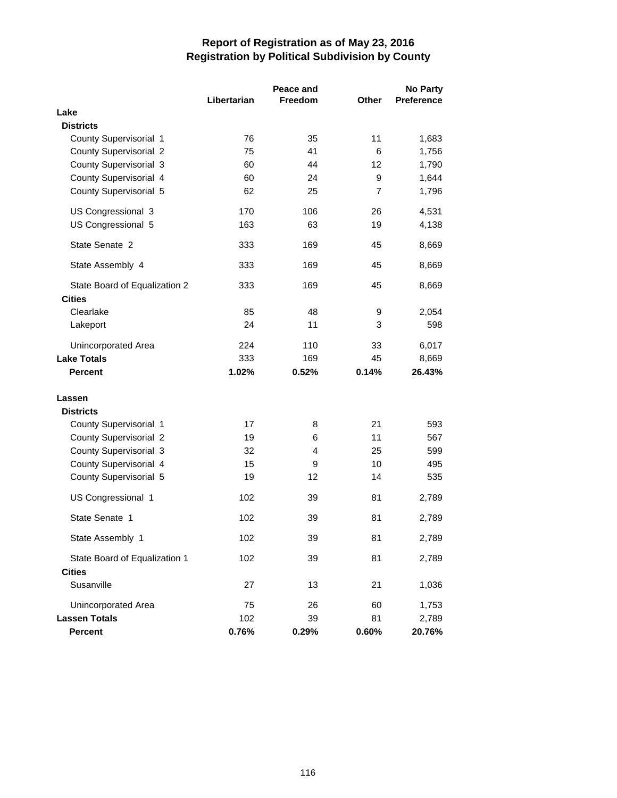|                                                         |             | Peace and |                     | <b>No Party</b> |  |
|---------------------------------------------------------|-------------|-----------|---------------------|-----------------|--|
|                                                         | Libertarian | Freedom   | Other               | Preference      |  |
| Lake                                                    |             |           |                     |                 |  |
| <b>Districts</b>                                        |             |           |                     |                 |  |
| County Supervisorial 1                                  | 76          | 35        | 11                  | 1,683           |  |
| <b>County Supervisorial 2</b>                           | 75          | 41        | 6                   | 1,756           |  |
| County Supervisorial 3                                  | 60          | 44        | 12                  | 1,790           |  |
| County Supervisorial 4                                  | 60          | 24        | 9<br>$\overline{7}$ | 1,644           |  |
| County Supervisorial 5                                  | 62          | 25        |                     | 1,796           |  |
| US Congressional 3                                      | 170         | 106       | 26                  | 4,531           |  |
| US Congressional 5                                      | 163         | 63        | 19                  | 4,138           |  |
| State Senate 2                                          | 333         | 169       | 45                  | 8,669           |  |
| State Assembly 4                                        | 333         | 169       | 45                  | 8,669           |  |
| State Board of Equalization 2                           | 333         | 169       | 45                  | 8,669           |  |
| <b>Cities</b>                                           |             |           |                     |                 |  |
| Clearlake                                               | 85          | 48        | 9                   | 2,054           |  |
| Lakeport                                                | 24          | 11        | 3                   | 598             |  |
| Unincorporated Area                                     | 224         | 110       | 33                  | 6,017           |  |
| <b>Lake Totals</b>                                      | 333         | 169       | 45                  | 8,669           |  |
| <b>Percent</b>                                          | 1.02%       | 0.52%     | 0.14%               | 26.43%          |  |
|                                                         |             |           |                     |                 |  |
| Lassen                                                  |             |           |                     |                 |  |
| <b>Districts</b>                                        |             |           | 21                  | 593             |  |
| County Supervisorial 1<br><b>County Supervisorial 2</b> | 17<br>19    | 8<br>6    | 11                  | 567             |  |
| County Supervisorial 3                                  | 32          | 4         | 25                  | 599             |  |
| County Supervisorial 4                                  | 15          | 9         | 10                  | 495             |  |
| County Supervisorial 5                                  | 19          | 12        | 14                  | 535             |  |
|                                                         |             |           |                     |                 |  |
| US Congressional 1                                      | 102         | 39        | 81                  | 2,789           |  |
| State Senate 1                                          | 102         | 39        | 81                  | 2,789           |  |
| State Assembly 1                                        | 102         | 39        | 81                  | 2,789           |  |
| State Board of Equalization 1                           | 102         | 39        | 81                  | 2,789           |  |
| <b>Cities</b>                                           |             |           |                     |                 |  |
| Susanville                                              | 27          | 13        | 21                  | 1,036           |  |
| Unincorporated Area                                     | 75          | 26        | 60                  | 1,753           |  |
| <b>Lassen Totals</b>                                    | 102         | 39        | 81                  | 2,789           |  |
| Percent                                                 | 0.76%       | 0.29%     | 0.60%               | 20.76%          |  |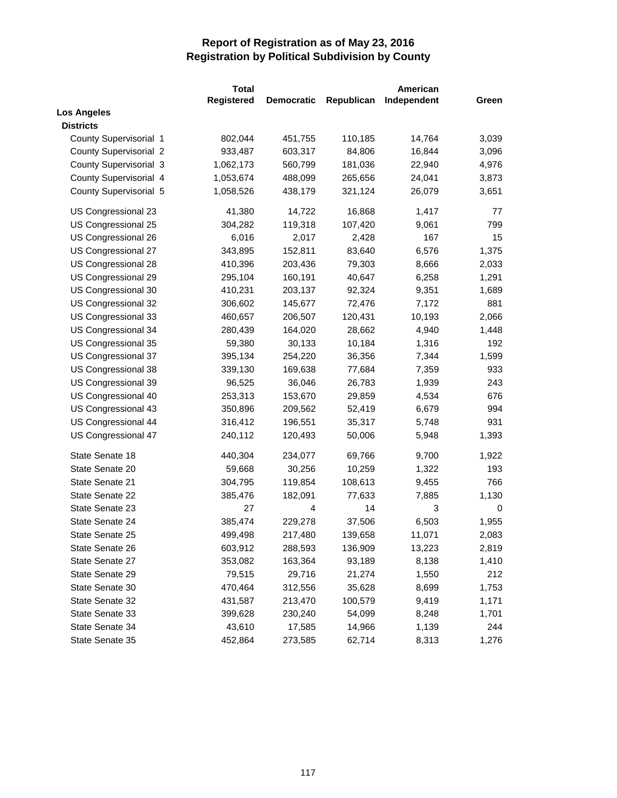|                               | <b>Total</b> |                   |            | American    |       |
|-------------------------------|--------------|-------------------|------------|-------------|-------|
|                               | Registered   | <b>Democratic</b> | Republican | Independent | Green |
| <b>Los Angeles</b>            |              |                   |            |             |       |
| <b>Districts</b>              |              |                   |            |             |       |
| County Supervisorial 1        | 802,044      | 451,755           | 110,185    | 14,764      | 3,039 |
| <b>County Supervisorial 2</b> | 933,487      | 603,317           | 84,806     | 16,844      | 3,096 |
| <b>County Supervisorial 3</b> | 1,062,173    | 560,799           | 181,036    | 22,940      | 4,976 |
| County Supervisorial 4        | 1,053,674    | 488,099           | 265,656    | 24,041      | 3,873 |
| County Supervisorial 5        | 1,058,526    | 438,179           | 321,124    | 26,079      | 3,651 |
| US Congressional 23           | 41,380       | 14,722            | 16,868     | 1,417       | 77    |
| US Congressional 25           | 304,282      | 119,318           | 107,420    | 9,061       | 799   |
| US Congressional 26           | 6,016        | 2,017             | 2,428      | 167         | 15    |
| US Congressional 27           | 343,895      | 152,811           | 83,640     | 6,576       | 1,375 |
| US Congressional 28           | 410,396      | 203,436           | 79,303     | 8,666       | 2,033 |
| US Congressional 29           | 295,104      | 160,191           | 40,647     | 6,258       | 1,291 |
| US Congressional 30           | 410,231      | 203,137           | 92,324     | 9,351       | 1,689 |
| US Congressional 32           | 306,602      | 145,677           | 72,476     | 7,172       | 881   |
| US Congressional 33           | 460,657      | 206,507           | 120,431    | 10,193      | 2,066 |
| US Congressional 34           | 280,439      | 164,020           | 28,662     | 4,940       | 1,448 |
| US Congressional 35           | 59,380       | 30,133            | 10,184     | 1,316       | 192   |
| US Congressional 37           | 395,134      | 254,220           | 36,356     | 7,344       | 1,599 |
| US Congressional 38           | 339,130      | 169,638           | 77,684     | 7,359       | 933   |
| US Congressional 39           | 96,525       | 36,046            | 26,783     | 1,939       | 243   |
| US Congressional 40           | 253,313      | 153,670           | 29,859     | 4,534       | 676   |
| US Congressional 43           | 350,896      | 209,562           | 52,419     | 6,679       | 994   |
| US Congressional 44           | 316,412      | 196,551           | 35,317     | 5,748       | 931   |
| US Congressional 47           | 240,112      | 120,493           | 50,006     | 5,948       | 1,393 |
| State Senate 18               | 440,304      | 234,077           | 69,766     | 9,700       | 1,922 |
| State Senate 20               | 59,668       | 30,256            | 10,259     | 1,322       | 193   |
| State Senate 21               | 304,795      | 119,854           | 108,613    | 9,455       | 766   |
| State Senate 22               | 385,476      | 182,091           | 77,633     | 7,885       | 1,130 |
| State Senate 23               | 27           | 4                 | 14         | 3           | 0     |
| State Senate 24               | 385,474      | 229,278           | 37,506     | 6,503       | 1,955 |
| State Senate 25               | 499,498      | 217,480           | 139,658    | 11,071      | 2,083 |
| State Senate 26               | 603,912      | 288,593           | 136,909    | 13,223      | 2,819 |
| State Senate 27               | 353,082      | 163,364           | 93,189     | 8,138       | 1,410 |
| State Senate 29               | 79,515       | 29,716            | 21,274     | 1,550       | 212   |
| State Senate 30               | 470,464      | 312,556           | 35,628     | 8,699       | 1,753 |
| State Senate 32               | 431,587      | 213,470           | 100,579    | 9,419       | 1,171 |
| State Senate 33               | 399,628      | 230,240           | 54,099     | 8,248       | 1,701 |
| State Senate 34               | 43,610       | 17,585            | 14,966     | 1,139       | 244   |
| State Senate 35               | 452,864      | 273,585           | 62,714     | 8,313       | 1,276 |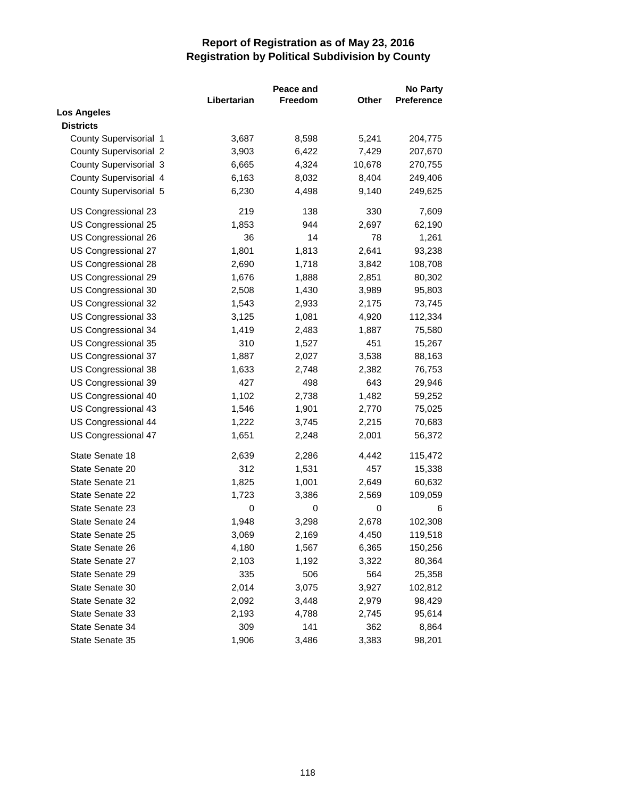|                               |             | Peace and |        | <b>No Party</b>   |  |
|-------------------------------|-------------|-----------|--------|-------------------|--|
|                               | Libertarian | Freedom   | Other  | <b>Preference</b> |  |
| <b>Los Angeles</b>            |             |           |        |                   |  |
| <b>Districts</b>              |             |           |        |                   |  |
| County Supervisorial 1        | 3,687       | 8,598     | 5,241  | 204,775           |  |
| <b>County Supervisorial 2</b> | 3,903       | 6,422     | 7,429  | 207,670           |  |
| County Supervisorial 3        | 6,665       | 4,324     | 10,678 | 270,755           |  |
| County Supervisorial 4        | 6,163       | 8,032     | 8,404  | 249,406           |  |
| County Supervisorial 5        | 6,230       | 4,498     | 9,140  | 249,625           |  |
| US Congressional 23           | 219         | 138       | 330    | 7,609             |  |
| US Congressional 25           | 1,853       | 944       | 2,697  | 62,190            |  |
| US Congressional 26           | 36          | 14        | 78     | 1,261             |  |
| US Congressional 27           | 1,801       | 1,813     | 2,641  | 93,238            |  |
| US Congressional 28           | 2,690       | 1,718     | 3,842  | 108,708           |  |
| US Congressional 29           | 1,676       | 1,888     | 2,851  | 80,302            |  |
| US Congressional 30           | 2,508       | 1,430     | 3,989  | 95,803            |  |
| US Congressional 32           | 1,543       | 2,933     | 2,175  | 73,745            |  |
| US Congressional 33           | 3,125       | 1,081     | 4,920  | 112,334           |  |
| US Congressional 34           | 1,419       | 2,483     | 1,887  | 75,580            |  |
| US Congressional 35           | 310         | 1,527     | 451    | 15,267            |  |
| US Congressional 37           | 1,887       | 2,027     | 3,538  | 88,163            |  |
| US Congressional 38           | 1,633       | 2,748     | 2,382  | 76,753            |  |
| US Congressional 39           | 427         | 498       | 643    | 29,946            |  |
| US Congressional 40           | 1,102       | 2,738     | 1,482  | 59,252            |  |
| US Congressional 43           | 1,546       | 1,901     | 2,770  | 75,025            |  |
| US Congressional 44           | 1,222       | 3,745     | 2,215  | 70,683            |  |
| US Congressional 47           | 1,651       | 2,248     | 2,001  | 56,372            |  |
| State Senate 18               | 2,639       | 2,286     | 4,442  | 115,472           |  |
| State Senate 20               | 312         | 1,531     | 457    | 15,338            |  |
| State Senate 21               | 1,825       | 1,001     | 2,649  | 60,632            |  |
| State Senate 22               | 1,723       | 3,386     | 2,569  | 109,059           |  |
| State Senate 23               | 0           | 0         | 0      | 6                 |  |
| State Senate 24               | 1,948       | 3,298     | 2,678  | 102,308           |  |
| State Senate 25               | 3,069       | 2,169     | 4,450  | 119,518           |  |
| State Senate 26               | 4,180       | 1,567     | 6,365  | 150,256           |  |
| State Senate 27               | 2,103       | 1,192     | 3,322  | 80,364            |  |
| State Senate 29               | 335         | 506       | 564    | 25,358            |  |
| State Senate 30               | 2,014       | 3,075     | 3,927  | 102,812           |  |
| State Senate 32               | 2,092       | 3,448     | 2,979  | 98,429            |  |
| State Senate 33               | 2,193       | 4,788     | 2,745  | 95,614            |  |
| State Senate 34               | 309         | 141       | 362    | 8,864             |  |
| State Senate 35               | 1,906       | 3,486     | 3,383  | 98,201            |  |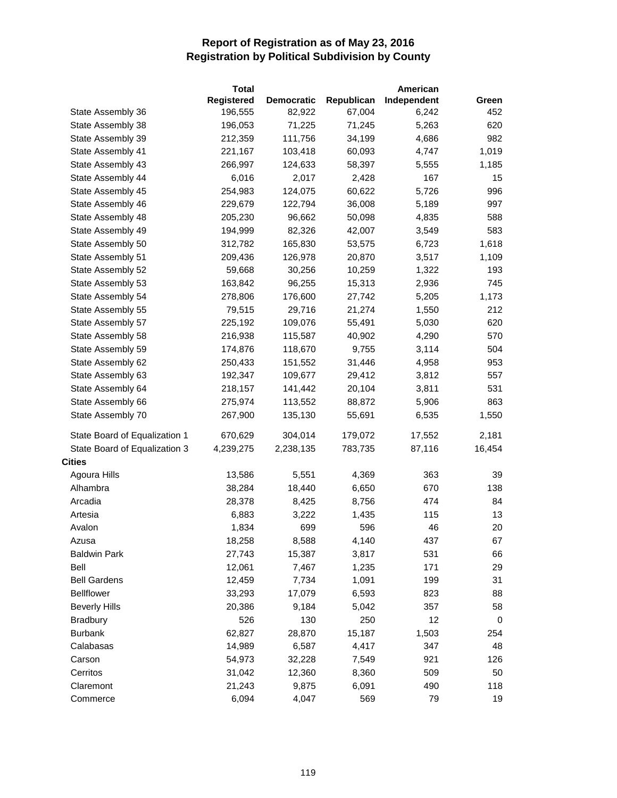|                               | <b>Total</b> |                   |            | American    |        |
|-------------------------------|--------------|-------------------|------------|-------------|--------|
|                               | Registered   | <b>Democratic</b> | Republican | Independent | Green  |
| State Assembly 36             | 196,555      | 82,922            | 67,004     | 6,242       | 452    |
| State Assembly 38             | 196,053      | 71,225            | 71,245     | 5,263       | 620    |
| State Assembly 39             | 212,359      | 111,756           | 34,199     | 4,686       | 982    |
| State Assembly 41             | 221,167      | 103,418           | 60,093     | 4,747       | 1,019  |
| State Assembly 43             | 266,997      | 124,633           | 58,397     | 5,555       | 1,185  |
| State Assembly 44             | 6,016        | 2,017             | 2,428      | 167         | 15     |
| State Assembly 45             | 254,983      | 124,075           | 60,622     | 5,726       | 996    |
| State Assembly 46             | 229,679      | 122,794           | 36,008     | 5,189       | 997    |
| State Assembly 48             | 205,230      | 96,662            | 50,098     | 4,835       | 588    |
| State Assembly 49             | 194,999      | 82,326            | 42,007     | 3,549       | 583    |
| State Assembly 50             | 312,782      | 165,830           | 53,575     | 6,723       | 1,618  |
| State Assembly 51             | 209,436      | 126,978           | 20,870     | 3,517       | 1,109  |
| State Assembly 52             | 59,668       | 30,256            | 10,259     | 1,322       | 193    |
| State Assembly 53             | 163,842      | 96,255            | 15,313     | 2,936       | 745    |
| State Assembly 54             | 278,806      | 176,600           | 27,742     | 5,205       | 1,173  |
| State Assembly 55             | 79,515       | 29,716            | 21,274     | 1,550       | 212    |
| State Assembly 57             | 225,192      | 109,076           | 55,491     | 5,030       | 620    |
| State Assembly 58             | 216,938      | 115,587           | 40,902     | 4,290       | 570    |
| State Assembly 59             | 174,876      | 118,670           | 9,755      | 3,114       | 504    |
| State Assembly 62             | 250,433      | 151,552           | 31,446     | 4,958       | 953    |
| State Assembly 63             | 192,347      | 109,677           | 29,412     | 3,812       | 557    |
| State Assembly 64             | 218,157      | 141,442           | 20,104     | 3,811       | 531    |
| State Assembly 66             | 275,974      | 113,552           | 88,872     | 5,906       | 863    |
| State Assembly 70             | 267,900      | 135,130           | 55,691     | 6,535       | 1,550  |
| State Board of Equalization 1 | 670,629      | 304,014           | 179,072    | 17,552      | 2,181  |
| State Board of Equalization 3 | 4,239,275    | 2,238,135         | 783,735    | 87,116      | 16,454 |
| <b>Cities</b>                 |              |                   |            |             |        |
| Agoura Hills                  | 13,586       | 5,551             | 4,369      | 363         | 39     |
| Alhambra                      | 38,284       | 18,440            | 6,650      | 670         | 138    |
| Arcadia                       | 28,378       | 8,425             | 8,756      | 474         | 84     |
| Artesia                       | 6,883        | 3,222             | 1,435      | 115         | 13     |
| Avalon                        | 1,834        | 699               | 596        | 46          | 20     |
| Azusa                         | 18,258       | 8,588             | 4,140      | 437         | 67     |
| <b>Baldwin Park</b>           | 27,743       | 15,387            | 3,817      | 531         | 66     |
| Bell                          | 12,061       | 7,467             | 1,235      | 171         | 29     |
| <b>Bell Gardens</b>           | 12,459       | 7,734             | 1,091      | 199         | 31     |
| Bellflower                    | 33,293       | 17,079            | 6,593      | 823         | 88     |
| <b>Beverly Hills</b>          | 20,386       | 9,184             | 5,042      | 357         | 58     |
| <b>Bradbury</b>               | 526          | 130               | 250        | 12          | 0      |
| <b>Burbank</b>                | 62,827       | 28,870            | 15,187     | 1,503       | 254    |
| Calabasas                     | 14,989       | 6,587             | 4,417      | 347         | 48     |
| Carson                        | 54,973       | 32,228            | 7,549      | 921         | 126    |
| Cerritos                      | 31,042       | 12,360            | 8,360      | 509         | 50     |
| Claremont                     | 21,243       | 9,875             | 6,091      | 490         | 118    |
| Commerce                      | 6,094        | 4,047             | 569        | 79          | 19     |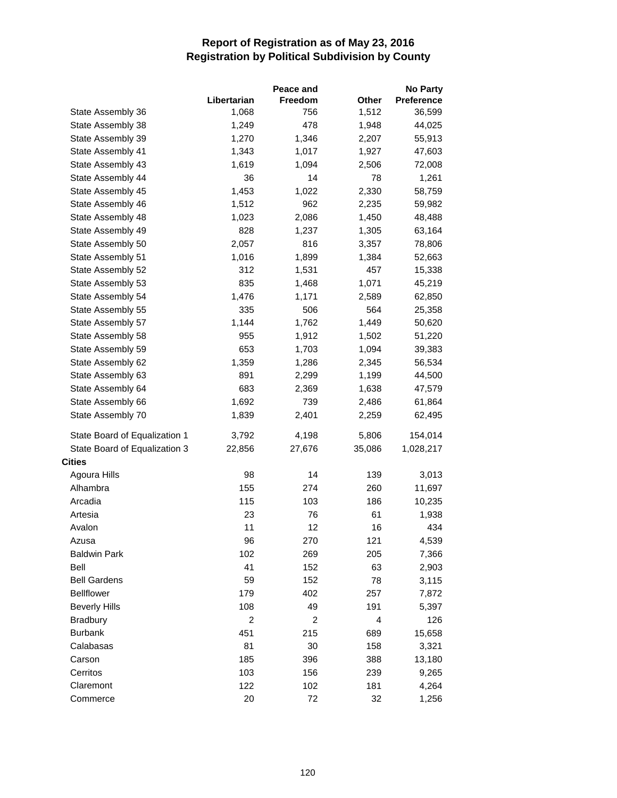|                               |                | Peace and               | <b>No Party</b> |            |  |
|-------------------------------|----------------|-------------------------|-----------------|------------|--|
|                               | Libertarian    | Freedom                 | Other           | Preference |  |
| State Assembly 36             | 1,068          | 756                     | 1,512           | 36,599     |  |
| State Assembly 38             | 1,249          | 478                     | 1,948           | 44,025     |  |
| State Assembly 39             | 1,270          | 1,346                   | 2,207           | 55,913     |  |
| State Assembly 41             | 1,343          | 1,017                   | 1,927           | 47,603     |  |
| State Assembly 43             | 1,619          | 1,094                   | 2,506           | 72,008     |  |
| State Assembly 44             | 36             | 14                      | 78              | 1,261      |  |
| State Assembly 45             | 1,453          | 1,022                   | 2,330           | 58,759     |  |
| State Assembly 46             | 1,512          | 962                     | 2,235           | 59,982     |  |
| State Assembly 48             | 1,023          | 2,086                   | 1,450           | 48,488     |  |
| State Assembly 49             | 828            | 1,237                   | 1,305           | 63,164     |  |
| State Assembly 50             | 2,057          | 816                     | 3,357           | 78,806     |  |
| State Assembly 51             | 1,016          | 1,899                   | 1,384           | 52,663     |  |
| State Assembly 52             | 312            | 1,531                   | 457             | 15,338     |  |
| State Assembly 53             | 835            | 1,468                   | 1,071           | 45,219     |  |
| State Assembly 54             | 1,476          | 1,171                   | 2,589           | 62,850     |  |
| State Assembly 55             | 335            | 506                     | 564             | 25,358     |  |
| State Assembly 57             | 1,144          | 1,762                   | 1,449           | 50,620     |  |
| State Assembly 58             | 955            | 1,912                   | 1,502           | 51,220     |  |
| State Assembly 59             | 653            | 1,703                   | 1,094           | 39,383     |  |
| State Assembly 62             | 1,359          | 1,286                   | 2,345           | 56,534     |  |
| State Assembly 63             | 891            | 2,299                   | 1,199           | 44,500     |  |
| State Assembly 64             | 683            | 2,369                   | 1,638           | 47,579     |  |
| State Assembly 66             | 1,692          | 739                     | 2,486           | 61,864     |  |
| State Assembly 70             | 1,839          | 2,401                   | 2,259           | 62,495     |  |
| State Board of Equalization 1 | 3,792          | 4,198                   | 5,806           | 154,014    |  |
| State Board of Equalization 3 | 22,856         | 27,676                  | 35,086          | 1,028,217  |  |
| <b>Cities</b>                 |                |                         |                 |            |  |
| Agoura Hills                  | 98             | 14                      | 139             | 3,013      |  |
| Alhambra                      | 155            | 274                     | 260             | 11,697     |  |
| Arcadia                       | 115            | 103                     | 186             | 10,235     |  |
| Artesia                       | 23             | 76                      | 61              | 1,938      |  |
| Avalon                        | 11             | 12                      | 16              | 434        |  |
| Azusa                         | 96             | 270                     | 121             | 4,539      |  |
| <b>Baldwin Park</b>           | 102            | 269                     | 205             | 7,366      |  |
| Bell                          | 41             | 152                     | 63              | 2,903      |  |
| <b>Bell Gardens</b>           | 59             | 152                     | 78              | 3,115      |  |
| <b>Bellflower</b>             | 179            | 402                     | 257             | 7,872      |  |
| <b>Beverly Hills</b>          | 108            | 49                      | 191             | 5,397      |  |
| <b>Bradbury</b>               | $\overline{c}$ | $\overline{\mathbf{c}}$ | 4               | 126        |  |
| <b>Burbank</b>                | 451            | 215                     | 689             | 15,658     |  |
| Calabasas                     | 81             | 30                      | 158             | 3,321      |  |
| Carson                        | 185            | 396                     | 388             | 13,180     |  |
| Cerritos                      | 103            | 156                     | 239             | 9,265      |  |
| Claremont                     | 122            | 102                     | 181             | 4,264      |  |
| Commerce                      | 20             | 72                      | 32              | 1,256      |  |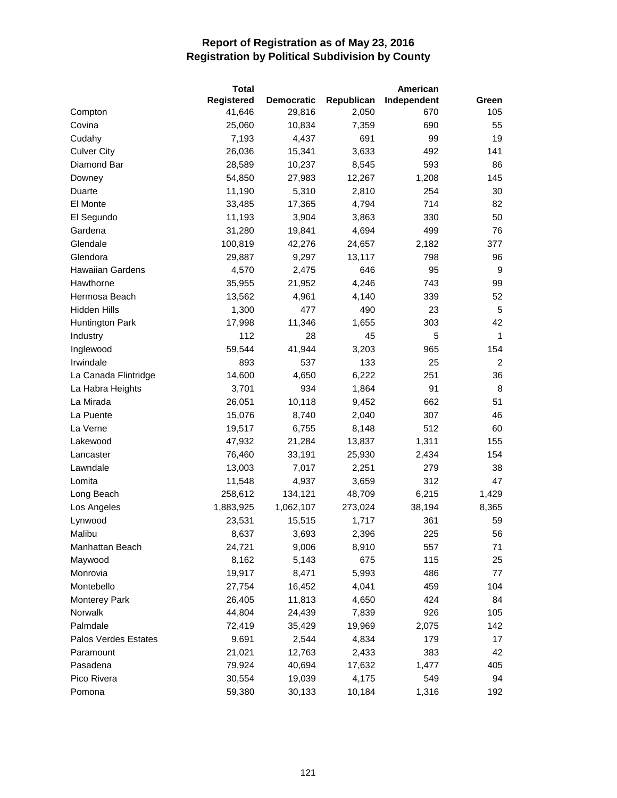|                         | <b>Total</b> |                   |            | American    |              |
|-------------------------|--------------|-------------------|------------|-------------|--------------|
|                         | Registered   | <b>Democratic</b> | Republican | Independent | Green        |
| Compton                 | 41,646       | 29,816            | 2,050      | 670         | 105          |
| Covina                  | 25,060       | 10,834            | 7,359      | 690         | 55           |
| Cudahy                  | 7,193        | 4,437             | 691        | 99          | 19           |
| <b>Culver City</b>      | 26,036       | 15,341            | 3,633      | 492         | 141          |
| Diamond Bar             | 28,589       | 10,237            | 8,545      | 593         | 86           |
| Downey                  | 54,850       | 27,983            | 12,267     | 1,208       | 145          |
| Duarte                  | 11,190       | 5,310             | 2,810      | 254         | 30           |
| El Monte                | 33,485       | 17,365            | 4,794      | 714         | 82           |
| El Segundo              | 11,193       | 3,904             | 3,863      | 330         | 50           |
| Gardena                 | 31,280       | 19,841            | 4,694      | 499         | 76           |
| Glendale                | 100,819      | 42,276            | 24,657     | 2,182       | 377          |
| Glendora                | 29,887       | 9,297             | 13,117     | 798         | 96           |
| <b>Hawaiian Gardens</b> | 4,570        | 2,475             | 646        | 95          | 9            |
| Hawthorne               | 35,955       | 21,952            | 4,246      | 743         | 99           |
| Hermosa Beach           | 13,562       | 4,961             | 4,140      | 339         | 52           |
| Hidden Hills            | 1,300        | 477               | 490        | 23          | 5            |
| Huntington Park         | 17,998       | 11,346            | 1,655      | 303         | 42           |
| Industry                | 112          | 28                | 45         | 5           | $\mathbf{1}$ |
| Inglewood               | 59,544       | 41,944            | 3,203      | 965         | 154          |
| Irwindale               | 893          | 537               | 133        | 25          | 2            |
| La Canada Flintridge    | 14,600       | 4,650             | 6,222      | 251         | 36           |
| La Habra Heights        | 3,701        | 934               | 1,864      | 91          | 8            |
| La Mirada               | 26,051       | 10,118            | 9,452      | 662         | 51           |
| La Puente               | 15,076       | 8,740             | 2,040      | 307         | 46           |
| La Verne                | 19,517       | 6,755             | 8,148      | 512         | 60           |
| Lakewood                | 47,932       | 21,284            | 13,837     | 1,311       | 155          |
| Lancaster               | 76,460       | 33,191            | 25,930     | 2,434       | 154          |
| Lawndale                | 13,003       | 7,017             | 2,251      | 279         | 38           |
| Lomita                  | 11,548       | 4,937             | 3,659      | 312         | 47           |
| Long Beach              | 258,612      | 134,121           | 48,709     | 6,215       | 1,429        |
| Los Angeles             | 1,883,925    | 1,062,107         | 273,024    | 38,194      | 8,365        |
| Lynwood                 | 23,531       | 15,515            | 1,717      | 361         | 59           |
| Malibu                  | 8,637        | 3,693             | 2,396      | 225         | 56           |
| Manhattan Beach         | 24,721       | 9,006             | 8,910      | 557         | 71           |
| Maywood                 | 8,162        | 5,143             | 675        | 115         | 25           |
| Monrovia                | 19,917       | 8,471             | 5,993      | 486         | 77           |
| Montebello              | 27,754       | 16,452            | 4,041      | 459         | 104          |
| Monterey Park           | 26,405       | 11,813            | 4,650      | 424         | 84           |
| Norwalk                 | 44,804       | 24,439            | 7,839      | 926         | 105          |
| Palmdale                | 72,419       | 35,429            | 19,969     | 2,075       | 142          |
| Palos Verdes Estates    | 9,691        | 2,544             | 4,834      | 179         | 17           |
| Paramount               | 21,021       | 12,763            | 2,433      | 383         | 42           |
| Pasadena                | 79,924       | 40,694            | 17,632     | 1,477       | 405          |
| Pico Rivera             | 30,554       | 19,039            | 4,175      | 549         | 94           |
| Pomona                  | 59,380       | 30,133            | 10,184     | 1,316       | 192          |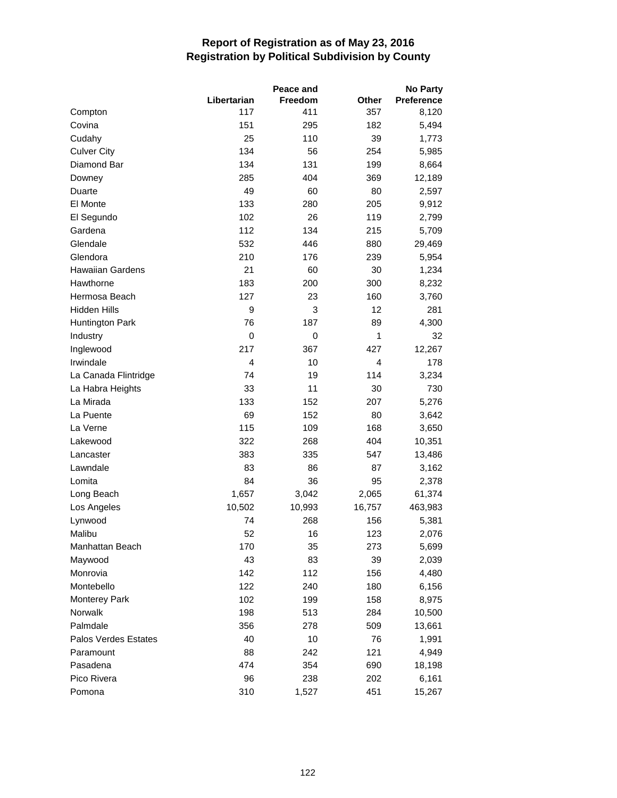|                         |             | Peace and | <b>No Party</b> |                   |  |
|-------------------------|-------------|-----------|-----------------|-------------------|--|
|                         | Libertarian | Freedom   | Other           | <b>Preference</b> |  |
| Compton                 | 117         | 411       | 357             | 8,120             |  |
| Covina                  | 151         | 295       | 182             | 5,494             |  |
| Cudahy                  | 25          | 110       | 39              | 1,773             |  |
| <b>Culver City</b>      | 134         | 56        | 254             | 5,985             |  |
| Diamond Bar             | 134         | 131       | 199             | 8,664             |  |
| Downey                  | 285         | 404       | 369             | 12,189            |  |
| Duarte                  | 49          | 60        | 80              | 2,597             |  |
| El Monte                | 133         | 280       | 205             | 9,912             |  |
| El Segundo              | 102         | 26        | 119             | 2,799             |  |
| Gardena                 | 112         | 134       | 215             | 5,709             |  |
| Glendale                | 532         | 446       | 880             | 29,469            |  |
| Glendora                | 210         | 176       | 239             | 5,954             |  |
| <b>Hawaiian Gardens</b> | 21          | 60        | 30              | 1,234             |  |
| Hawthorne               | 183         | 200       | 300             | 8,232             |  |
| Hermosa Beach           | 127         | 23        | 160             | 3,760             |  |
| <b>Hidden Hills</b>     | 9           | 3         | 12              | 281               |  |
| Huntington Park         | 76          | 187       | 89              | 4,300             |  |
| Industry                | 0           | 0         | 1               | 32                |  |
| Inglewood               | 217         | 367       | 427             | 12,267            |  |
| Irwindale               | 4           | 10        | 4               | 178               |  |
| La Canada Flintridge    | 74          | 19        | 114             | 3,234             |  |
| La Habra Heights        | 33          | 11        | 30              | 730               |  |
| La Mirada               | 133         | 152       | 207             | 5,276             |  |
| La Puente               | 69          | 152       | 80              | 3,642             |  |
| La Verne                | 115         | 109       | 168             | 3,650             |  |
| Lakewood                | 322         | 268       | 404             | 10,351            |  |
| Lancaster               | 383         | 335       | 547             | 13,486            |  |
| Lawndale                | 83          | 86        | 87              | 3,162             |  |
| Lomita                  | 84          | 36        | 95              | 2,378             |  |
| Long Beach              | 1,657       | 3,042     | 2,065           | 61,374            |  |
| Los Angeles             | 10,502      | 10,993    | 16,757          | 463,983           |  |
| Lynwood                 | 74          | 268       | 156             | 5,381             |  |
| Malibu                  | 52          | 16        | 123             | 2,076             |  |
| Manhattan Beach         | 170         | 35        | 273             | 5,699             |  |
| Maywood                 | 43          | 83        | 39              | 2,039             |  |
| Monrovia                | 142         | 112       | 156             | 4,480             |  |
| Montebello              | 122         | 240       | 180             | 6,156             |  |
| Monterey Park           | 102         | 199       | 158             | 8,975             |  |
| Norwalk                 | 198         | 513       | 284             | 10,500            |  |
| Palmdale                | 356         | 278       | 509             | 13,661            |  |
| Palos Verdes Estates    | 40          | 10        | 76              | 1,991             |  |
| Paramount               | 88          | 242       | 121             | 4,949             |  |
| Pasadena                | 474         | 354       | 690             | 18,198            |  |
| Pico Rivera             | 96          | 238       | 202             | 6,161             |  |
| Pomona                  | 310         | 1,527     | 451             | 15,267            |  |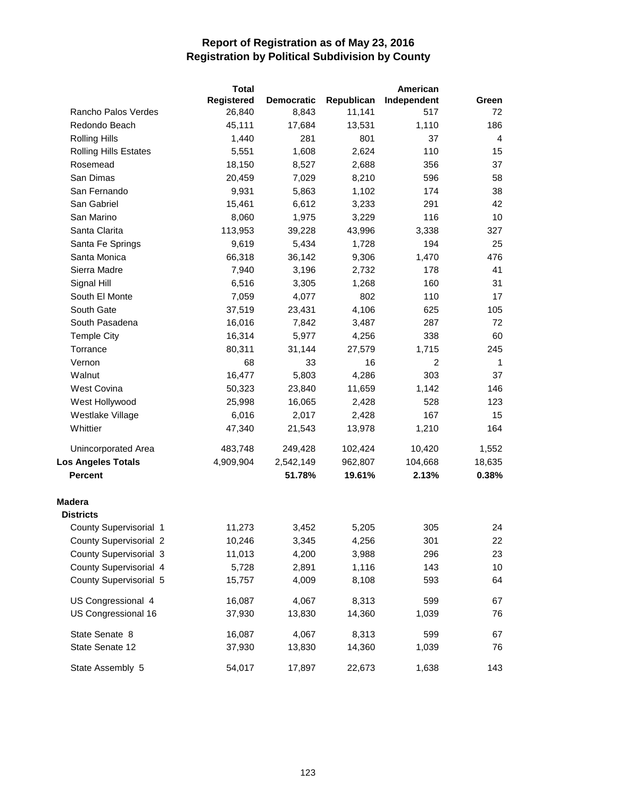|                              | <b>Total</b>      |                   |            | American       |        |
|------------------------------|-------------------|-------------------|------------|----------------|--------|
|                              | <b>Registered</b> | <b>Democratic</b> | Republican | Independent    | Green  |
| Rancho Palos Verdes          | 26,840            | 8,843             | 11,141     | 517            | 72     |
| Redondo Beach                | 45,111            | 17,684            | 13,531     | 1,110          | 186    |
| <b>Rolling Hills</b>         | 1,440             | 281               | 801        | 37             | 4      |
| <b>Rolling Hills Estates</b> | 5,551             | 1,608             | 2,624      | 110            | 15     |
| Rosemead                     | 18,150            | 8,527             | 2,688      | 356            | 37     |
| San Dimas                    | 20,459            | 7,029             | 8,210      | 596            | 58     |
| San Fernando                 | 9,931             | 5,863             | 1,102      | 174            | 38     |
| San Gabriel                  | 15,461            | 6,612             | 3,233      | 291            | 42     |
| San Marino                   | 8,060             | 1,975             | 3,229      | 116            | 10     |
| Santa Clarita                | 113,953           | 39,228            | 43,996     | 3,338          | 327    |
| Santa Fe Springs             | 9,619             | 5,434             | 1,728      | 194            | 25     |
| Santa Monica                 | 66,318            | 36,142            | 9,306      | 1,470          | 476    |
| Sierra Madre                 | 7,940             | 3,196             | 2,732      | 178            | 41     |
| Signal Hill                  | 6,516             | 3,305             | 1,268      | 160            | 31     |
| South El Monte               | 7,059             | 4,077             | 802        | 110            | 17     |
| South Gate                   | 37,519            | 23,431            | 4,106      | 625            | 105    |
| South Pasadena               | 16,016            | 7,842             | 3,487      | 287            | 72     |
| <b>Temple City</b>           | 16,314            | 5,977             | 4,256      | 338            | 60     |
| Torrance                     | 80,311            | 31,144            | 27,579     | 1,715          | 245    |
| Vernon                       | 68                | 33                | 16         | $\overline{2}$ | 1      |
| Walnut                       | 16,477            | 5,803             | 4,286      | 303            | 37     |
| <b>West Covina</b>           | 50,323            | 23,840            | 11,659     | 1,142          | 146    |
| West Hollywood               | 25,998            | 16,065            | 2,428      | 528            | 123    |
| Westlake Village             | 6,016             | 2,017             | 2,428      | 167            | 15     |
| Whittier                     | 47,340            | 21,543            | 13,978     | 1,210          | 164    |
| Unincorporated Area          | 483,748           | 249,428           | 102,424    | 10,420         | 1,552  |
| <b>Los Angeles Totals</b>    | 4,909,904         | 2,542,149         | 962,807    | 104,668        | 18,635 |
| <b>Percent</b>               |                   | 51.78%            | 19.61%     | 2.13%          | 0.38%  |
| <b>Madera</b>                |                   |                   |            |                |        |
| <b>Districts</b>             |                   |                   |            |                |        |
| County Supervisorial 1       | 11,273            | 3,452             | 5,205      | 305            | 24     |
| County Supervisorial 2       | 10,246            | 3,345             | 4,256      | 301            | 22     |
| County Supervisorial 3       | 11,013            | 4,200             | 3,988      | 296            | 23     |
| County Supervisorial 4       | 5,728             | 2,891             | 1,116      | 143            | 10     |
| County Supervisorial 5       | 15,757            | 4,009             | 8,108      | 593            | 64     |
| US Congressional 4           | 16,087            | 4,067             | 8,313      | 599            | 67     |
| US Congressional 16          | 37,930            | 13,830            | 14,360     | 1,039          | 76     |
| State Senate 8               | 16,087            | 4,067             | 8,313      | 599            | 67     |
| State Senate 12              | 37,930            | 13,830            | 14,360     | 1,039          | 76     |
| State Assembly 5             | 54,017            | 17,897            | 22,673     | 1,638          | 143    |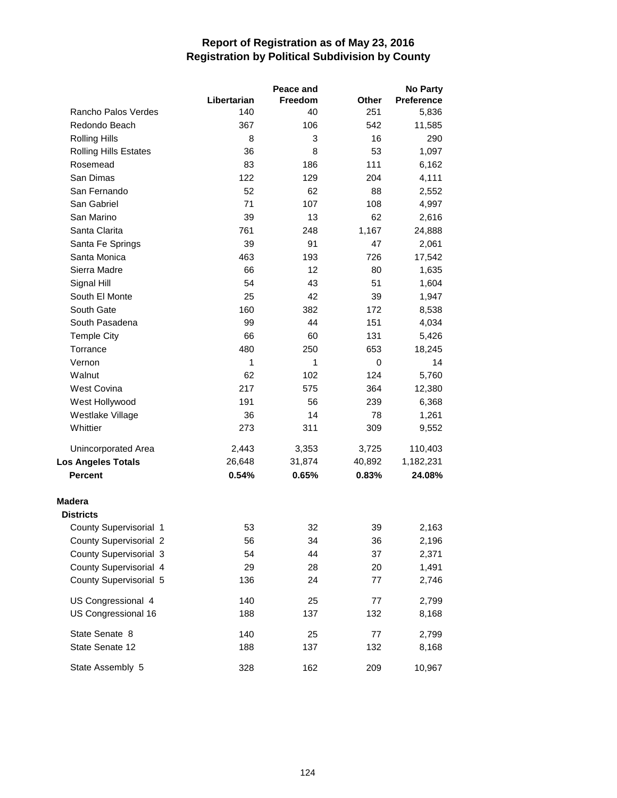|                               |             | Peace and      |              | <b>No Party</b>   |
|-------------------------------|-------------|----------------|--------------|-------------------|
|                               | Libertarian | <b>Freedom</b> | <b>Other</b> | <b>Preference</b> |
| Rancho Palos Verdes           | 140         | 40             | 251          | 5,836             |
| Redondo Beach                 | 367         | 106            | 542          | 11,585            |
| <b>Rolling Hills</b>          | 8           | 3              | 16           | 290               |
| <b>Rolling Hills Estates</b>  | 36          | 8              | 53           | 1,097             |
| Rosemead                      | 83          | 186            | 111          | 6,162             |
| San Dimas                     | 122         | 129            | 204          | 4,111             |
| San Fernando                  | 52          | 62             | 88           | 2,552             |
| San Gabriel                   | 71          | 107            | 108          | 4,997             |
| San Marino                    | 39          | 13             | 62           | 2,616             |
| Santa Clarita                 | 761         | 248            | 1,167        | 24,888            |
| Santa Fe Springs              | 39          | 91             | 47           | 2,061             |
| Santa Monica                  | 463         | 193            | 726          | 17,542            |
| Sierra Madre                  | 66          | 12             | 80           | 1,635             |
| Signal Hill                   | 54          | 43             | 51           | 1,604             |
| South El Monte                | 25          | 42             | 39           | 1,947             |
| South Gate                    | 160         | 382            | 172          | 8,538             |
| South Pasadena                | 99          | 44             | 151          | 4,034             |
| <b>Temple City</b>            | 66          | 60             | 131          | 5,426             |
| Torrance                      | 480         | 250            | 653          | 18,245            |
| Vernon                        | 1           | 1              | 0            | 14                |
| Walnut                        | 62          | 102            | 124          | 5,760             |
| <b>West Covina</b>            | 217         | 575            | 364          | 12,380            |
| West Hollywood                | 191         | 56             | 239          | 6,368             |
| Westlake Village              | 36          | 14             | 78           | 1,261             |
| Whittier                      | 273         | 311            | 309          | 9,552             |
| Unincorporated Area           | 2,443       | 3,353          | 3,725        | 110,403           |
| <b>Los Angeles Totals</b>     | 26,648      | 31,874         | 40,892       | 1,182,231         |
| <b>Percent</b>                | 0.54%       | 0.65%          | 0.83%        | 24.08%            |
| <b>Madera</b>                 |             |                |              |                   |
| <b>Districts</b>              |             |                |              |                   |
| County Supervisorial 1        | 53          | 32             | 39           | 2,163             |
| <b>County Supervisorial 2</b> | 56          | 34             | 36           | 2,196             |
| County Supervisorial 3        | 54          | 44             | 37           | 2,371             |
| County Supervisorial 4        | 29          | 28             | 20           | 1,491             |
| County Supervisorial 5        | 136         | 24             | 77           | 2,746             |
| US Congressional 4            | 140         | 25             | 77           | 2,799             |
| US Congressional 16           | 188         | 137            | 132          | 8,168             |
| State Senate 8                | 140         | 25             | 77           | 2,799             |
| State Senate 12               | 188         | 137            | 132          | 8,168             |
| State Assembly 5              | 328         | 162            | 209          | 10,967            |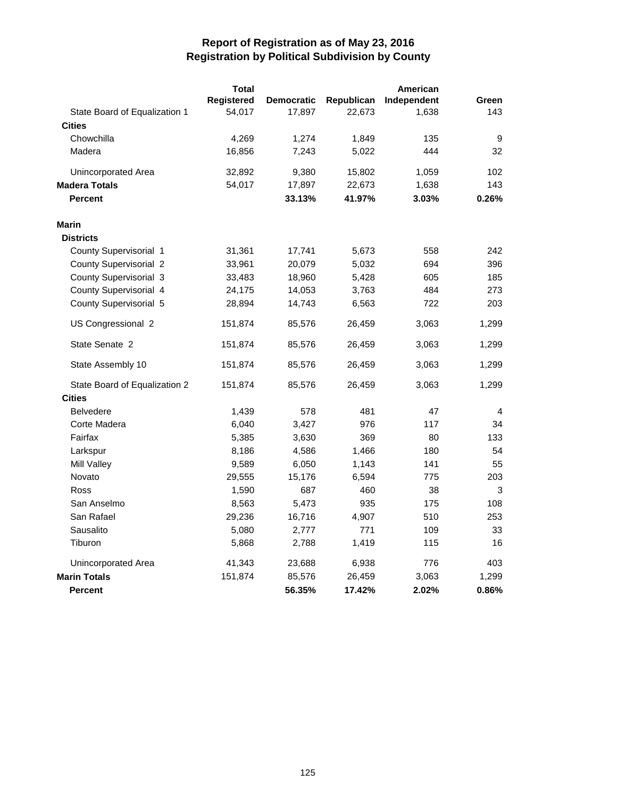|                               | <b>Total</b> |                   |            | American    |       |
|-------------------------------|--------------|-------------------|------------|-------------|-------|
|                               | Registered   | <b>Democratic</b> | Republican | Independent | Green |
| State Board of Equalization 1 | 54,017       | 17,897            | 22,673     | 1,638       | 143   |
| <b>Cities</b>                 |              |                   |            |             |       |
| Chowchilla                    | 4,269        | 1,274             | 1,849      | 135         | 9     |
| Madera                        | 16,856       | 7,243             | 5,022      | 444         | 32    |
| Unincorporated Area           | 32,892       | 9,380             | 15,802     | 1,059       | 102   |
| <b>Madera Totals</b>          | 54,017       | 17,897            | 22,673     | 1,638       | 143   |
| <b>Percent</b>                |              | 33.13%            | 41.97%     | 3.03%       | 0.26% |
| <b>Marin</b>                  |              |                   |            |             |       |
| <b>Districts</b>              |              |                   |            |             |       |
| County Supervisorial 1        | 31,361       | 17,741            | 5,673      | 558         | 242   |
| <b>County Supervisorial 2</b> | 33,961       | 20,079            | 5,032      | 694         | 396   |
| County Supervisorial 3        | 33,483       | 18,960            | 5,428      | 605         | 185   |
| County Supervisorial 4        | 24,175       | 14,053            | 3,763      | 484         | 273   |
| County Supervisorial 5        | 28,894       | 14,743            | 6,563      | 722         | 203   |
| US Congressional 2            | 151,874      | 85,576            | 26,459     | 3,063       | 1,299 |
| State Senate 2                | 151,874      | 85,576            | 26,459     | 3,063       | 1,299 |
| State Assembly 10             | 151,874      | 85,576            | 26,459     | 3,063       | 1,299 |
| State Board of Equalization 2 | 151,874      | 85,576            | 26,459     | 3,063       | 1,299 |
| <b>Cities</b>                 |              |                   |            |             |       |
| <b>Belvedere</b>              | 1,439        | 578               | 481        | 47          | 4     |
| Corte Madera                  | 6,040        | 3,427             | 976        | 117         | 34    |
| Fairfax                       | 5,385        | 3,630             | 369        | 80          | 133   |
| Larkspur                      | 8,186        | 4,586             | 1,466      | 180         | 54    |
| Mill Valley                   | 9,589        | 6,050             | 1,143      | 141         | 55    |
| Novato                        | 29,555       | 15,176            | 6,594      | 775         | 203   |
| Ross                          | 1,590        | 687               | 460        | 38          | 3     |
| San Anselmo                   | 8,563        | 5,473             | 935        | 175         | 108   |
| San Rafael                    | 29,236       | 16,716            | 4,907      | 510         | 253   |
| Sausalito                     | 5,080        | 2,777             | 771        | 109         | 33    |
| Tiburon                       | 5,868        | 2,788             | 1,419      | 115         | 16    |
| Unincorporated Area           | 41,343       | 23,688            | 6,938      | 776         | 403   |
| <b>Marin Totals</b>           | 151,874      | 85,576            | 26,459     | 3,063       | 1,299 |
| <b>Percent</b>                |              | 56.35%            | 17.42%     | 2.02%       | 0.86% |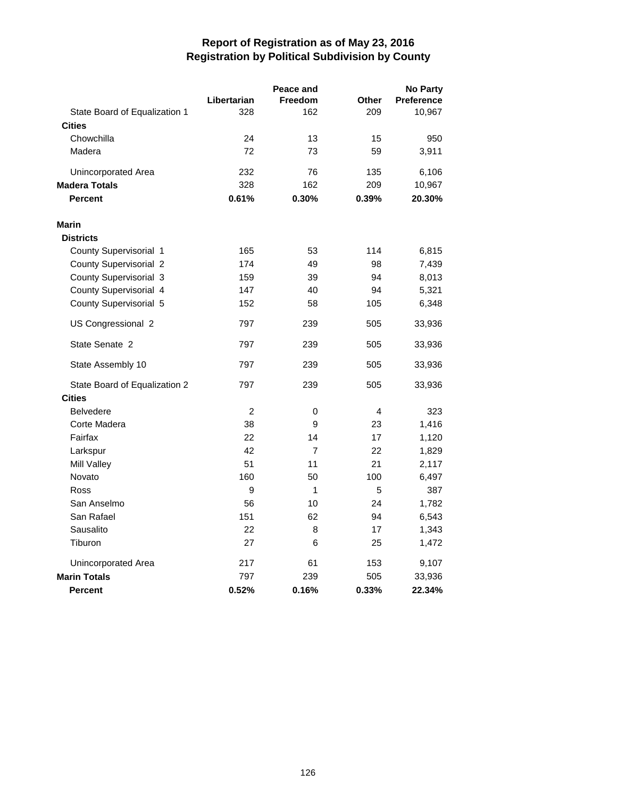|                               |                    | Peace and      |              | <b>No Party</b>   |
|-------------------------------|--------------------|----------------|--------------|-------------------|
|                               | Libertarian<br>328 | Freedom        | <b>Other</b> | <b>Preference</b> |
| State Board of Equalization 1 |                    | 162            | 209          | 10,967            |
| <b>Cities</b><br>Chowchilla   | 24                 |                |              | 950               |
| Madera                        | 72                 | 13<br>73       | 15<br>59     | 3,911             |
|                               |                    |                |              |                   |
| Unincorporated Area           | 232                | 76             | 135          | 6,106             |
| <b>Madera Totals</b>          | 328                | 162            | 209          | 10,967            |
| <b>Percent</b>                | 0.61%              | 0.30%          | 0.39%        | 20.30%            |
| <b>Marin</b>                  |                    |                |              |                   |
| <b>Districts</b>              |                    |                |              |                   |
| County Supervisorial 1        | 165                | 53             | 114          | 6,815             |
| <b>County Supervisorial 2</b> | 174                | 49             | 98           | 7,439             |
| County Supervisorial 3        | 159                | 39             | 94           | 8,013             |
| County Supervisorial 4        | 147                | 40             | 94           | 5,321             |
| County Supervisorial 5        | 152                | 58             | 105          | 6,348             |
| US Congressional 2            | 797                | 239            | 505          | 33,936            |
| State Senate 2                | 797                | 239            | 505          | 33,936            |
| State Assembly 10             | 797                | 239            | 505          | 33,936            |
| State Board of Equalization 2 | 797                | 239            | 505          | 33,936            |
| <b>Cities</b>                 |                    |                |              |                   |
| <b>Belvedere</b>              | $\overline{2}$     | 0              | 4            | 323               |
| Corte Madera                  | 38                 | 9              | 23           | 1,416             |
| Fairfax                       | 22                 | 14             | 17           | 1,120             |
| Larkspur                      | 42                 | $\overline{7}$ | 22           | 1,829             |
| Mill Valley                   | 51                 | 11             | 21           | 2,117             |
| Novato                        | 160                | 50             | 100          | 6,497             |
| Ross                          | 9                  | 1              | 5            | 387               |
| San Anselmo                   | 56                 | 10             | 24           | 1,782             |
| San Rafael                    | 151                | 62             | 94           | 6,543             |
| Sausalito                     | 22                 | 8              | 17           | 1,343             |
| Tiburon                       | 27                 | 6              | 25           | 1,472             |
| Unincorporated Area           | 217                | 61             | 153          | 9,107             |
| <b>Marin Totals</b>           | 797                | 239            | 505          | 33,936            |
| <b>Percent</b>                | 0.52%              | 0.16%          | 0.33%        | 22.34%            |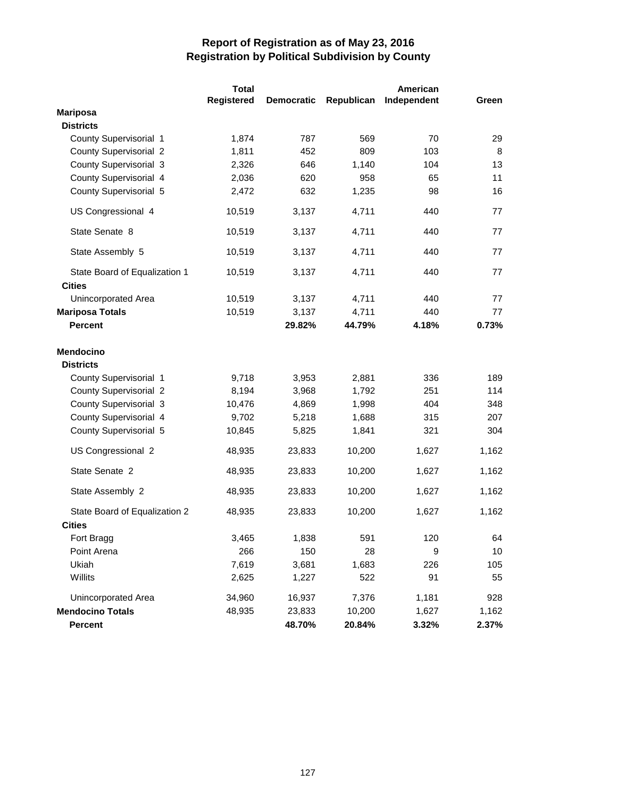|                                                | <b>Total</b>      |                   |            | American    |       |
|------------------------------------------------|-------------------|-------------------|------------|-------------|-------|
|                                                | <b>Registered</b> | <b>Democratic</b> | Republican | Independent | Green |
| <b>Mariposa</b>                                |                   |                   |            |             |       |
| <b>Districts</b>                               |                   |                   |            |             |       |
| County Supervisorial 1                         | 1,874             | 787               | 569        | 70          | 29    |
| <b>County Supervisorial 2</b>                  | 1,811             | 452               | 809        | 103         | 8     |
| <b>County Supervisorial 3</b>                  | 2,326             | 646               | 1,140      | 104         | 13    |
| County Supervisorial 4                         | 2,036             | 620               | 958        | 65          | 11    |
| County Supervisorial 5                         | 2,472             | 632               | 1,235      | 98          | 16    |
| US Congressional 4                             | 10,519            | 3,137             | 4,711      | 440         | 77    |
| State Senate 8                                 | 10,519            | 3,137             | 4,711      | 440         | 77    |
| State Assembly 5                               | 10,519            | 3,137             | 4,711      | 440         | 77    |
| State Board of Equalization 1<br><b>Cities</b> | 10,519            | 3,137             | 4,711      | 440         | 77    |
| Unincorporated Area                            | 10,519            | 3,137             | 4,711      | 440         | 77    |
| <b>Mariposa Totals</b>                         | 10,519            | 3,137             | 4,711      | 440         | 77    |
| <b>Percent</b>                                 |                   | 29.82%            | 44.79%     | 4.18%       | 0.73% |
| <b>Mendocino</b>                               |                   |                   |            |             |       |
| <b>Districts</b>                               |                   |                   |            |             |       |
| County Supervisorial 1                         | 9,718             | 3,953             | 2,881      | 336         | 189   |
| <b>County Supervisorial 2</b>                  | 8,194             | 3,968             | 1,792      | 251         | 114   |
| County Supervisorial 3                         | 10,476            | 4,869             | 1,998      | 404         | 348   |
| County Supervisorial 4                         | 9,702             | 5,218             | 1,688      | 315         | 207   |
| County Supervisorial 5                         | 10,845            | 5,825             | 1,841      | 321         | 304   |
| US Congressional 2                             | 48,935            | 23,833            | 10,200     | 1,627       | 1,162 |
| State Senate 2                                 | 48,935            | 23,833            | 10,200     | 1,627       | 1,162 |
| State Assembly 2                               | 48,935            | 23,833            | 10,200     | 1,627       | 1,162 |
| State Board of Equalization 2                  | 48,935            | 23,833            | 10,200     | 1,627       | 1,162 |
| <b>Cities</b>                                  |                   |                   |            |             |       |
| Fort Bragg                                     | 3,465             | 1,838             | 591        | 120         | 64    |
| Point Arena                                    | 266               | 150               | 28         | 9           | 10    |
| Ukiah                                          | 7,619             | 3,681             | 1,683      | 226         | 105   |
| Willits                                        | 2,625             | 1,227             | 522        | 91          | 55    |
| Unincorporated Area                            | 34,960            | 16,937            | 7,376      | 1,181       | 928   |
| <b>Mendocino Totals</b>                        | 48,935            | 23,833            | 10,200     | 1,627       | 1,162 |
| Percent                                        |                   | 48.70%            | 20.84%     | 3.32%       | 2.37% |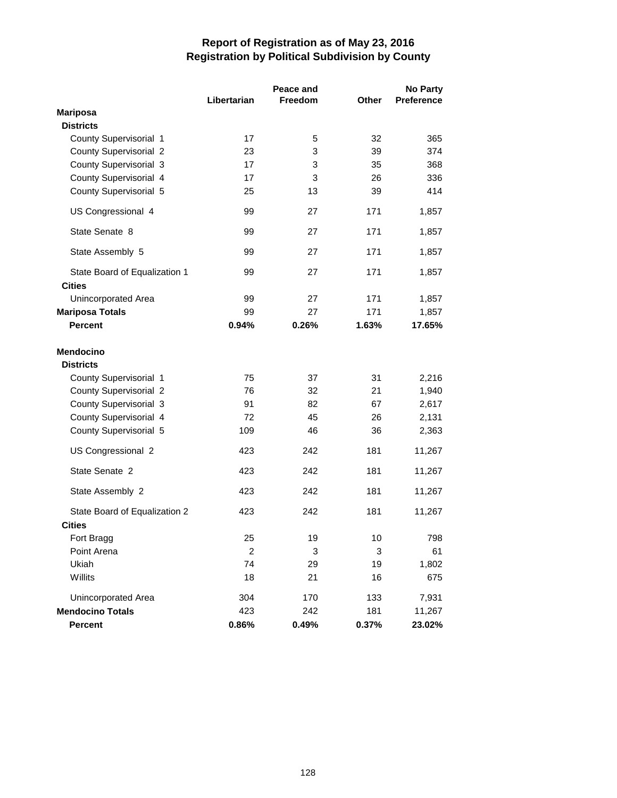|                                                |                | <b>No Party</b> |              |                   |
|------------------------------------------------|----------------|-----------------|--------------|-------------------|
|                                                | Libertarian    | <b>Freedom</b>  | <b>Other</b> | <b>Preference</b> |
| <b>Mariposa</b>                                |                |                 |              |                   |
| <b>Districts</b>                               |                |                 |              |                   |
| County Supervisorial 1                         | 17             | 5               | 32           | 365               |
| <b>County Supervisorial 2</b>                  | 23             | 3               | 39           | 374               |
| County Supervisorial 3                         | 17             | 3               | 35           | 368               |
| County Supervisorial 4                         | 17             | 3               | 26           | 336               |
| County Supervisorial 5                         | 25             | 13              | 39           | 414               |
| US Congressional 4                             | 99             | 27              | 171          | 1,857             |
| State Senate 8                                 | 99             | 27              | 171          | 1,857             |
| State Assembly 5                               | 99             | 27              | 171          | 1,857             |
| State Board of Equalization 1<br><b>Cities</b> | 99             | 27              | 171          | 1,857             |
| Unincorporated Area                            | 99             | 27              | 171          | 1,857             |
| <b>Mariposa Totals</b>                         | 99             | 27              | 171          | 1,857             |
| <b>Percent</b>                                 | 0.94%          | 0.26%           | 1.63%        | 17.65%            |
| <b>Mendocino</b><br><b>Districts</b>           |                |                 |              |                   |
| County Supervisorial 1                         | 75             | 37              | 31           | 2,216             |
| <b>County Supervisorial 2</b>                  | 76             | 32              | 21           | 1,940             |
| <b>County Supervisorial 3</b>                  | 91             | 82              | 67           | 2,617             |
| County Supervisorial 4                         | 72             | 45              | 26           | 2,131             |
| County Supervisorial 5                         | 109            | 46              | 36           | 2,363             |
| US Congressional 2                             | 423            | 242             | 181          | 11,267            |
| State Senate 2                                 | 423            | 242             | 181          | 11,267            |
| State Assembly 2                               | 423            | 242             | 181          | 11,267            |
| State Board of Equalization 2                  | 423            | 242             | 181          | 11,267            |
| <b>Cities</b>                                  |                |                 |              |                   |
| Fort Bragg                                     | 25             | 19              | 10           | 798               |
| Point Arena                                    | $\overline{c}$ | 3               | 3            | 61                |
| Ukiah                                          | 74             | 29              | 19           | 1,802             |
| Willits                                        | 18             | 21              | 16           | 675               |
| Unincorporated Area                            | 304            | 170             | 133          | 7,931             |
| <b>Mendocino Totals</b>                        | 423            | 242             | 181          | 11,267            |
| Percent                                        | 0.86%          | 0.49%           | 0.37%        | 23.02%            |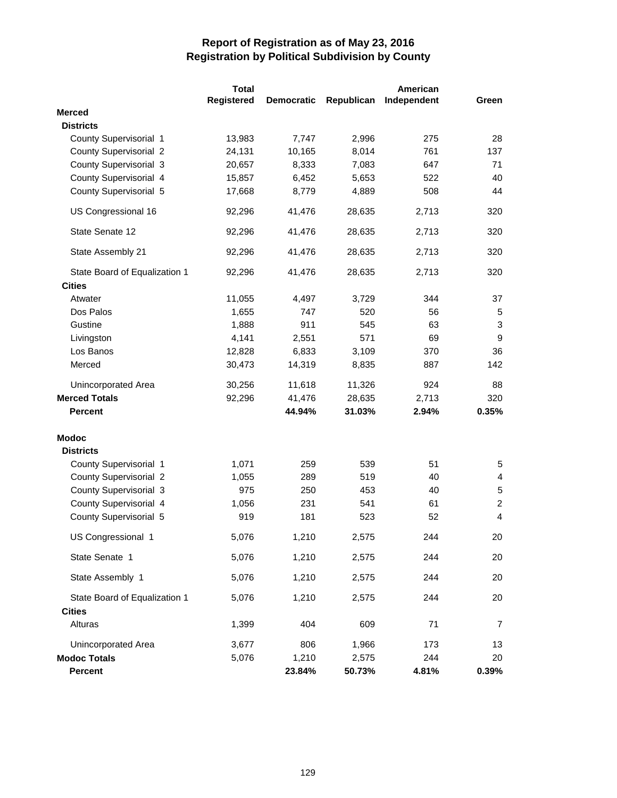|                               | <b>Total</b>      |                   |            | American    |                |  |  |
|-------------------------------|-------------------|-------------------|------------|-------------|----------------|--|--|
|                               | <b>Registered</b> | <b>Democratic</b> | Republican | Independent | Green          |  |  |
| <b>Merced</b>                 |                   |                   |            |             |                |  |  |
| <b>Districts</b>              |                   |                   |            |             |                |  |  |
| County Supervisorial 1        | 13,983            | 7,747             | 2,996      | 275         | 28             |  |  |
| <b>County Supervisorial 2</b> | 24,131            | 10,165            | 8,014      | 761         | 137            |  |  |
| <b>County Supervisorial 3</b> | 20,657            | 8,333             | 7,083      | 647         | 71             |  |  |
| County Supervisorial 4        | 15,857            | 6,452             | 5,653      | 522         | 40             |  |  |
| County Supervisorial 5        | 17,668            | 8,779             | 4,889      | 508         | 44             |  |  |
| US Congressional 16           | 92,296            | 41,476            | 28,635     | 2,713       | 320            |  |  |
| State Senate 12               | 92,296            | 41,476            | 28,635     | 2,713       | 320            |  |  |
| State Assembly 21             | 92,296            | 41,476            | 28,635     | 2,713       | 320            |  |  |
| State Board of Equalization 1 | 92,296            | 41,476            | 28,635     | 2,713       | 320            |  |  |
| <b>Cities</b>                 |                   |                   |            |             |                |  |  |
| Atwater                       | 11,055            | 4,497             | 3,729      | 344         | 37             |  |  |
| Dos Palos                     | 1,655             | 747               | 520        | 56          | 5              |  |  |
| Gustine                       | 1,888             | 911               | 545        | 63          | 3              |  |  |
| Livingston                    | 4,141             | 2,551             | 571        | 69          | 9              |  |  |
| Los Banos                     | 12,828            | 6,833             | 3,109      | 370         | 36             |  |  |
| Merced                        | 30,473            | 14,319            | 8,835      | 887         | 142            |  |  |
| Unincorporated Area           | 30,256            | 11,618            | 11,326     | 924         | 88             |  |  |
| <b>Merced Totals</b>          | 92,296            | 41,476            | 28,635     | 2,713       | 320            |  |  |
| <b>Percent</b>                |                   | 44.94%            | 31.03%     | 2.94%       | 0.35%          |  |  |
| <b>Modoc</b>                  |                   |                   |            |             |                |  |  |
| <b>Districts</b>              |                   |                   |            |             |                |  |  |
| County Supervisorial 1        | 1,071             | 259               | 539        | 51          | 5              |  |  |
| <b>County Supervisorial 2</b> | 1,055             | 289               | 519        | 40          | 4              |  |  |
| County Supervisorial 3        | 975               | 250               | 453        | 40          | 5              |  |  |
| County Supervisorial 4        | 1,056             | 231               | 541        | 61          | $\overline{c}$ |  |  |
| County Supervisorial 5        | 919               | 181               | 523        | 52          | $\overline{4}$ |  |  |
| US Congressional 1            | 5,076             | 1,210             | 2,575      | 244         | 20             |  |  |
| State Senate 1                | 5,076             | 1,210             | 2,575      | 244         | 20             |  |  |
| State Assembly 1              | 5,076             | 1,210             | 2,575      | 244         | 20             |  |  |
| State Board of Equalization 1 | 5,076             | 1,210             | 2,575      | 244         | 20             |  |  |
| <b>Cities</b>                 |                   |                   |            |             |                |  |  |
| Alturas                       | 1,399             | 404               | 609        | 71          | 7              |  |  |
| Unincorporated Area           | 3,677             | 806               | 1,966      | 173         | 13             |  |  |
| <b>Modoc Totals</b>           | 5,076             | 1,210             | 2,575      | 244         | 20             |  |  |
| Percent                       |                   | 23.84%            | 50.73%     | 4.81%       | 0.39%          |  |  |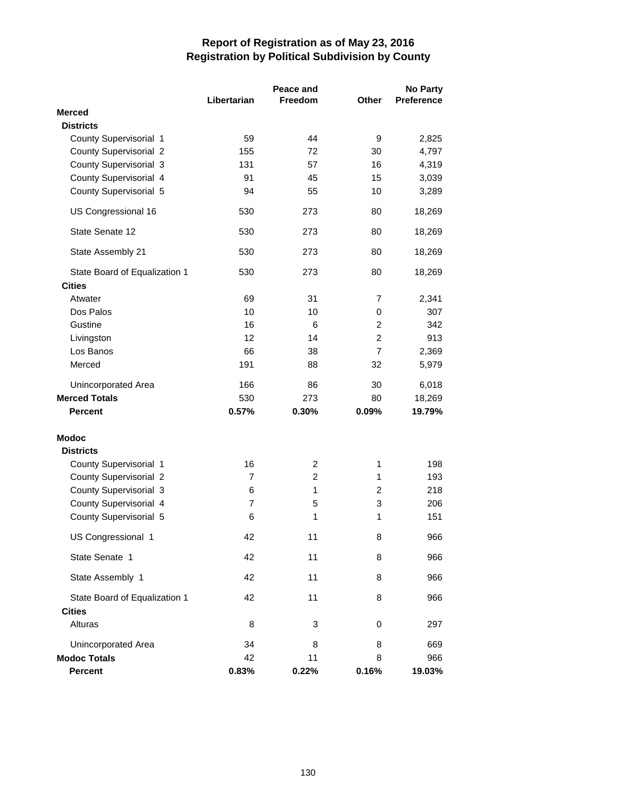|                               |                | Peace and      |                | <b>No Party</b> |  |
|-------------------------------|----------------|----------------|----------------|-----------------|--|
|                               | Libertarian    | Freedom        | <b>Other</b>   | Preference      |  |
| <b>Merced</b>                 |                |                |                |                 |  |
| <b>Districts</b>              |                |                |                |                 |  |
| County Supervisorial 1        | 59             | 44             | 9              | 2,825           |  |
| <b>County Supervisorial 2</b> | 155            | 72             | 30             | 4,797           |  |
| County Supervisorial 3        | 131            | 57             | 16             | 4,319           |  |
| County Supervisorial 4        | 91             | 45             | 15             | 3,039           |  |
| County Supervisorial 5        | 94             | 55             | 10             | 3,289           |  |
| US Congressional 16           | 530            | 273            | 80             | 18,269          |  |
| State Senate 12               | 530            | 273            | 80             | 18,269          |  |
| State Assembly 21             | 530            | 273            | 80             | 18,269          |  |
| State Board of Equalization 1 | 530            | 273            | 80             | 18,269          |  |
| <b>Cities</b>                 |                |                |                |                 |  |
| Atwater                       | 69             | 31             | $\overline{7}$ | 2,341           |  |
| Dos Palos                     | 10             | 10             | 0              | 307             |  |
| Gustine                       | 16             | 6              | $\overline{2}$ | 342             |  |
| Livingston                    | 12             | 14             | $\overline{2}$ | 913             |  |
| Los Banos                     | 66             | 38             | $\overline{7}$ | 2,369           |  |
| Merced                        | 191            | 88             | 32             | 5,979           |  |
| Unincorporated Area           | 166            | 86             | 30             | 6,018           |  |
| <b>Merced Totals</b>          | 530            | 273            | 80             | 18,269          |  |
| Percent                       | 0.57%          | 0.30%          | 0.09%          | 19.79%          |  |
| <b>Modoc</b>                  |                |                |                |                 |  |
| <b>Districts</b>              |                |                |                |                 |  |
| County Supervisorial 1        | 16             | 2              | 1              | 198             |  |
| <b>County Supervisorial 2</b> | $\overline{7}$ | $\overline{c}$ | 1              | 193             |  |
| County Supervisorial 3        | 6              | 1              | $\overline{2}$ | 218             |  |
| County Supervisorial 4        | $\overline{7}$ | 5              | 3              | 206             |  |
| County Supervisorial 5        | 6              | 1              | 1              | 151             |  |
| US Congressional 1            | 42             | 11             | 8              | 966             |  |
| State Senate 1                | 42             | 11             | 8              | 966             |  |
| State Assembly 1              | 42             | 11             | 8              | 966             |  |
| State Board of Equalization 1 | 42             | 11             | 8              | 966             |  |
| <b>Cities</b>                 |                |                |                |                 |  |
| Alturas                       | 8              | 3              | 0              | 297             |  |
| Unincorporated Area           | 34             | 8              | 8              | 669             |  |
| <b>Modoc Totals</b>           | 42             | 11             | 8              | 966             |  |
| Percent                       | 0.83%          | 0.22%          | 0.16%          | 19.03%          |  |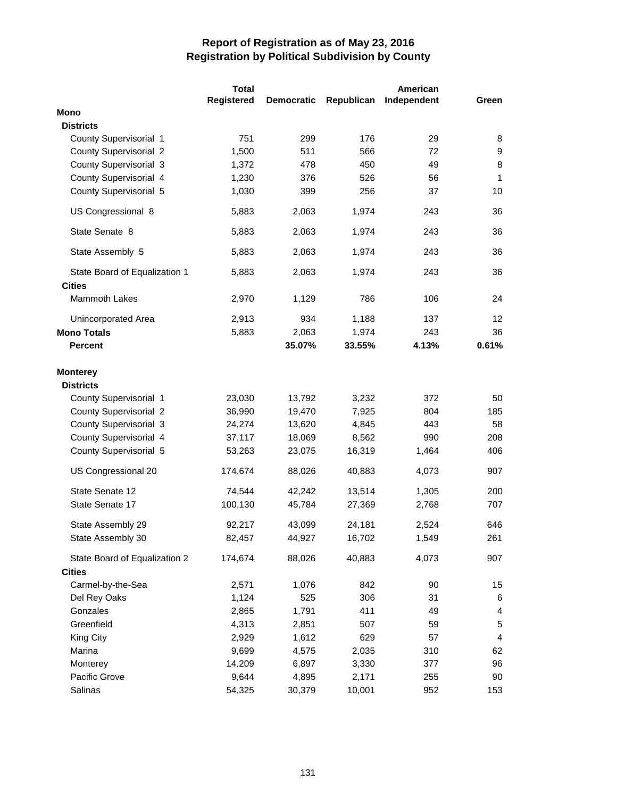|                               | <b>Total</b> | American          |            |             |       |
|-------------------------------|--------------|-------------------|------------|-------------|-------|
|                               | Registered   | <b>Democratic</b> | Republican | Independent | Green |
| Mono                          |              |                   |            |             |       |
| <b>Districts</b>              |              |                   |            |             |       |
| County Supervisorial 1        | 751          | 299               | 176        | 29          | 8     |
| <b>County Supervisorial 2</b> | 1,500        | 511               | 566        | 72          | 9     |
| County Supervisorial 3        | 1,372        | 478               | 450        | 49          | 8     |
| County Supervisorial 4        | 1,230        | 376               | 526        | 56          | 1     |
| County Supervisorial 5        | 1,030        | 399               | 256        | 37          | 10    |
| US Congressional 8            | 5,883        | 2,063             | 1,974      | 243         | 36    |
| State Senate 8                | 5,883        | 2,063             | 1,974      | 243         | 36    |
| State Assembly 5              | 5,883        | 2,063             | 1,974      | 243         | 36    |
| State Board of Equalization 1 | 5,883        | 2,063             | 1,974      | 243         | 36    |
| <b>Cities</b>                 |              |                   |            |             |       |
| <b>Mammoth Lakes</b>          | 2,970        | 1,129             | 786        | 106         | 24    |
| Unincorporated Area           | 2,913        | 934               | 1,188      | 137         | 12    |
| <b>Mono Totals</b>            | 5,883        | 2,063             | 1,974      | 243         | 36    |
| <b>Percent</b>                |              | 35.07%            | 33.55%     | 4.13%       | 0.61% |
| <b>Monterey</b>               |              |                   |            |             |       |
| <b>Districts</b>              |              |                   |            |             |       |
| County Supervisorial 1        | 23,030       | 13,792            | 3,232      | 372         | 50    |
| <b>County Supervisorial 2</b> | 36,990       | 19,470            | 7,925      | 804         | 185   |
| County Supervisorial 3        | 24,274       | 13,620            | 4,845      | 443         | 58    |
| County Supervisorial 4        | 37,117       | 18,069            | 8,562      | 990         | 208   |
| County Supervisorial 5        | 53,263       | 23,075            | 16,319     | 1,464       | 406   |
| US Congressional 20           | 174,674      | 88,026            | 40,883     | 4,073       | 907   |
| State Senate 12               | 74,544       | 42,242            | 13,514     | 1,305       | 200   |
| State Senate 17               | 100,130      | 45,784            | 27,369     | 2,768       | 707   |
| State Assembly 29             | 92,217       | 43,099            | 24,181     | 2,524       | 646   |
| State Assembly 30             | 82,457       | 44,927            | 16,702     | 1,549       | 261   |
| State Board of Equalization 2 | 174,674      | 88,026            | 40,883     | 4,073       | 907   |
| <b>Cities</b>                 |              |                   |            |             |       |
| Carmel-by-the-Sea             | 2,571        | 1,076             | 842        | 90          | 15    |
| Del Rey Oaks                  | 1,124        | 525               | 306        | 31          | 6     |
| Gonzales                      | 2,865        | 1,791             | 411        | 49          | 4     |
| Greenfield                    | 4,313        | 2,851             | 507        | 59          | 5     |
| King City                     | 2,929        | 1,612             | 629        | 57          | 4     |
| Marina                        | 9,699        | 4,575             | 2,035      | 310         | 62    |
| Monterey                      | 14,209       | 6,897             | 3,330      | 377         | 96    |
| Pacific Grove                 | 9,644        | 4,895             | 2,171      | 255         | 90    |
| Salinas                       | 54,325       | 30,379            | 10,001     | 952         | 153   |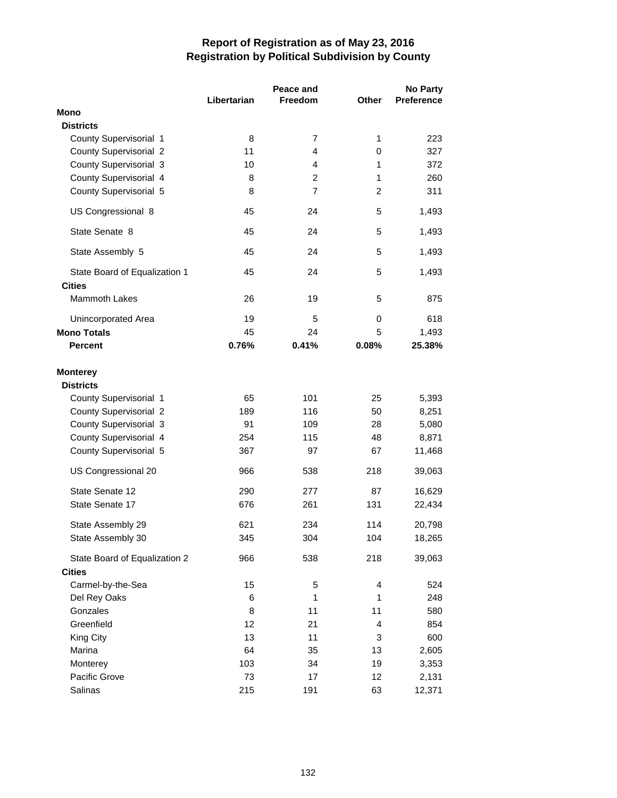|                                                |             | Peace and      |                | <b>No Party</b>   |  |
|------------------------------------------------|-------------|----------------|----------------|-------------------|--|
|                                                | Libertarian | Freedom        | <b>Other</b>   | <b>Preference</b> |  |
| Mono                                           |             |                |                |                   |  |
| <b>Districts</b>                               |             |                |                |                   |  |
| County Supervisorial 1                         | 8           | 7              | 1              | 223               |  |
| <b>County Supervisorial 2</b>                  | 11          | 4              | 0              | 327               |  |
| County Supervisorial 3                         | 10          | 4              | 1              | 372               |  |
| County Supervisorial 4                         | 8           | 2              | 1              | 260               |  |
| County Supervisorial 5                         | 8           | $\overline{7}$ | $\overline{c}$ | 311               |  |
| US Congressional 8                             | 45          | 24             | 5              | 1,493             |  |
| State Senate 8                                 | 45          | 24             | 5              | 1,493             |  |
| State Assembly 5                               | 45          | 24             | 5              | 1,493             |  |
| State Board of Equalization 1<br><b>Cities</b> | 45          | 24             | 5              | 1,493             |  |
| Mammoth Lakes                                  | 26          | 19             | 5              | 875               |  |
| Unincorporated Area                            | 19          | 5              | 0              | 618               |  |
| <b>Mono Totals</b>                             | 45          | 24             | 5              | 1,493             |  |
| <b>Percent</b>                                 | 0.76%       | 0.41%          | 0.08%          | 25.38%            |  |
| <b>Monterey</b><br><b>Districts</b>            |             |                |                |                   |  |
| County Supervisorial 1                         | 65          | 101            | 25             | 5,393             |  |
| <b>County Supervisorial 2</b>                  | 189         | 116            | 50             | 8,251             |  |
| County Supervisorial 3                         | 91          | 109            | 28             | 5,080             |  |
| County Supervisorial 4                         | 254         | 115            | 48             | 8,871             |  |
| County Supervisorial 5                         | 367         | 97             | 67             | 11,468            |  |
| US Congressional 20                            | 966         | 538            | 218            | 39,063            |  |
| State Senate 12                                | 290         | 277            | 87             | 16,629            |  |
| State Senate 17                                | 676         | 261            | 131            | 22,434            |  |
| State Assembly 29                              | 621         | 234            | 114            | 20,798            |  |
| State Assembly 30                              | 345         | 304            | 104            | 18,265            |  |
| State Board of Equalization 2<br><b>Cities</b> | 966         | 538            | 218            | 39,063            |  |
| Carmel-by-the-Sea                              | 15          | 5              | 4              | 524               |  |
| Del Rey Oaks                                   | 6           | 1              | 1              |                   |  |
| Gonzales                                       | 8           | 11             | 11             | 248<br>580        |  |
| Greenfield                                     | 12          | 21             | $\overline{4}$ | 854               |  |
| King City                                      | 13          | 11             | 3              | 600               |  |
| Marina                                         |             | 35             | 13             |                   |  |
|                                                | 64          |                | 19             | 2,605             |  |
| Monterey<br>Pacific Grove                      | 103<br>73   | 34<br>17       | 12             | 3,353             |  |
| Salinas                                        | 215         | 191            | 63             | 2,131             |  |
|                                                |             |                |                | 12,371            |  |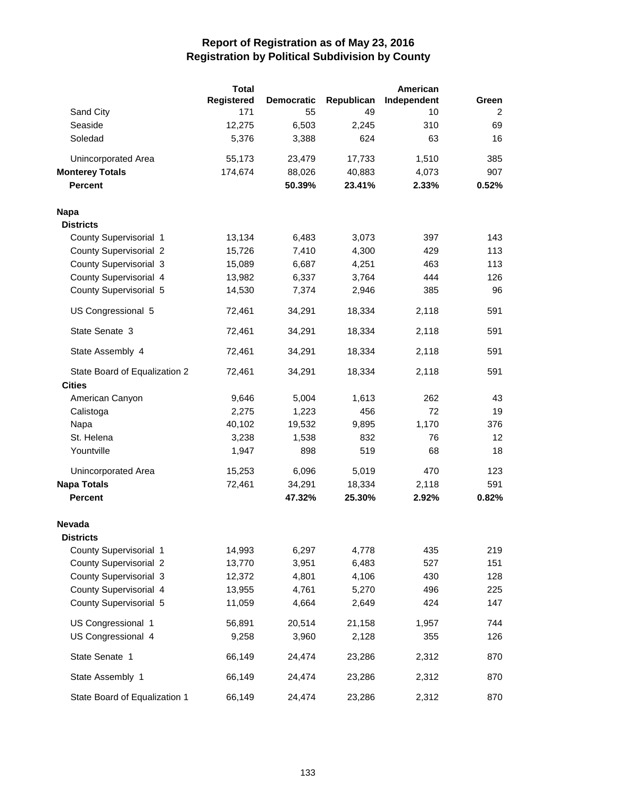|                               | <b>Total</b> |                   |            | American    |       |
|-------------------------------|--------------|-------------------|------------|-------------|-------|
|                               | Registered   | <b>Democratic</b> | Republican | Independent | Green |
| Sand City                     | 171          | 55                | 49         | 10          | 2     |
| Seaside                       | 12,275       | 6,503             | 2,245      | 310         | 69    |
| Soledad                       | 5,376        | 3,388             | 624        | 63          | 16    |
| Unincorporated Area           | 55,173       | 23,479            | 17,733     | 1,510       | 385   |
| <b>Monterey Totals</b>        | 174,674      | 88,026            | 40,883     | 4,073       | 907   |
| <b>Percent</b>                |              | 50.39%            | 23.41%     | 2.33%       | 0.52% |
| <b>Napa</b>                   |              |                   |            |             |       |
| <b>Districts</b>              |              |                   |            |             |       |
| County Supervisorial 1        | 13,134       | 6,483             | 3,073      | 397         | 143   |
| <b>County Supervisorial 2</b> | 15,726       | 7,410             | 4,300      | 429         | 113   |
| County Supervisorial 3        | 15,089       | 6,687             | 4,251      | 463         | 113   |
| County Supervisorial 4        | 13,982       | 6,337             | 3,764      | 444         | 126   |
| County Supervisorial 5        | 14,530       | 7,374             | 2,946      | 385         | 96    |
| US Congressional 5            | 72,461       | 34,291            | 18,334     | 2,118       | 591   |
| State Senate 3                | 72,461       | 34,291            | 18,334     | 2,118       | 591   |
| State Assembly 4              | 72,461       | 34,291            | 18,334     | 2,118       | 591   |
| State Board of Equalization 2 | 72,461       | 34,291            | 18,334     | 2,118       | 591   |
| <b>Cities</b>                 |              |                   |            |             |       |
| American Canyon               | 9,646        | 5,004             | 1,613      | 262         | 43    |
| Calistoga                     | 2,275        | 1,223             | 456        | 72          | 19    |
| Napa                          | 40,102       | 19,532            | 9,895      | 1,170       | 376   |
| St. Helena                    | 3,238        | 1,538             | 832        | 76          | 12    |
| Yountville                    | 1,947        | 898               | 519        | 68          | 18    |
| Unincorporated Area           | 15,253       | 6,096             | 5,019      | 470         | 123   |
| <b>Napa Totals</b>            | 72,461       | 34,291            | 18,334     | 2,118       | 591   |
| <b>Percent</b>                |              | 47.32%            | 25.30%     | 2.92%       | 0.82% |
| Nevada                        |              |                   |            |             |       |
| <b>Districts</b>              |              |                   |            |             |       |
| County Supervisorial 1        | 14,993       | 6,297             | 4,778      | 435         | 219   |
| <b>County Supervisorial 2</b> | 13,770       | 3,951             | 6,483      | 527         | 151   |
| County Supervisorial 3        | 12,372       | 4,801             | 4,106      | 430         | 128   |
| County Supervisorial 4        | 13,955       | 4,761             | 5,270      | 496         | 225   |
| County Supervisorial 5        | 11,059       | 4,664             | 2,649      | 424         | 147   |
| US Congressional 1            | 56,891       | 20,514            | 21,158     | 1,957       | 744   |
| US Congressional 4            | 9,258        | 3,960             | 2,128      | 355         | 126   |
| State Senate 1                | 66,149       | 24,474            | 23,286     | 2,312       | 870   |
| State Assembly 1              | 66,149       | 24,474            | 23,286     | 2,312       | 870   |
| State Board of Equalization 1 | 66,149       | 24,474            | 23,286     | 2,312       | 870   |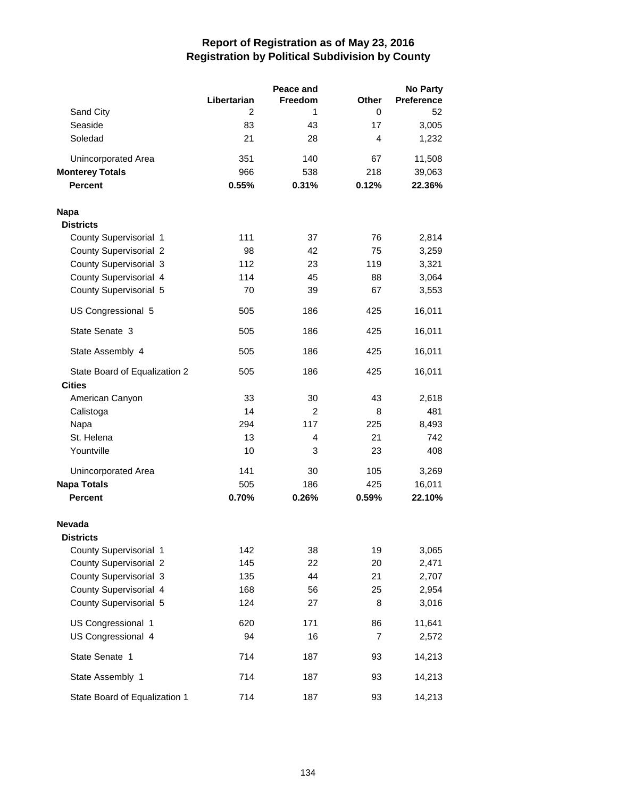|                               |             | Peace and      |                | <b>No Party</b> |
|-------------------------------|-------------|----------------|----------------|-----------------|
|                               | Libertarian | Freedom        | Other          | Preference      |
| Sand City                     | 2           | 1              | 0              | 52              |
| Seaside                       | 83          | 43             | 17             | 3,005           |
| Soledad                       | 21          | 28             | 4              | 1,232           |
| Unincorporated Area           | 351         | 140            | 67             | 11,508          |
| <b>Monterey Totals</b>        | 966         | 538            | 218            | 39,063          |
| <b>Percent</b>                | 0.55%       | 0.31%          | 0.12%          | 22.36%          |
| <b>Napa</b>                   |             |                |                |                 |
| <b>Districts</b>              |             |                |                |                 |
| County Supervisorial 1        | 111         | 37             | 76             | 2,814           |
| County Supervisorial 2        | 98          | 42             | 75             | 3,259           |
| County Supervisorial 3        | 112         | 23             | 119            | 3,321           |
| County Supervisorial 4        | 114         | 45             | 88             | 3,064           |
| County Supervisorial 5        | 70          | 39             | 67             | 3,553           |
| US Congressional 5            | 505         | 186            | 425            | 16,011          |
| State Senate 3                | 505         | 186            | 425            | 16,011          |
| State Assembly 4              | 505         | 186            | 425            | 16,011          |
| State Board of Equalization 2 | 505         | 186            | 425            | 16,011          |
| <b>Cities</b>                 |             |                |                |                 |
| American Canyon               | 33          | 30             | 43             | 2,618           |
| Calistoga                     | 14          | $\overline{2}$ | 8              | 481             |
| Napa                          | 294         | 117            | 225            | 8,493           |
| St. Helena                    | 13          | 4              | 21             | 742             |
| Yountville                    | 10          | 3              | 23             | 408             |
| Unincorporated Area           | 141         | 30             | 105            | 3,269           |
| <b>Napa Totals</b>            | 505         | 186            | 425            | 16,011          |
| <b>Percent</b>                | 0.70%       | 0.26%          | 0.59%          | 22.10%          |
| <b>Nevada</b>                 |             |                |                |                 |
| <b>Districts</b>              |             |                |                |                 |
| County Supervisorial 1        | 142         | 38             | 19             | 3,065           |
| County Supervisorial 2        | 145         | 22             | 20             | 2,471           |
| County Supervisorial 3        | 135         | 44             | 21             | 2,707           |
| County Supervisorial 4        | 168         | 56             | 25             | 2,954           |
| County Supervisorial 5        | 124         | 27             | 8              | 3,016           |
| US Congressional 1            | 620         | 171            | 86             | 11,641          |
| US Congressional 4            | 94          | 16             | $\overline{7}$ | 2,572           |
| State Senate 1                | 714         | 187            | 93             | 14,213          |
| State Assembly 1              | 714         | 187            | 93             | 14,213          |
| State Board of Equalization 1 | 714         | 187            | 93             | 14,213          |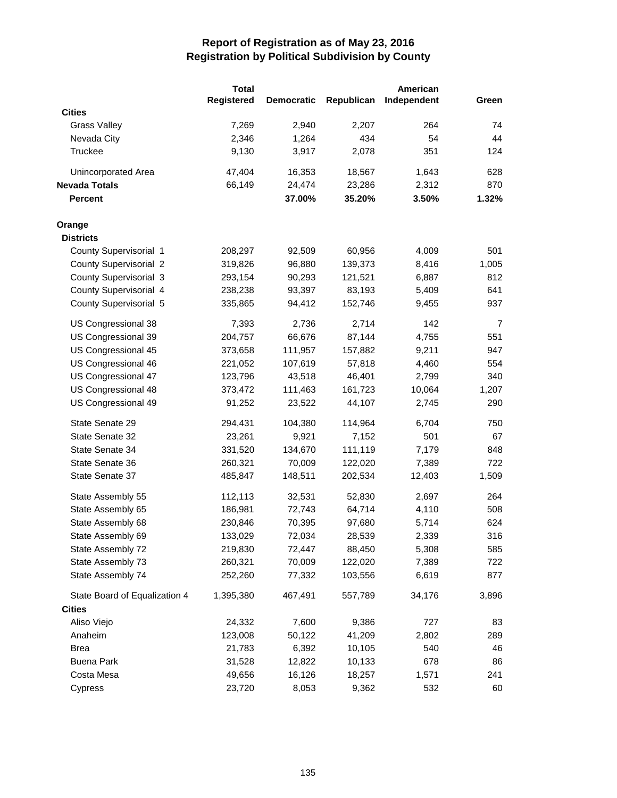|                               | <b>Total</b> |                   |            | American    |       |
|-------------------------------|--------------|-------------------|------------|-------------|-------|
|                               | Registered   | <b>Democratic</b> | Republican | Independent | Green |
| <b>Cities</b>                 |              |                   |            |             |       |
| <b>Grass Valley</b>           | 7,269        | 2,940             | 2,207      | 264         | 74    |
| Nevada City                   | 2,346        | 1,264             | 434        | 54          | 44    |
| <b>Truckee</b>                | 9,130        | 3,917             | 2,078      | 351         | 124   |
| Unincorporated Area           | 47,404       | 16,353            | 18,567     | 1,643       | 628   |
| <b>Nevada Totals</b>          | 66,149       | 24,474            | 23,286     | 2,312       | 870   |
| <b>Percent</b>                |              | 37.00%            | 35.20%     | 3.50%       | 1.32% |
| Orange                        |              |                   |            |             |       |
| <b>Districts</b>              |              |                   |            |             |       |
| <b>County Supervisorial 1</b> | 208,297      | 92,509            | 60,956     | 4,009       | 501   |
| <b>County Supervisorial 2</b> | 319,826      | 96,880            | 139,373    | 8,416       | 1,005 |
| County Supervisorial 3        | 293,154      | 90,293            | 121,521    | 6,887       | 812   |
| County Supervisorial 4        | 238,238      | 93,397            | 83,193     | 5,409       | 641   |
| County Supervisorial 5        | 335,865      | 94,412            | 152,746    | 9,455       | 937   |
| US Congressional 38           | 7,393        | 2,736             | 2,714      | 142         | 7     |
| US Congressional 39           | 204,757      | 66,676            | 87,144     | 4,755       | 551   |
| US Congressional 45           | 373,658      | 111,957           | 157,882    | 9,211       | 947   |
| US Congressional 46           | 221,052      | 107,619           | 57,818     | 4,460       | 554   |
| US Congressional 47           | 123,796      | 43,518            | 46,401     | 2,799       | 340   |
| US Congressional 48           | 373,472      | 111,463           | 161,723    | 10,064      | 1,207 |
| US Congressional 49           | 91,252       | 23,522            | 44,107     | 2,745       | 290   |
| State Senate 29               | 294,431      | 104,380           | 114,964    | 6,704       | 750   |
| State Senate 32               | 23,261       | 9,921             | 7,152      | 501         | 67    |
| State Senate 34               | 331,520      | 134,670           | 111,119    | 7,179       | 848   |
| State Senate 36               | 260,321      | 70,009            | 122,020    | 7,389       | 722   |
| State Senate 37               | 485,847      | 148,511           | 202,534    | 12,403      | 1,509 |
| State Assembly 55             | 112,113      | 32,531            | 52,830     | 2,697       | 264   |
| State Assembly 65             | 186,981      | 72,743            | 64,714     | 4,110       | 508   |
| State Assembly 68             | 230,846      | 70,395            | 97,680     | 5,714       | 624   |
| State Assembly 69             | 133,029      | 72,034            | 28,539     | 2,339       | 316   |
| State Assembly 72             | 219,830      | 72,447            | 88,450     | 5,308       | 585   |
| State Assembly 73             | 260,321      | 70,009            | 122,020    | 7,389       | 722   |
| State Assembly 74             | 252,260      | 77,332            | 103,556    | 6,619       | 877   |
| State Board of Equalization 4 | 1,395,380    | 467,491           | 557,789    | 34,176      | 3,896 |
| <b>Cities</b>                 |              |                   |            |             |       |
| Aliso Viejo                   | 24,332       | 7,600             | 9,386      | 727         | 83    |
| Anaheim                       | 123,008      | 50,122            | 41,209     | 2,802       | 289   |
| <b>Brea</b>                   | 21,783       | 6,392             | 10,105     | 540         | 46    |
| <b>Buena Park</b>             | 31,528       | 12,822            | 10,133     | 678         | 86    |
| Costa Mesa                    | 49,656       | 16,126            | 18,257     | 1,571       | 241   |
| Cypress                       | 23,720       | 8,053             | 9,362      | 532         | 60    |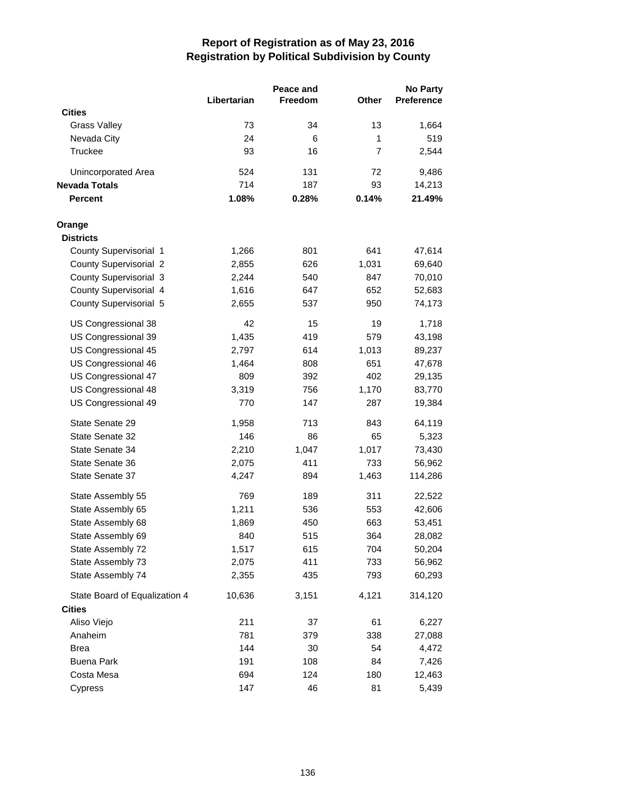|                               |             | Peace and |              | <b>No Party</b> |  |
|-------------------------------|-------------|-----------|--------------|-----------------|--|
|                               | Libertarian | Freedom   | Other        | Preference      |  |
| <b>Cities</b>                 |             |           |              |                 |  |
| <b>Grass Valley</b>           | 73          | 34        | 13           | 1,664           |  |
| Nevada City                   | 24          | 6         | $\mathbf{1}$ | 519             |  |
| Truckee                       | 93          | 16        | 7            | 2,544           |  |
| Unincorporated Area           | 524         | 131       | 72           | 9,486           |  |
| <b>Nevada Totals</b>          | 714         | 187       | 93           | 14,213          |  |
| <b>Percent</b>                | 1.08%       | 0.28%     | 0.14%        | 21.49%          |  |
| Orange                        |             |           |              |                 |  |
| <b>Districts</b>              |             |           |              |                 |  |
| County Supervisorial 1        | 1,266       | 801       | 641          | 47,614          |  |
| <b>County Supervisorial 2</b> | 2,855       | 626       | 1,031        | 69,640          |  |
| <b>County Supervisorial 3</b> | 2,244       | 540       | 847          | 70,010          |  |
| County Supervisorial 4        | 1,616       | 647       | 652          | 52,683          |  |
| County Supervisorial 5        | 2,655       | 537       | 950          | 74,173          |  |
| US Congressional 38           | 42          | 15        | 19           | 1,718           |  |
| US Congressional 39           | 1,435       | 419       | 579          | 43,198          |  |
| US Congressional 45           | 2,797       | 614       | 1,013        | 89,237          |  |
| US Congressional 46           | 1,464       | 808       | 651          | 47,678          |  |
| US Congressional 47           | 809         | 392       | 402          | 29,135          |  |
| US Congressional 48           | 3,319       | 756       | 1,170        | 83,770          |  |
| US Congressional 49           | 770         | 147       | 287          | 19,384          |  |
| State Senate 29               | 1,958       | 713       | 843          | 64,119          |  |
| <b>State Senate 32</b>        | 146         | 86        | 65           | 5,323           |  |
| State Senate 34               | 2,210       | 1,047     | 1,017        | 73,430          |  |
| State Senate 36               | 2,075       | 411       | 733          | 56,962          |  |
| State Senate 37               | 4,247       | 894       | 1,463        | 114,286         |  |
| State Assembly 55             | 769         | 189       | 311          | 22,522          |  |
| State Assembly 65             | 1,211       | 536       | 553          | 42,606          |  |
| State Assembly 68             | 1,869       | 450       | 663          | 53,451          |  |
| State Assembly 69             | 840         | 515       | 364          | 28,082          |  |
| State Assembly 72             | 1,517       | 615       | 704          | 50,204          |  |
| State Assembly 73             | 2,075       | 411       | 733          | 56,962          |  |
| State Assembly 74             | 2,355       | 435       | 793          | 60,293          |  |
| State Board of Equalization 4 | 10,636      | 3,151     | 4,121        | 314,120         |  |
| <b>Cities</b>                 |             |           |              |                 |  |
| Aliso Viejo                   | 211         | 37        | 61           | 6,227           |  |
| Anaheim                       | 781         | 379       | 338          | 27,088          |  |
| <b>Brea</b>                   | 144         | 30        | 54           | 4,472           |  |
| <b>Buena Park</b>             | 191         | 108       | 84           | 7,426           |  |
| Costa Mesa                    | 694         | 124       | 180          | 12,463          |  |
| Cypress                       | 147         | 46        | 81           | 5,439           |  |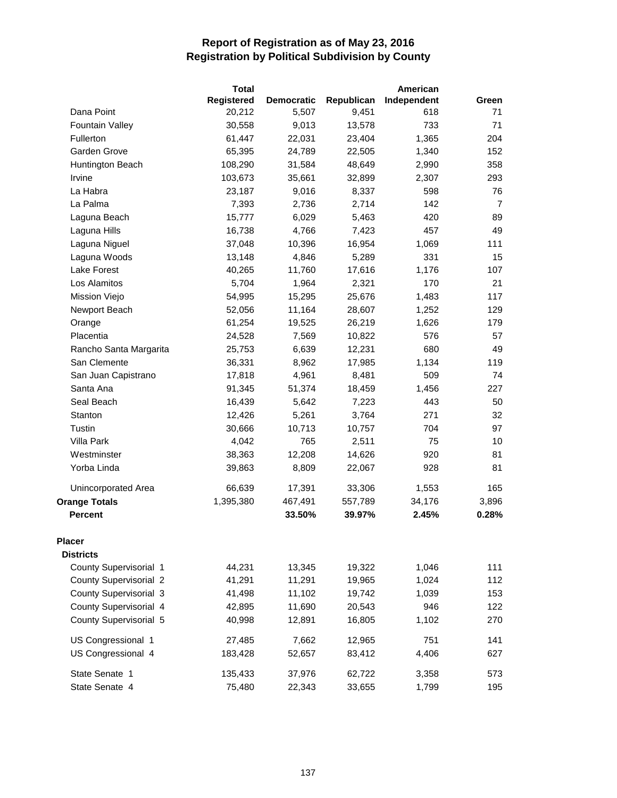|                               | <b>Total</b>      |                   |            | American    |                |
|-------------------------------|-------------------|-------------------|------------|-------------|----------------|
|                               | <b>Registered</b> | <b>Democratic</b> | Republican | Independent | Green          |
| Dana Point                    | 20,212            | 5,507             | 9,451      | 618         | 71             |
| <b>Fountain Valley</b>        | 30,558            | 9,013             | 13,578     | 733         | 71             |
| Fullerton                     | 61,447            | 22,031            | 23,404     | 1,365       | 204            |
| Garden Grove                  | 65,395            | 24,789            | 22,505     | 1,340       | 152            |
| Huntington Beach              | 108,290           | 31,584            | 48,649     | 2,990       | 358            |
| Irvine                        | 103,673           | 35,661            | 32,899     | 2,307       | 293            |
| La Habra                      | 23,187            | 9,016             | 8,337      | 598         | 76             |
| La Palma                      | 7,393             | 2,736             | 2,714      | 142         | $\overline{7}$ |
| Laguna Beach                  | 15,777            | 6,029             | 5,463      | 420         | 89             |
| Laguna Hills                  | 16,738            | 4,766             | 7,423      | 457         | 49             |
| Laguna Niguel                 | 37,048            | 10,396            | 16,954     | 1,069       | 111            |
| Laguna Woods                  | 13,148            | 4,846             | 5,289      | 331         | 15             |
| Lake Forest                   | 40,265            | 11,760            | 17,616     | 1,176       | 107            |
| Los Alamitos                  | 5,704             | 1,964             | 2,321      | 170         | 21             |
| Mission Viejo                 | 54,995            | 15,295            | 25,676     | 1,483       | 117            |
| Newport Beach                 | 52,056            | 11,164            | 28,607     | 1,252       | 129            |
| Orange                        | 61,254            | 19,525            | 26,219     | 1,626       | 179            |
| Placentia                     | 24,528            | 7,569             | 10,822     | 576         | 57             |
| Rancho Santa Margarita        | 25,753            | 6,639             | 12,231     | 680         | 49             |
| San Clemente                  | 36,331            | 8,962             | 17,985     | 1,134       | 119            |
| San Juan Capistrano           | 17,818            | 4,961             | 8,481      | 509         | 74             |
| Santa Ana                     | 91,345            | 51,374            | 18,459     | 1,456       | 227            |
| Seal Beach                    | 16,439            | 5,642             | 7,223      | 443         | 50             |
| Stanton                       | 12,426            | 5,261             | 3,764      | 271         | 32             |
| Tustin                        | 30,666            | 10,713            | 10,757     | 704         | 97             |
| Villa Park                    | 4,042             | 765               | 2,511      | 75          | 10             |
| Westminster                   | 38,363            | 12,208            | 14,626     | 920         | 81             |
| Yorba Linda                   | 39,863            | 8,809             | 22,067     | 928         | 81             |
| Unincorporated Area           | 66,639            | 17,391            | 33,306     | 1,553       | 165            |
| <b>Orange Totals</b>          | 1,395,380         | 467,491           | 557,789    | 34,176      | 3,896          |
| <b>Percent</b>                |                   | 33.50%            | 39.97%     | 2.45%       | 0.28%          |
| <b>Placer</b>                 |                   |                   |            |             |                |
| <b>Districts</b>              |                   |                   |            |             |                |
| County Supervisorial 1        | 44,231            | 13,345            | 19,322     | 1,046       | 111            |
| <b>County Supervisorial 2</b> | 41,291            | 11,291            | 19,965     | 1,024       | 112            |
| <b>County Supervisorial 3</b> | 41,498            | 11,102            | 19,742     | 1,039       | 153            |
| County Supervisorial 4        | 42,895            | 11,690            | 20,543     | 946         | 122            |
| County Supervisorial 5        | 40,998            | 12,891            | 16,805     | 1,102       | 270            |
| US Congressional 1            | 27,485            | 7,662             | 12,965     | 751         | 141            |
| US Congressional 4            | 183,428           | 52,657            | 83,412     | 4,406       | 627            |
| State Senate 1                | 135,433           | 37,976            | 62,722     | 3,358       | 573            |
| State Senate 4                | 75,480            | 22,343            | 33,655     | 1,799       | 195            |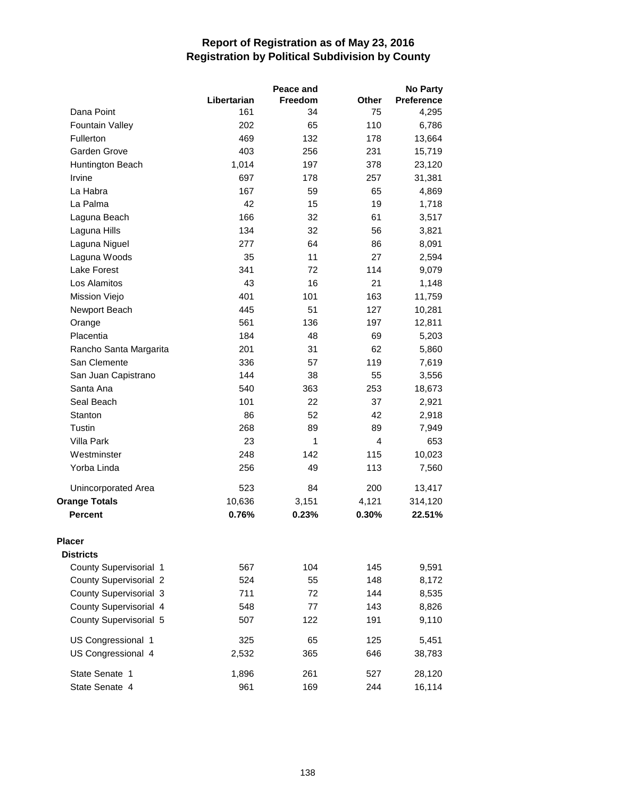|                               |             | Peace and |              | <b>No Party</b> |
|-------------------------------|-------------|-----------|--------------|-----------------|
|                               | Libertarian | Freedom   | <b>Other</b> | Preference      |
| Dana Point                    | 161         | 34        | 75           | 4,295           |
| <b>Fountain Valley</b>        | 202         | 65        | 110          | 6,786           |
| Fullerton                     | 469         | 132       | 178          | 13,664          |
| Garden Grove                  | 403         | 256       | 231          | 15,719          |
| Huntington Beach              | 1,014       | 197       | 378          | 23,120          |
| Irvine                        | 697         | 178       | 257          | 31,381          |
| La Habra                      | 167         | 59        | 65           | 4,869           |
| La Palma                      | 42          | 15        | 19           | 1,718           |
| Laguna Beach                  | 166         | 32        | 61           | 3,517           |
| Laguna Hills                  | 134         | 32        | 56           | 3,821           |
| Laguna Niguel                 | 277         | 64        | 86           | 8,091           |
| Laguna Woods                  | 35          | 11        | 27           | 2,594           |
| Lake Forest                   | 341         | 72        | 114          | 9,079           |
| Los Alamitos                  | 43          | 16        | 21           | 1,148           |
| Mission Viejo                 | 401         | 101       | 163          | 11,759          |
| Newport Beach                 | 445         | 51        | 127          | 10,281          |
| Orange                        | 561         | 136       | 197          | 12,811          |
| Placentia                     | 184         | 48        | 69           | 5,203           |
| Rancho Santa Margarita        | 201         | 31        | 62           | 5,860           |
| San Clemente                  | 336         | 57        | 119          | 7,619           |
| San Juan Capistrano           | 144         | 38        | 55           | 3,556           |
| Santa Ana                     | 540         | 363       | 253          | 18,673          |
| Seal Beach                    | 101         | 22        | 37           | 2,921           |
| Stanton                       | 86          | 52        | 42           | 2,918           |
| Tustin                        | 268         | 89        | 89           | 7,949           |
| <b>Villa Park</b>             | 23          | 1         | 4            | 653             |
| Westminster                   | 248         | 142       | 115          | 10,023          |
| Yorba Linda                   | 256         | 49        | 113          | 7,560           |
| Unincorporated Area           | 523         | 84        | 200          | 13,417          |
| <b>Orange Totals</b>          | 10,636      | 3,151     | 4,121        | 314,120         |
| <b>Percent</b>                | 0.76%       | 0.23%     | 0.30%        | 22.51%          |
| <b>Placer</b>                 |             |           |              |                 |
| <b>Districts</b>              |             |           |              |                 |
| County Supervisorial 1        | 567         | 104       | 145          | 9,591           |
| <b>County Supervisorial 2</b> | 524         | 55        | 148          | 8,172           |
| County Supervisorial 3        | 711         | 72        | 144          | 8,535           |
| County Supervisorial 4        | 548         | 77        | 143          | 8,826           |
| County Supervisorial 5        | 507         | 122       | 191          | 9,110           |
| US Congressional 1            | 325         | 65        | 125          | 5,451           |
| US Congressional 4            | 2,532       | 365       | 646          | 38,783          |
| State Senate 1                | 1,896       | 261       | 527          | 28,120          |
| State Senate 4                | 961         | 169       | 244          | 16,114          |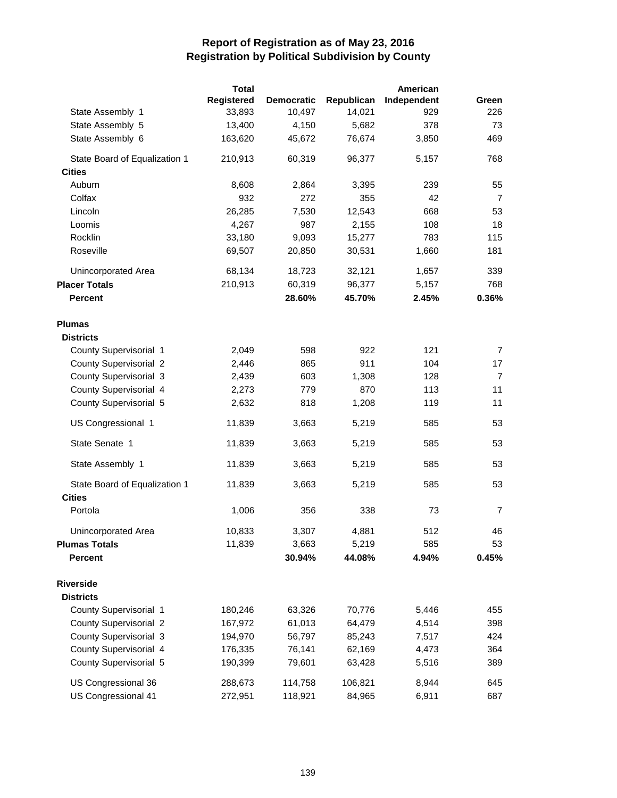|                               | <b>Total</b> |                   |            | American    |                |
|-------------------------------|--------------|-------------------|------------|-------------|----------------|
|                               | Registered   | <b>Democratic</b> | Republican | Independent | Green          |
| State Assembly 1              | 33,893       | 10,497            | 14,021     | 929         | 226            |
| State Assembly 5              | 13,400       | 4,150             | 5,682      | 378         | 73             |
| State Assembly 6              | 163,620      | 45,672            | 76,674     | 3,850       | 469            |
| State Board of Equalization 1 | 210,913      | 60,319            | 96,377     | 5,157       | 768            |
| <b>Cities</b>                 |              |                   |            |             |                |
| Auburn                        | 8,608        | 2,864             | 3,395      | 239         | 55             |
| Colfax                        | 932          | 272               | 355        | 42          | $\overline{7}$ |
| Lincoln                       | 26,285       | 7,530             | 12,543     | 668         | 53             |
| Loomis                        | 4,267        | 987               | 2,155      | 108         | 18             |
| Rocklin                       | 33,180       | 9,093             | 15,277     | 783         | 115            |
| Roseville                     | 69,507       | 20,850            | 30,531     | 1,660       | 181            |
| Unincorporated Area           | 68,134       | 18,723            | 32,121     | 1,657       | 339            |
| <b>Placer Totals</b>          | 210,913      | 60,319            | 96,377     | 5,157       | 768            |
| <b>Percent</b>                |              | 28.60%            | 45.70%     | 2.45%       | 0.36%          |
| <b>Plumas</b>                 |              |                   |            |             |                |
| <b>Districts</b>              |              |                   |            |             |                |
| County Supervisorial 1        | 2,049        | 598               | 922        | 121         | 7              |
| County Supervisorial 2        | 2,446        | 865               | 911        | 104         | 17             |
| County Supervisorial 3        | 2,439        | 603               | 1,308      | 128         | $\overline{7}$ |
| County Supervisorial 4        | 2,273        | 779               | 870        | 113         | 11             |
| County Supervisorial 5        | 2,632        | 818               | 1,208      | 119         | 11             |
| US Congressional 1            | 11,839       | 3,663             | 5,219      | 585         | 53             |
| State Senate 1                | 11,839       | 3,663             | 5,219      | 585         | 53             |
| State Assembly 1              | 11,839       | 3,663             | 5,219      | 585         | 53             |
| State Board of Equalization 1 | 11,839       | 3,663             | 5,219      | 585         | 53             |
| <b>Cities</b>                 |              |                   |            |             |                |
| Portola                       | 1,006        | 356               | 338        | 73          | $\overline{7}$ |
| Unincorporated Area           | 10,833       | 3,307             | 4,881      | 512         | 46             |
| <b>Plumas Totals</b>          | 11,839       | 3,663             | 5,219      | 585         | 53             |
| <b>Percent</b>                |              | 30.94%            | 44.08%     | 4.94%       | 0.45%          |
| <b>Riverside</b>              |              |                   |            |             |                |
| <b>Districts</b>              |              |                   |            |             |                |
| County Supervisorial 1        | 180,246      | 63,326            | 70,776     | 5,446       | 455            |
| <b>County Supervisorial 2</b> | 167,972      | 61,013            | 64,479     | 4,514       | 398            |
| County Supervisorial 3        | 194,970      | 56,797            | 85,243     | 7,517       | 424            |
| County Supervisorial 4        | 176,335      | 76,141            | 62,169     | 4,473       | 364            |
| County Supervisorial 5        | 190,399      | 79,601            | 63,428     | 5,516       | 389            |
| US Congressional 36           | 288,673      | 114,758           | 106,821    | 8,944       | 645            |
| US Congressional 41           | 272,951      | 118,921           | 84,965     | 6,911       | 687            |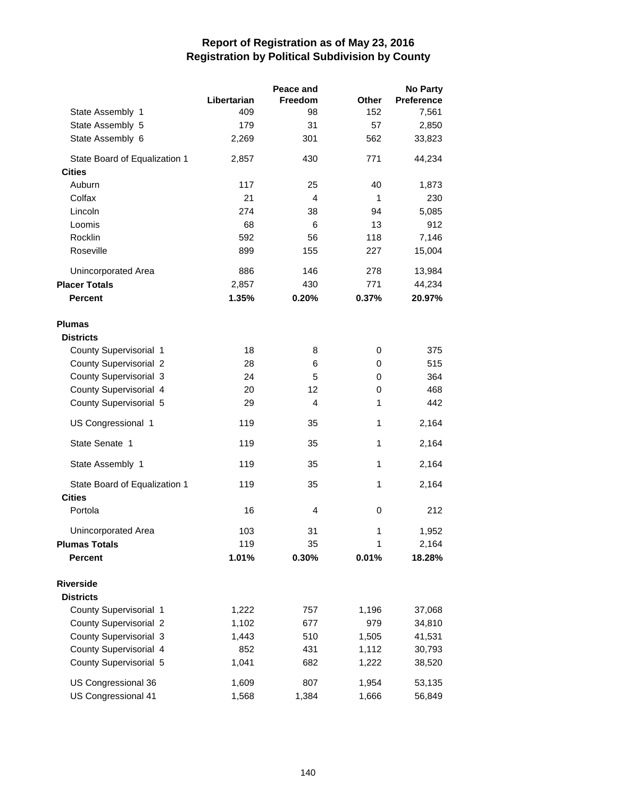|                               |             | Peace and      | <b>No Party</b> |            |  |
|-------------------------------|-------------|----------------|-----------------|------------|--|
|                               | Libertarian | <b>Freedom</b> | Other           | Preference |  |
| State Assembly 1              | 409         | 98             | 152             | 7,561      |  |
| State Assembly 5              | 179         | 31             | 57              | 2,850      |  |
| State Assembly 6              | 2,269       | 301            | 562             | 33,823     |  |
| State Board of Equalization 1 | 2,857       | 430            | 771             | 44,234     |  |
| <b>Cities</b>                 |             |                |                 |            |  |
| Auburn                        | 117         | 25             | 40              | 1,873      |  |
| Colfax                        | 21          | 4              | 1               | 230        |  |
| Lincoln                       | 274         | 38             | 94              | 5,085      |  |
| Loomis                        | 68          | 6              | 13              | 912        |  |
| Rocklin                       | 592         | 56             | 118             | 7,146      |  |
| Roseville                     | 899         | 155            | 227             | 15,004     |  |
| Unincorporated Area           | 886         | 146            | 278             | 13,984     |  |
| <b>Placer Totals</b>          | 2,857       | 430            | 771             | 44,234     |  |
| <b>Percent</b>                | 1.35%       | 0.20%          | 0.37%           | 20.97%     |  |
| <b>Plumas</b>                 |             |                |                 |            |  |
| <b>Districts</b>              |             |                |                 |            |  |
| County Supervisorial 1        | 18          | 8              | 0               | 375        |  |
| <b>County Supervisorial 2</b> | 28          | 6              | 0               | 515        |  |
| County Supervisorial 3        | 24          | 5              | 0               | 364        |  |
| County Supervisorial 4        | 20          | 12             | 0               | 468        |  |
| County Supervisorial 5        | 29          | 4              | 1               | 442        |  |
| US Congressional 1            | 119         | 35             | 1               | 2,164      |  |
| State Senate 1                | 119         | 35             | $\mathbf{1}$    | 2,164      |  |
| State Assembly 1              | 119         | 35             | 1               | 2,164      |  |
| State Board of Equalization 1 | 119         | 35             | 1               | 2,164      |  |
| <b>Cities</b>                 |             |                |                 |            |  |
| Portola                       | 16          | 4              | 0               | 212        |  |
| Unincorporated Area           | 103         | 31             | 1               | 1,952      |  |
| <b>Plumas Totals</b>          | 119         | 35             | 1               | 2,164      |  |
| <b>Percent</b>                | 1.01%       | 0.30%          | 0.01%           | 18.28%     |  |
| <b>Riverside</b>              |             |                |                 |            |  |
| <b>Districts</b>              |             |                |                 |            |  |
| County Supervisorial 1        | 1,222       | 757            | 1,196           | 37,068     |  |
| <b>County Supervisorial 2</b> | 1,102       | 677            | 979             | 34,810     |  |
| County Supervisorial 3        | 1,443       | 510            | 1,505           | 41,531     |  |
| County Supervisorial 4        | 852         | 431            | 1,112           | 30,793     |  |
| County Supervisorial 5        | 1,041       | 682            | 1,222           | 38,520     |  |
| US Congressional 36           | 1,609       | 807            | 1,954           | 53,135     |  |
| US Congressional 41           | 1,568       | 1,384          | 1,666           | 56,849     |  |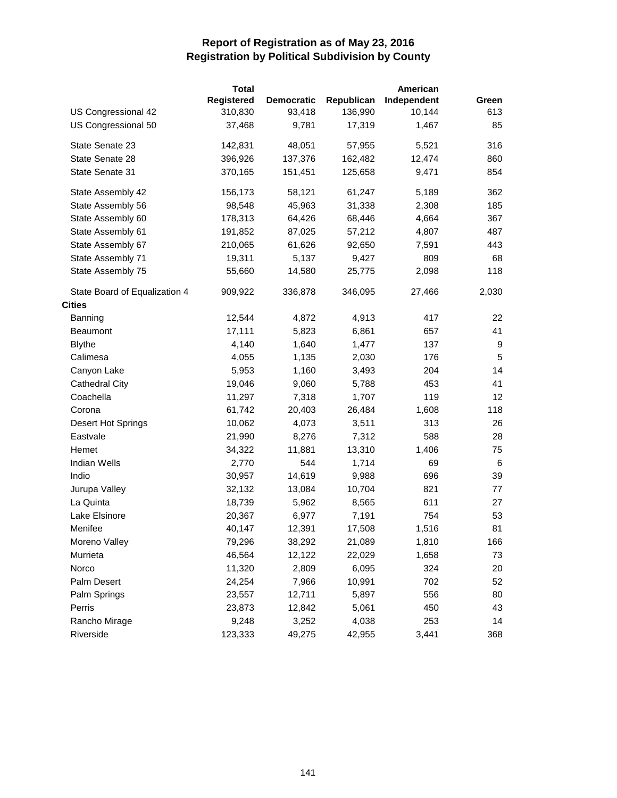|                               | <b>Total</b> |            |            | American    |       |
|-------------------------------|--------------|------------|------------|-------------|-------|
|                               | Registered   | Democratic | Republican | Independent | Green |
| US Congressional 42           | 310,830      | 93,418     | 136,990    | 10,144      | 613   |
| US Congressional 50           | 37,468       | 9,781      | 17,319     | 1,467       | 85    |
| State Senate 23               | 142,831      | 48,051     | 57,955     | 5,521       | 316   |
| State Senate 28               | 396,926      | 137,376    | 162,482    | 12,474      | 860   |
| State Senate 31               | 370,165      | 151,451    | 125,658    | 9,471       | 854   |
| State Assembly 42             | 156,173      | 58,121     | 61,247     | 5,189       | 362   |
| State Assembly 56             | 98,548       | 45,963     | 31,338     | 2,308       | 185   |
| State Assembly 60             | 178,313      | 64,426     | 68,446     | 4,664       | 367   |
| State Assembly 61             | 191,852      | 87,025     | 57,212     | 4,807       | 487   |
| State Assembly 67             | 210,065      | 61,626     | 92,650     | 7,591       | 443   |
| State Assembly 71             | 19,311       | 5,137      | 9,427      | 809         | 68    |
| State Assembly 75             | 55,660       | 14,580     | 25,775     | 2,098       | 118   |
| State Board of Equalization 4 | 909,922      | 336,878    | 346,095    | 27,466      | 2,030 |
| <b>Cities</b>                 |              |            |            |             |       |
| Banning                       | 12,544       | 4,872      | 4,913      | 417         | 22    |
| <b>Beaumont</b>               | 17,111       | 5,823      | 6,861      | 657         | 41    |
| <b>Blythe</b>                 | 4,140        | 1,640      | 1,477      | 137         | 9     |
| Calimesa                      | 4,055        | 1,135      | 2,030      | 176         | 5     |
| Canyon Lake                   | 5,953        | 1,160      | 3,493      | 204         | 14    |
| <b>Cathedral City</b>         | 19,046       | 9,060      | 5,788      | 453         | 41    |
| Coachella                     | 11,297       | 7,318      | 1,707      | 119         | 12    |
| Corona                        | 61,742       | 20,403     | 26,484     | 1,608       | 118   |
| Desert Hot Springs            | 10,062       | 4,073      | 3,511      | 313         | 26    |
| Eastvale                      | 21,990       | 8,276      | 7,312      | 588         | 28    |
| Hemet                         | 34,322       | 11,881     | 13,310     | 1,406       | 75    |
| <b>Indian Wells</b>           | 2,770        | 544        | 1,714      | 69          | 6     |
| Indio                         | 30,957       | 14,619     | 9,988      | 696         | 39    |
| Jurupa Valley                 | 32,132       | 13,084     | 10,704     | 821         | 77    |
| La Quinta                     | 18,739       | 5,962      | 8,565      | 611         | 27    |
| Lake Elsinore                 | 20,367       | 6,977      | 7,191      | 754         | 53    |
| Menifee                       | 40,147       | 12,391     | 17,508     | 1,516       | 81    |
| Moreno Valley                 | 79,296       | 38,292     | 21,089     | 1,810       | 166   |
| Murrieta                      | 46,564       | 12,122     | 22,029     | 1,658       | 73    |
| Norco                         | 11,320       | 2,809      | 6,095      | 324         | 20    |
| Palm Desert                   | 24,254       | 7,966      | 10,991     | 702         | 52    |
| Palm Springs                  | 23,557       | 12,711     | 5,897      | 556         | 80    |
| Perris                        | 23,873       | 12,842     | 5,061      | 450         | 43    |
| Rancho Mirage                 | 9,248        | 3,252      | 4,038      | 253         | 14    |
| Riverside                     | 123,333      | 49,275     | 42,955     | 3,441       | 368   |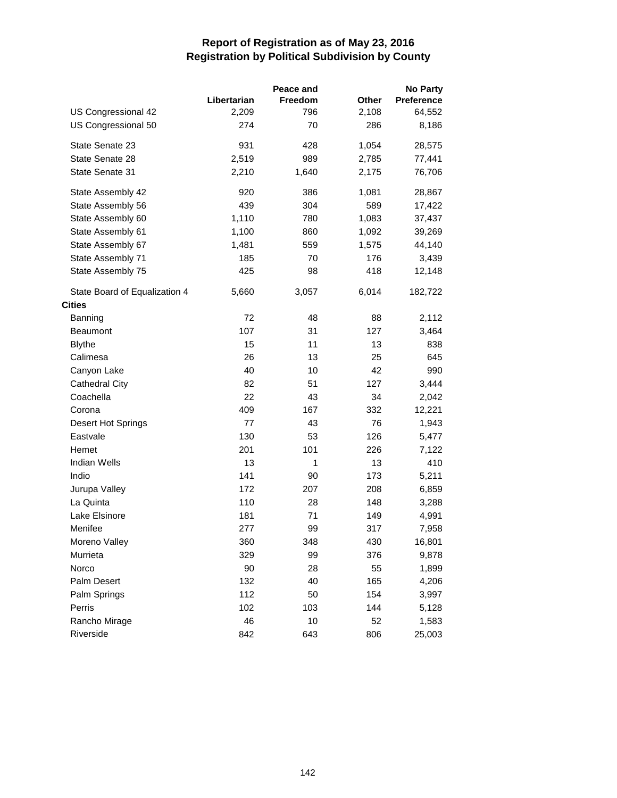|                               |             | Peace and    |       | <b>No Party</b> |
|-------------------------------|-------------|--------------|-------|-----------------|
|                               | Libertarian | Freedom      | Other | Preference      |
| US Congressional 42           | 2,209       | 796          | 2,108 | 64,552          |
| US Congressional 50           | 274         | 70           | 286   | 8,186           |
| State Senate 23               | 931         | 428          | 1,054 | 28,575          |
| State Senate 28               | 2,519       | 989          | 2,785 | 77,441          |
| State Senate 31               | 2,210       | 1,640        | 2,175 | 76,706          |
| State Assembly 42             | 920         | 386          | 1,081 | 28,867          |
| State Assembly 56             | 439         | 304          | 589   | 17,422          |
| State Assembly 60             | 1,110       | 780          | 1,083 | 37,437          |
| State Assembly 61             | 1,100       | 860          | 1,092 | 39,269          |
| State Assembly 67             | 1,481       | 559          | 1,575 | 44,140          |
| State Assembly 71             | 185         | 70           | 176   | 3,439           |
| State Assembly 75             | 425         | 98           | 418   | 12,148          |
| State Board of Equalization 4 | 5,660       | 3,057        | 6,014 | 182,722         |
| <b>Cities</b>                 |             |              |       |                 |
| Banning                       | 72          | 48           | 88    | 2,112           |
| <b>Beaumont</b>               | 107         | 31           | 127   | 3,464           |
| <b>Blythe</b>                 | 15          | 11           | 13    | 838             |
| Calimesa                      | 26          | 13           | 25    | 645             |
| Canyon Lake                   | 40          | 10           | 42    | 990             |
| <b>Cathedral City</b>         | 82          | 51           | 127   | 3,444           |
| Coachella                     | 22          | 43           | 34    | 2,042           |
| Corona                        | 409         | 167          | 332   | 12,221          |
| Desert Hot Springs            | 77          | 43           | 76    | 1,943           |
| Eastvale                      | 130         | 53           | 126   | 5,477           |
| Hemet                         | 201         | 101          | 226   | 7,122           |
| <b>Indian Wells</b>           | 13          | $\mathbf{1}$ | 13    | 410             |
| Indio                         | 141         | 90           | 173   | 5,211           |
| Jurupa Valley                 | 172         | 207          | 208   | 6,859           |
| La Quinta                     | 110         | 28           | 148   | 3,288           |
| Lake Elsinore                 | 181         | 71           | 149   | 4,991           |
| Menifee                       | 277         | 99           | 317   | 7,958           |
| Moreno Valley                 | 360         | 348          | 430   | 16,801          |
| Murrieta                      | 329         | 99           | 376   | 9,878           |
| Norco                         | 90          | 28           | 55    | 1,899           |
| Palm Desert                   | 132         | 40           | 165   | 4,206           |
| Palm Springs                  | 112         | 50           | 154   | 3,997           |
| Perris                        | 102         | 103          | 144   | 5,128           |
| Rancho Mirage                 | 46          | 10           | 52    | 1,583           |
| Riverside                     | 842         | 643          | 806   | 25,003          |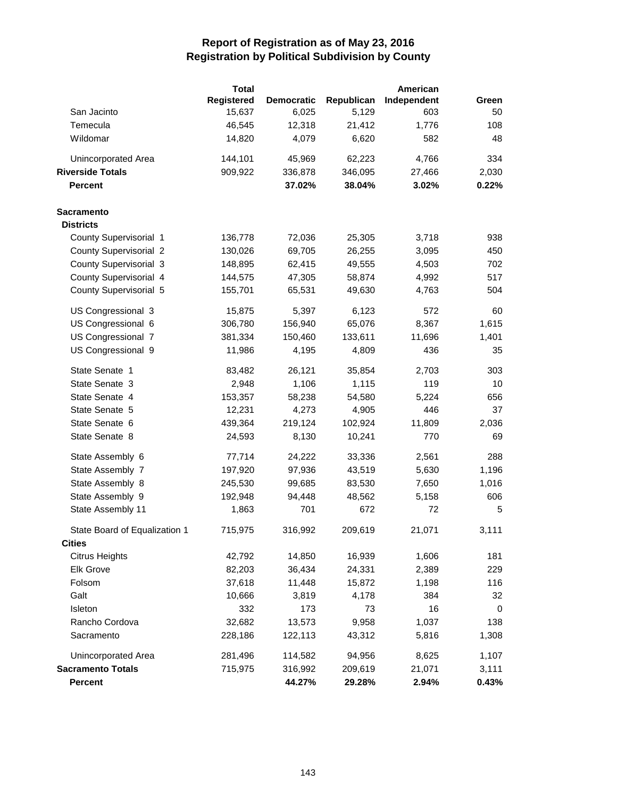|                               | <b>Total</b> |                   |            | American    |       |
|-------------------------------|--------------|-------------------|------------|-------------|-------|
|                               | Registered   | <b>Democratic</b> | Republican | Independent | Green |
| San Jacinto                   | 15,637       | 6,025             | 5,129      | 603         | 50    |
| Temecula                      | 46,545       | 12,318            | 21,412     | 1,776       | 108   |
| Wildomar                      | 14,820       | 4,079             | 6,620      | 582         | 48    |
| Unincorporated Area           | 144,101      | 45,969            | 62,223     | 4,766       | 334   |
| <b>Riverside Totals</b>       | 909,922      | 336,878           | 346,095    | 27,466      | 2,030 |
| <b>Percent</b>                |              | 37.02%            | 38.04%     | 3.02%       | 0.22% |
| <b>Sacramento</b>             |              |                   |            |             |       |
| <b>Districts</b>              |              |                   |            |             |       |
| County Supervisorial 1        | 136,778      | 72,036            | 25,305     | 3,718       | 938   |
| <b>County Supervisorial 2</b> | 130,026      | 69,705            | 26,255     | 3,095       | 450   |
| County Supervisorial 3        | 148,895      | 62,415            | 49,555     | 4,503       | 702   |
| County Supervisorial 4        | 144,575      | 47,305            | 58,874     | 4,992       | 517   |
| County Supervisorial 5        | 155,701      | 65,531            | 49,630     | 4,763       | 504   |
| US Congressional 3            | 15,875       | 5,397             | 6,123      | 572         | 60    |
| US Congressional 6            | 306,780      | 156,940           | 65,076     | 8,367       | 1,615 |
| US Congressional 7            | 381,334      | 150,460           | 133,611    | 11,696      | 1,401 |
| US Congressional 9            | 11,986       | 4,195             | 4,809      | 436         | 35    |
| State Senate 1                | 83,482       | 26,121            | 35,854     | 2,703       | 303   |
| State Senate 3                | 2,948        | 1,106             | 1,115      | 119         | 10    |
| State Senate 4                | 153,357      | 58,238            | 54,580     | 5,224       | 656   |
| State Senate 5                | 12,231       | 4,273             | 4,905      | 446         | 37    |
| State Senate 6                | 439,364      | 219,124           | 102,924    | 11,809      | 2,036 |
| State Senate 8                | 24,593       | 8,130             | 10,241     | 770         | 69    |
| State Assembly 6              | 77,714       | 24,222            | 33,336     | 2,561       | 288   |
| State Assembly 7              | 197,920      | 97,936            | 43,519     | 5,630       | 1,196 |
| State Assembly 8              | 245,530      | 99,685            | 83,530     | 7,650       | 1,016 |
| State Assembly 9              | 192,948      | 94,448            | 48,562     | 5,158       | 606   |
| State Assembly 11             | 1,863        | 701               | 672        | 72          | 5     |
| State Board of Equalization 1 | 715,975      | 316,992           | 209,619    | 21,071      | 3,111 |
| <b>Cities</b>                 |              |                   |            |             |       |
| <b>Citrus Heights</b>         | 42,792       | 14,850            | 16,939     | 1,606       | 181   |
| <b>Elk Grove</b>              | 82,203       | 36,434            | 24,331     | 2,389       | 229   |
| Folsom                        | 37,618       | 11,448            | 15,872     | 1,198       | 116   |
| Galt                          | 10,666       | 3,819             | 4,178      | 384         | 32    |
| Isleton                       | 332          | 173               | 73         | 16          | 0     |
| Rancho Cordova                | 32,682       | 13,573            | 9,958      | 1,037       | 138   |
| Sacramento                    | 228,186      | 122,113           | 43,312     | 5,816       | 1,308 |
| Unincorporated Area           | 281,496      | 114,582           | 94,956     | 8,625       | 1,107 |
| <b>Sacramento Totals</b>      | 715,975      | 316,992           | 209,619    | 21,071      | 3,111 |
| Percent                       |              | 44.27%            | 29.28%     | 2.94%       | 0.43% |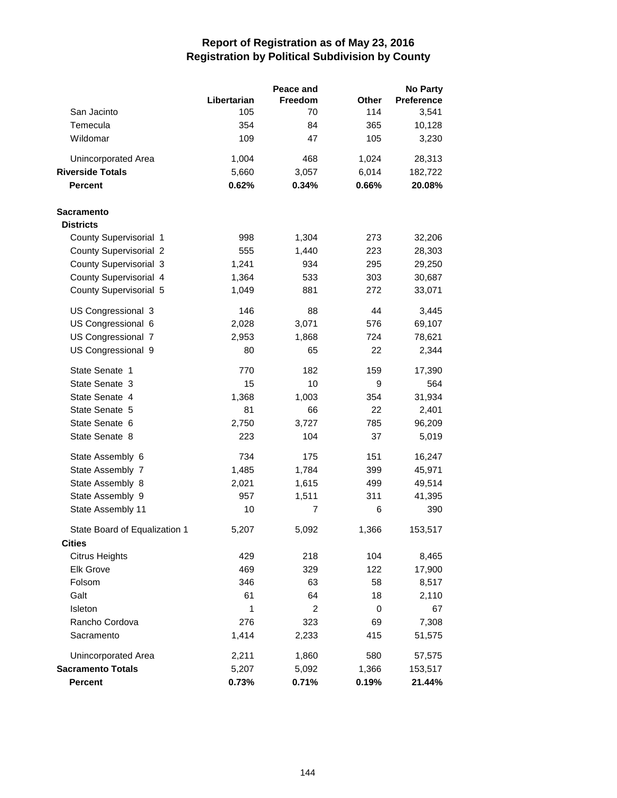|                               |             | Peace and |       | <b>No Party</b> |
|-------------------------------|-------------|-----------|-------|-----------------|
|                               | Libertarian | Freedom   | Other | Preference      |
| San Jacinto                   | 105         | 70        | 114   | 3,541           |
| Temecula                      | 354         | 84        | 365   | 10,128          |
| Wildomar                      | 109         | 47        | 105   | 3,230           |
| Unincorporated Area           | 1,004       | 468       | 1,024 | 28,313          |
| <b>Riverside Totals</b>       | 5,660       | 3,057     | 6,014 | 182,722         |
| <b>Percent</b>                | 0.62%       | 0.34%     | 0.66% | 20.08%          |
| <b>Sacramento</b>             |             |           |       |                 |
| <b>Districts</b>              |             |           |       |                 |
| County Supervisorial 1        | 998         | 1,304     | 273   | 32,206          |
| <b>County Supervisorial 2</b> | 555         | 1,440     | 223   | 28,303          |
| <b>County Supervisorial 3</b> | 1,241       | 934       | 295   | 29,250          |
| County Supervisorial 4        | 1,364       | 533       | 303   | 30,687          |
| County Supervisorial 5        | 1,049       | 881       | 272   | 33,071          |
| US Congressional 3            | 146         | 88        | 44    | 3,445           |
| US Congressional 6            | 2,028       | 3,071     | 576   | 69,107          |
| US Congressional 7            | 2,953       | 1,868     | 724   | 78,621          |
| US Congressional 9            | 80          | 65        | 22    | 2,344           |
| State Senate 1                | 770         | 182       | 159   | 17,390          |
| State Senate 3                | 15          | 10        | 9     | 564             |
| State Senate 4                | 1,368       | 1,003     | 354   | 31,934          |
| State Senate 5                | 81          | 66        | 22    | 2,401           |
| State Senate 6                | 2,750       | 3,727     | 785   | 96,209          |
| State Senate 8                | 223         | 104       | 37    | 5,019           |
| State Assembly 6              | 734         | 175       | 151   | 16,247          |
| State Assembly 7              | 1,485       | 1,784     | 399   | 45,971          |
| State Assembly 8              | 2,021       | 1,615     | 499   | 49,514          |
| State Assembly 9              | 957         | 1,511     | 311   | 41,395          |
| State Assembly 11             | 10          | 7         | 6     | 390             |
| State Board of Equalization 1 | 5,207       | 5,092     | 1,366 | 153,517         |
| <b>Cities</b>                 |             |           |       |                 |
| <b>Citrus Heights</b>         | 429         | 218       | 104   | 8,465           |
| <b>Elk Grove</b>              | 469         | 329       | 122   | 17,900          |
| Folsom                        | 346         | 63        | 58    | 8,517           |
| Galt                          | 61          | 64        | 18    | 2,110           |
| Isleton                       | 1           | 2         | 0     | 67              |
| Rancho Cordova                | 276         | 323       | 69    | 7,308           |
| Sacramento                    | 1,414       | 2,233     | 415   | 51,575          |
| Unincorporated Area           | 2,211       | 1,860     | 580   | 57,575          |
| <b>Sacramento Totals</b>      | 5,207       | 5,092     | 1,366 | 153,517         |
| Percent                       | 0.73%       | 0.71%     | 0.19% | 21.44%          |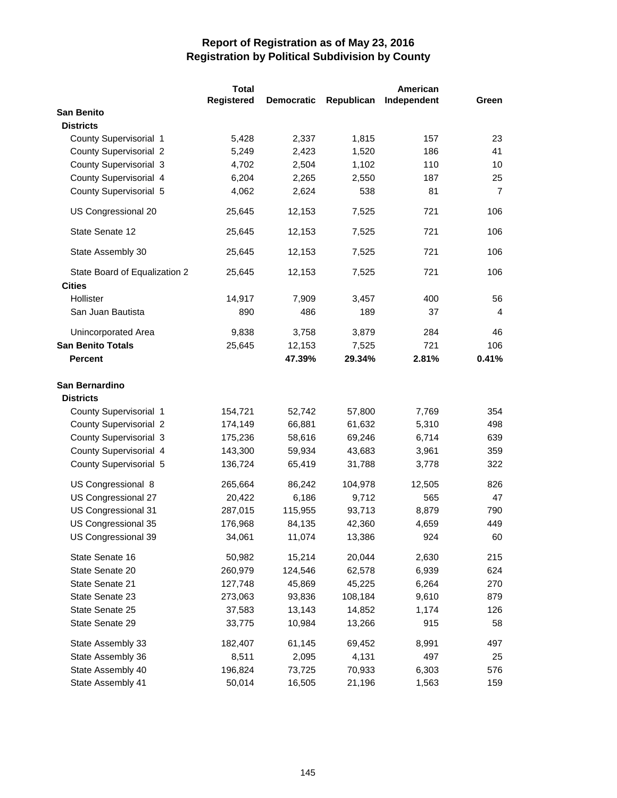|                               | <b>Total</b> |                   |            | American    |                |
|-------------------------------|--------------|-------------------|------------|-------------|----------------|
|                               | Registered   | <b>Democratic</b> | Republican | Independent | Green          |
| <b>San Benito</b>             |              |                   |            |             |                |
| <b>Districts</b>              |              |                   |            |             |                |
| County Supervisorial 1        | 5,428        | 2,337             | 1,815      | 157         | 23             |
| <b>County Supervisorial 2</b> | 5,249        | 2,423             | 1,520      | 186         | 41             |
| <b>County Supervisorial 3</b> | 4,702        | 2,504             | 1,102      | 110         | 10             |
| County Supervisorial 4        | 6,204        | 2,265             | 2,550      | 187         | 25             |
| County Supervisorial 5        | 4,062        | 2,624             | 538        | 81          | $\overline{7}$ |
| US Congressional 20           | 25,645       | 12,153            | 7,525      | 721         | 106            |
| State Senate 12               | 25,645       | 12,153            | 7,525      | 721         | 106            |
| State Assembly 30             | 25,645       | 12,153            | 7,525      | 721         | 106            |
| State Board of Equalization 2 | 25,645       | 12,153            | 7,525      | 721         | 106            |
| <b>Cities</b>                 |              |                   |            |             |                |
| Hollister                     | 14,917       | 7,909             | 3,457      | 400         | 56             |
| San Juan Bautista             | 890          | 486               | 189        | 37          | 4              |
| Unincorporated Area           | 9,838        | 3,758             | 3,879      | 284         | 46             |
| <b>San Benito Totals</b>      | 25,645       | 12,153            | 7,525      | 721         | 106            |
| <b>Percent</b>                |              | 47.39%            | 29.34%     | 2.81%       | 0.41%          |
| San Bernardino                |              |                   |            |             |                |
| <b>Districts</b>              |              |                   |            |             |                |
| County Supervisorial 1        | 154,721      | 52,742            | 57,800     | 7,769       | 354            |
| County Supervisorial 2        | 174,149      | 66,881            | 61,632     | 5,310       | 498            |
| County Supervisorial 3        | 175,236      | 58,616            | 69,246     | 6,714       | 639            |
| County Supervisorial 4        | 143,300      | 59,934            | 43,683     | 3,961       | 359            |
| County Supervisorial 5        | 136,724      | 65,419            | 31,788     | 3,778       | 322            |
| US Congressional 8            | 265,664      | 86,242            | 104,978    | 12,505      | 826            |
| US Congressional 27           | 20,422       | 6,186             | 9,712      | 565         | 47             |
| US Congressional 31           | 287,015      | 115,955           | 93,713     | 8,879       | 790            |
| US Congressional 35           | 176,968      | 84,135            | 42,360     | 4,659       | 449            |
| US Congressional 39           | 34,061       | 11,074            | 13,386     | 924         | 60             |
| State Senate 16               | 50,982       | 15,214            | 20,044     | 2,630       | 215            |
| State Senate 20               | 260,979      | 124,546           | 62,578     | 6,939       | 624            |
| State Senate 21               | 127,748      | 45,869            | 45,225     | 6,264       | 270            |
| State Senate 23               | 273,063      | 93,836            | 108,184    | 9,610       | 879            |
| State Senate 25               | 37,583       | 13,143            | 14,852     | 1,174       | 126            |
| State Senate 29               | 33,775       | 10,984            | 13,266     | 915         | 58             |
| State Assembly 33             | 182,407      | 61,145            | 69,452     | 8,991       | 497            |
| State Assembly 36             | 8,511        | 2,095             | 4,131      | 497         | 25             |
| State Assembly 40             | 196,824      | 73,725            | 70,933     | 6,303       | 576            |
| State Assembly 41             | 50,014       | 16,505            | 21,196     | 1,563       | 159            |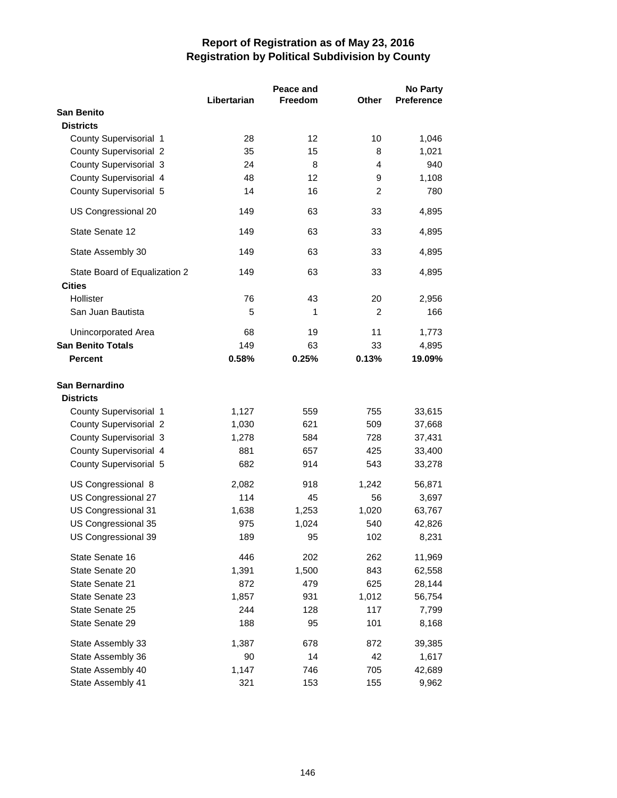|                               |             | Peace and | <b>No Party</b> |                   |
|-------------------------------|-------------|-----------|-----------------|-------------------|
|                               | Libertarian | Freedom   | <b>Other</b>    | <b>Preference</b> |
| <b>San Benito</b>             |             |           |                 |                   |
| <b>Districts</b>              |             |           |                 |                   |
| County Supervisorial 1        | 28          | 12        | 10              | 1,046             |
| <b>County Supervisorial 2</b> | 35          | 15        | 8               | 1,021             |
| County Supervisorial 3        | 24          | 8         | 4               | 940               |
| County Supervisorial 4        | 48          | 12        | 9               | 1,108             |
| County Supervisorial 5        | 14          | 16        | $\overline{c}$  | 780               |
| US Congressional 20           | 149         | 63        | 33              | 4,895             |
| State Senate 12               | 149         | 63        | 33              | 4,895             |
| State Assembly 30             | 149         | 63        | 33              | 4,895             |
| State Board of Equalization 2 | 149         | 63        | 33              | 4,895             |
| <b>Cities</b>                 |             |           |                 |                   |
| Hollister                     | 76          | 43        | 20              | 2,956             |
| San Juan Bautista             | 5           | 1         | $\overline{2}$  | 166               |
| Unincorporated Area           | 68          | 19        | 11              | 1,773             |
| <b>San Benito Totals</b>      | 149         | 63        | 33              | 4,895             |
| <b>Percent</b>                | 0.58%       | 0.25%     | 0.13%           | 19.09%            |
| <b>San Bernardino</b>         |             |           |                 |                   |
| <b>Districts</b>              |             |           |                 |                   |
| County Supervisorial 1        | 1,127       | 559       | 755             | 33,615            |
| <b>County Supervisorial 2</b> | 1,030       | 621       | 509             | 37,668            |
| County Supervisorial 3        | 1,278       | 584       | 728             | 37,431            |
| County Supervisorial 4        | 881         | 657       | 425             | 33,400            |
| County Supervisorial 5        | 682         | 914       | 543             | 33,278            |
| US Congressional 8            | 2,082       | 918       | 1,242           | 56,871            |
| US Congressional 27           | 114         | 45        | 56              | 3,697             |
| US Congressional 31           | 1,638       | 1,253     | 1,020           | 63,767            |
| US Congressional 35           | 975         | 1,024     | 540             | 42,826            |
| US Congressional 39           | 189         | 95        | 102             | 8,231             |
| State Senate 16               | 446         | 202       | 262             | 11,969            |
| State Senate 20               | 1,391       | 1,500     | 843             | 62,558            |
| State Senate 21               | 872         | 479       | 625             | 28,144            |
| State Senate 23               | 1,857       | 931       | 1,012           | 56,754            |
| State Senate 25               | 244         | 128       | 117             | 7,799             |
| State Senate 29               | 188         | 95        | 101             | 8,168             |
| State Assembly 33             | 1,387       | 678       | 872             | 39,385            |
| State Assembly 36             | 90          | 14        | 42              | 1,617             |
| State Assembly 40             | 1,147       | 746       | 705             | 42,689            |
| State Assembly 41             | 321         | 153       | 155             | 9,962             |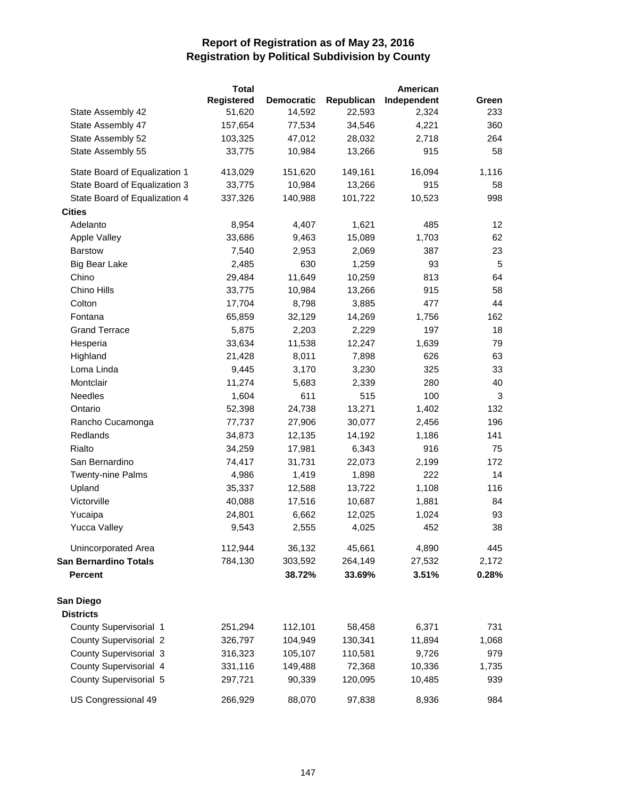|                               | <b>Total</b> |                   |            | American    |            |
|-------------------------------|--------------|-------------------|------------|-------------|------------|
|                               | Registered   | <b>Democratic</b> | Republican | Independent | Green      |
| State Assembly 42             | 51,620       | 14,592            | 22,593     | 2,324       | 233        |
| State Assembly 47             | 157,654      | 77,534            | 34,546     | 4,221       | 360        |
| State Assembly 52             | 103,325      | 47,012            | 28,032     | 2,718       | 264        |
| State Assembly 55             | 33,775       | 10,984            | 13,266     | 915         | 58         |
| State Board of Equalization 1 | 413,029      | 151,620           | 149,161    | 16,094      | 1,116      |
| State Board of Equalization 3 | 33,775       | 10,984            | 13,266     | 915         | 58         |
| State Board of Equalization 4 | 337,326      | 140,988           | 101,722    | 10,523      | 998        |
| <b>Cities</b>                 |              |                   |            |             |            |
| Adelanto                      | 8,954        | 4,407             | 1,621      | 485         | 12         |
| Apple Valley                  | 33,686       | 9,463             | 15,089     | 1,703       | 62         |
| <b>Barstow</b>                | 7,540        | 2,953             | 2,069      | 387         | 23         |
| <b>Big Bear Lake</b>          | 2,485        | 630               | 1,259      | 93          | $\sqrt{5}$ |
| Chino                         | 29,484       | 11,649            | 10,259     | 813         | 64         |
| Chino Hills                   | 33,775       | 10,984            | 13,266     | 915         | 58         |
| Colton                        | 17,704       | 8,798             | 3,885      | 477         | 44         |
| Fontana                       | 65,859       | 32,129            | 14,269     | 1,756       | 162        |
| <b>Grand Terrace</b>          | 5,875        | 2,203             | 2,229      | 197         | 18         |
| Hesperia                      | 33,634       | 11,538            | 12,247     | 1,639       | 79         |
| Highland                      | 21,428       | 8,011             | 7,898      | 626         | 63         |
| Loma Linda                    | 9,445        | 3,170             | 3,230      | 325         | 33         |
| Montclair                     | 11,274       | 5,683             | 2,339      | 280         | 40         |
| Needles                       | 1,604        | 611               | 515        | 100         | 3          |
| Ontario                       | 52,398       | 24,738            | 13,271     | 1,402       | 132        |
| Rancho Cucamonga              | 77,737       | 27,906            | 30,077     | 2,456       | 196        |
| Redlands                      | 34,873       | 12,135            | 14,192     | 1,186       | 141        |
| Rialto                        | 34,259       | 17,981            | 6,343      | 916         | 75         |
| San Bernardino                | 74,417       | 31,731            | 22,073     | 2,199       | 172        |
| <b>Twenty-nine Palms</b>      | 4,986        | 1,419             | 1,898      | 222         | 14         |
| Upland                        | 35,337       | 12,588            | 13,722     | 1,108       | 116        |
| Victorville                   | 40,088       | 17,516            | 10,687     | 1,881       | 84         |
| Yucaipa                       | 24,801       | 6,662             | 12,025     | 1,024       | 93         |
| <b>Yucca Valley</b>           | 9,543        | 2,555             | 4,025      | 452         | 38         |
| Unincorporated Area           | 112,944      | 36,132            | 45,661     | 4,890       | 445        |
| <b>San Bernardino Totals</b>  | 784,130      | 303,592           | 264,149    | 27,532      | 2,172      |
| <b>Percent</b>                |              | 38.72%            | 33.69%     | 3.51%       | 0.28%      |
| San Diego                     |              |                   |            |             |            |
| <b>Districts</b>              |              |                   |            |             |            |
| County Supervisorial 1        | 251,294      | 112,101           | 58,458     | 6,371       | 731        |
| <b>County Supervisorial 2</b> | 326,797      | 104,949           | 130,341    | 11,894      | 1,068      |
| County Supervisorial 3        | 316,323      | 105,107           | 110,581    | 9,726       | 979        |
| County Supervisorial 4        | 331,116      | 149,488           | 72,368     | 10,336      | 1,735      |
| County Supervisorial 5        | 297,721      | 90,339            | 120,095    | 10,485      | 939        |
| US Congressional 49           | 266,929      | 88,070            | 97,838     | 8,936       | 984        |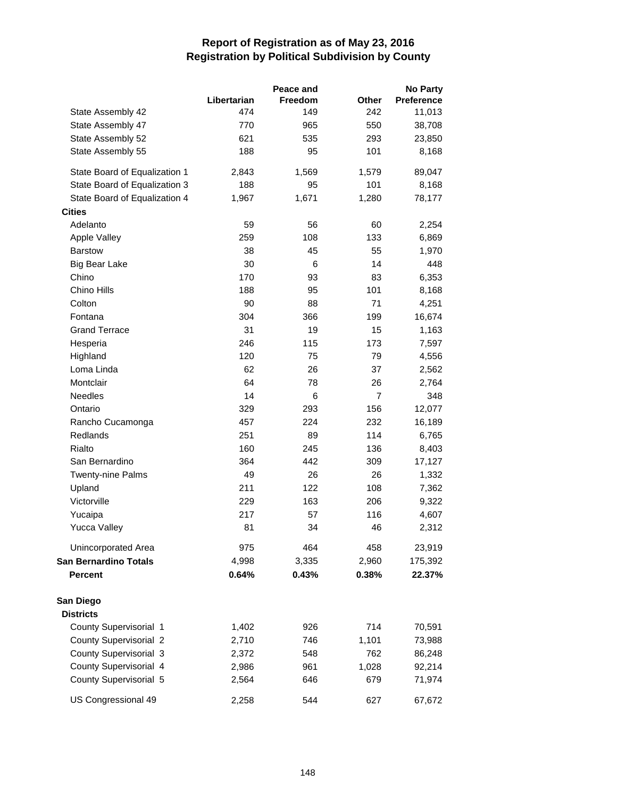|                               |             | Peace and | <b>No Party</b> |            |  |
|-------------------------------|-------------|-----------|-----------------|------------|--|
|                               | Libertarian | Freedom   | Other           | Preference |  |
| State Assembly 42             | 474         | 149       | 242             | 11,013     |  |
| State Assembly 47             | 770         | 965       | 550             | 38,708     |  |
| State Assembly 52             | 621         | 535       | 293             | 23,850     |  |
| State Assembly 55             | 188         | 95        | 101             | 8,168      |  |
| State Board of Equalization 1 | 2,843       | 1,569     | 1,579           | 89,047     |  |
| State Board of Equalization 3 | 188         | 95        | 101             | 8,168      |  |
| State Board of Equalization 4 | 1,967       | 1,671     | 1,280           | 78,177     |  |
| <b>Cities</b>                 |             |           |                 |            |  |
| Adelanto                      | 59          | 56        | 60              | 2,254      |  |
| Apple Valley                  | 259         | 108       | 133             | 6,869      |  |
| <b>Barstow</b>                | 38          | 45        | 55              | 1,970      |  |
| <b>Big Bear Lake</b>          | 30          | 6         | 14              | 448        |  |
| Chino                         | 170         | 93        | 83              | 6,353      |  |
| Chino Hills                   | 188         | 95        | 101             | 8,168      |  |
| Colton                        | 90          | 88        | 71              | 4,251      |  |
| Fontana                       | 304         | 366       | 199             | 16,674     |  |
| <b>Grand Terrace</b>          | 31          | 19        | 15              | 1,163      |  |
| Hesperia                      | 246         | 115       | 173             | 7,597      |  |
| Highland                      | 120         | 75        | 79              | 4,556      |  |
| Loma Linda                    | 62          | 26        | 37              | 2,562      |  |
| Montclair                     | 64          | 78        | 26              | 2,764      |  |
| <b>Needles</b>                | 14          | 6         | $\overline{7}$  | 348        |  |
| Ontario                       | 329         | 293       | 156             | 12,077     |  |
| Rancho Cucamonga              | 457         | 224       | 232             | 16,189     |  |
| Redlands                      | 251         | 89        | 114             | 6,765      |  |
| Rialto                        | 160         | 245       | 136             | 8,403      |  |
| San Bernardino                | 364         | 442       | 309             | 17,127     |  |
| <b>Twenty-nine Palms</b>      | 49          | 26        | 26              | 1,332      |  |
| Upland                        | 211         | 122       | 108             | 7,362      |  |
| Victorville                   | 229         | 163       | 206             | 9,322      |  |
| Yucaipa                       | 217         | 57        | 116             | 4,607      |  |
| <b>Yucca Valley</b>           | 81          | 34        | 46              | 2,312      |  |
| Unincorporated Area           | 975         | 464       | 458             | 23,919     |  |
| <b>San Bernardino Totals</b>  | 4,998       | 3,335     | 2,960           | 175,392    |  |
| <b>Percent</b>                | 0.64%       | 0.43%     | 0.38%           | 22.37%     |  |
| San Diego                     |             |           |                 |            |  |
| <b>Districts</b>              |             |           |                 |            |  |
| County Supervisorial 1        | 1,402       | 926       | 714             | 70,591     |  |
| County Supervisorial 2        | 2,710       | 746       | 1,101           | 73,988     |  |
| County Supervisorial 3        | 2,372       | 548       | 762             | 86,248     |  |
| County Supervisorial 4        | 2,986       | 961       | 1,028           | 92,214     |  |
| County Supervisorial 5        | 2,564       | 646       | 679             | 71,974     |  |
| US Congressional 49           | 2,258       | 544       | 627             | 67,672     |  |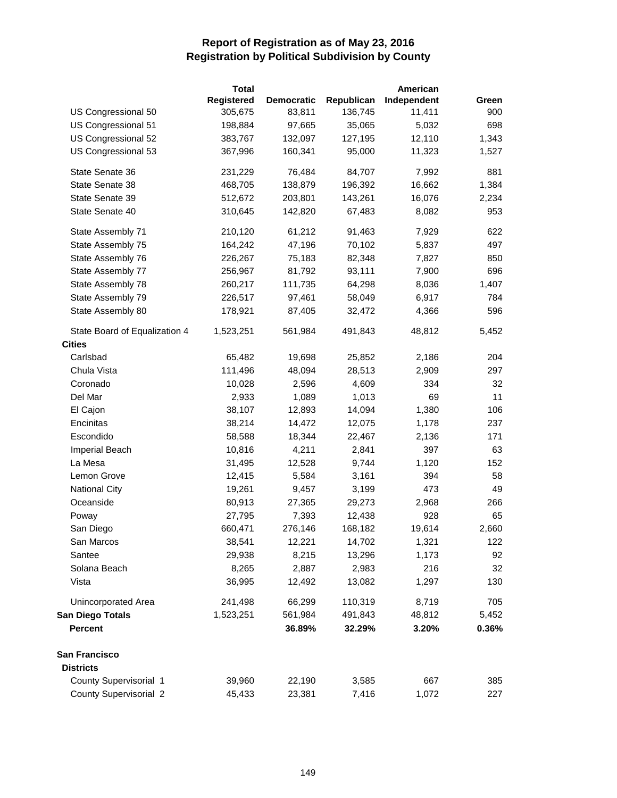|                               | <b>Total</b> |                   |            | American    |       |
|-------------------------------|--------------|-------------------|------------|-------------|-------|
|                               | Registered   | <b>Democratic</b> | Republican | Independent | Green |
| US Congressional 50           | 305,675      | 83,811            | 136,745    | 11,411      | 900   |
| US Congressional 51           | 198,884      | 97,665            | 35,065     | 5,032       | 698   |
| US Congressional 52           | 383,767      | 132,097           | 127,195    | 12,110      | 1,343 |
| US Congressional 53           | 367,996      | 160,341           | 95,000     | 11,323      | 1,527 |
| State Senate 36               | 231,229      | 76,484            | 84,707     | 7,992       | 881   |
| State Senate 38               | 468,705      | 138,879           | 196,392    | 16,662      | 1,384 |
| State Senate 39               | 512,672      | 203,801           | 143,261    | 16,076      | 2,234 |
| State Senate 40               | 310,645      | 142,820           | 67,483     | 8,082       | 953   |
| State Assembly 71             | 210,120      | 61,212            | 91,463     | 7,929       | 622   |
| State Assembly 75             | 164,242      | 47,196            | 70,102     | 5,837       | 497   |
| State Assembly 76             | 226,267      | 75,183            | 82,348     | 7,827       | 850   |
| State Assembly 77             | 256,967      | 81,792            | 93,111     | 7,900       | 696   |
| State Assembly 78             | 260,217      | 111,735           | 64,298     | 8,036       | 1,407 |
| State Assembly 79             | 226,517      | 97,461            | 58,049     | 6,917       | 784   |
| State Assembly 80             | 178,921      | 87,405            | 32,472     | 4,366       | 596   |
| State Board of Equalization 4 | 1,523,251    | 561,984           | 491,843    | 48,812      | 5,452 |
| <b>Cities</b>                 |              |                   |            |             |       |
| Carlsbad                      | 65,482       | 19,698            | 25,852     | 2,186       | 204   |
| Chula Vista                   | 111,496      | 48,094            | 28,513     | 2,909       | 297   |
| Coronado                      | 10,028       | 2,596             | 4,609      | 334         | 32    |
| Del Mar                       | 2,933        | 1,089             | 1,013      | 69          | 11    |
| El Cajon                      | 38,107       | 12,893            | 14,094     | 1,380       | 106   |
| Encinitas                     | 38,214       | 14,472            | 12,075     | 1,178       | 237   |
| Escondido                     | 58,588       | 18,344            | 22,467     | 2,136       | 171   |
| Imperial Beach                | 10,816       | 4,211             | 2,841      | 397         | 63    |
| La Mesa                       | 31,495       | 12,528            | 9,744      | 1,120       | 152   |
| Lemon Grove                   | 12,415       | 5,584             | 3,161      | 394         | 58    |
| <b>National City</b>          | 19,261       | 9,457             | 3,199      | 473         | 49    |
| Oceanside                     | 80,913       | 27,365            | 29,273     | 2,968       | 266   |
| Poway                         | 27,795       | 7,393             | 12,438     | 928         | 65    |
| San Diego                     | 660,471      | 276,146           | 168,182    | 19,614      | 2,660 |
| San Marcos                    | 38,541       | 12,221            | 14,702     | 1,321       | 122   |
| Santee                        | 29,938       | 8,215             | 13,296     | 1,173       | 92    |
| Solana Beach                  | 8,265        | 2,887             | 2,983      | 216         | 32    |
| Vista                         | 36,995       | 12,492            | 13,082     | 1,297       | 130   |
| Unincorporated Area           | 241,498      | 66,299            | 110,319    | 8,719       | 705   |
| <b>San Diego Totals</b>       | 1,523,251    | 561,984           | 491,843    | 48,812      | 5,452 |
| Percent                       |              | 36.89%            | 32.29%     | 3.20%       | 0.36% |
| San Francisco                 |              |                   |            |             |       |
| <b>Districts</b>              |              |                   |            |             |       |
| County Supervisorial 1        | 39,960       | 22,190            | 3,585      | 667         | 385   |
| County Supervisorial 2        | 45,433       | 23,381            | 7,416      | 1,072       | 227   |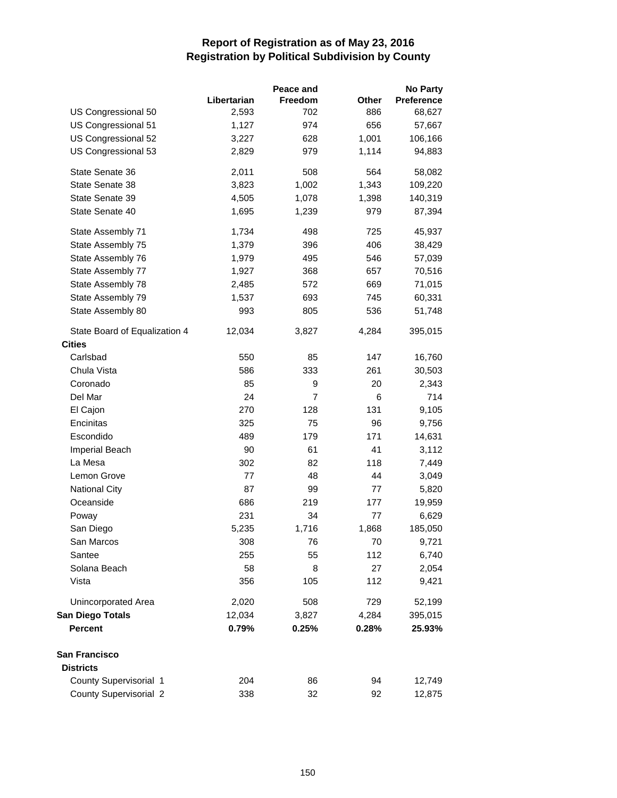|                               |             | Peace and      | <b>No Party</b> |            |  |
|-------------------------------|-------------|----------------|-----------------|------------|--|
|                               | Libertarian | Freedom        | Other           | Preference |  |
| US Congressional 50           | 2,593       | 702            | 886             | 68,627     |  |
| US Congressional 51           | 1,127       | 974            | 656             | 57,667     |  |
| US Congressional 52           | 3,227       | 628            | 1,001           | 106,166    |  |
| US Congressional 53           | 2,829       | 979            | 1,114           | 94,883     |  |
| State Senate 36               | 2,011       | 508            | 564             | 58,082     |  |
| State Senate 38               | 3,823       | 1,002          | 1,343           | 109,220    |  |
| State Senate 39               | 4,505       | 1,078          | 1,398           | 140,319    |  |
| State Senate 40               | 1,695       | 1,239          | 979             | 87,394     |  |
| State Assembly 71             | 1,734       | 498            | 725             | 45,937     |  |
| State Assembly 75             | 1,379       | 396            | 406             | 38,429     |  |
| State Assembly 76             | 1,979       | 495            | 546             | 57,039     |  |
| State Assembly 77             | 1,927       | 368            | 657             | 70,516     |  |
| State Assembly 78             | 2,485       | 572            | 669             | 71,015     |  |
| State Assembly 79             | 1,537       | 693            | 745             | 60,331     |  |
| State Assembly 80             | 993         | 805            | 536             | 51,748     |  |
| State Board of Equalization 4 | 12,034      | 3,827          | 4,284           | 395,015    |  |
| <b>Cities</b>                 |             |                |                 |            |  |
| Carlsbad                      | 550         | 85             | 147             | 16,760     |  |
| Chula Vista                   | 586         | 333            | 261             | 30,503     |  |
| Coronado                      | 85          | 9              | 20              | 2,343      |  |
| Del Mar                       | 24          | $\overline{7}$ | 6               | 714        |  |
| El Cajon                      | 270         | 128            | 131             | 9,105      |  |
| Encinitas                     | 325         | 75             | 96              | 9,756      |  |
| Escondido                     | 489         | 179            | 171             | 14,631     |  |
| Imperial Beach                | 90          | 61             | 41              | 3,112      |  |
| La Mesa                       | 302         | 82             | 118             | 7,449      |  |
| Lemon Grove                   | 77          | 48             | 44              | 3,049      |  |
| <b>National City</b>          | 87          | 99             | 77              | 5,820      |  |
| Oceanside                     | 686         | 219            | 177             | 19,959     |  |
| Poway                         | 231         | 34             | 77              | 6,629      |  |
| San Diego                     | 5,235       | 1,716          | 1,868           | 185,050    |  |
| San Marcos                    | 308         | 76             | 70              | 9,721      |  |
| Santee                        | 255         | 55             | 112             | 6,740      |  |
| Solana Beach                  | 58          | 8              | 27              | 2,054      |  |
| Vista                         | 356         | 105            | 112             | 9,421      |  |
| Unincorporated Area           | 2,020       | 508            | 729             | 52,199     |  |
| <b>San Diego Totals</b>       | 12,034      | 3,827          | 4,284           | 395,015    |  |
| Percent                       | 0.79%       | 0.25%          | 0.28%           | 25.93%     |  |
| San Francisco                 |             |                |                 |            |  |
| <b>Districts</b>              |             |                |                 |            |  |
| County Supervisorial 1        | 204         | 86             | 94              | 12,749     |  |
| County Supervisorial 2        | 338         | 32             | 92              | 12,875     |  |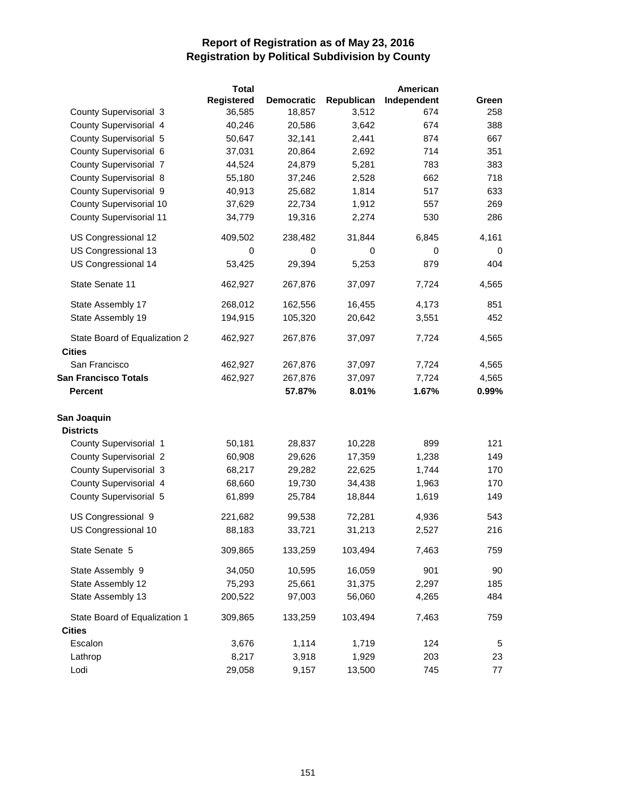|                                                | <b>Total</b> |                   |            | American    |       |
|------------------------------------------------|--------------|-------------------|------------|-------------|-------|
|                                                | Registered   | <b>Democratic</b> | Republican | Independent | Green |
| County Supervisorial 3                         | 36,585       | 18,857            | 3,512      | 674         | 258   |
| County Supervisorial 4                         | 40,246       | 20,586            | 3,642      | 674         | 388   |
| County Supervisorial 5                         | 50,647       | 32,141            | 2,441      | 874         | 667   |
| County Supervisorial 6                         | 37,031       | 20,864            | 2,692      | 714         | 351   |
| County Supervisorial 7                         | 44,524       | 24,879            | 5,281      | 783         | 383   |
| County Supervisorial 8                         | 55,180       | 37,246            | 2,528      | 662         | 718   |
| County Supervisorial 9                         | 40,913       | 25,682            | 1,814      | 517         | 633   |
| County Supervisorial 10                        | 37,629       | 22,734            | 1,912      | 557         | 269   |
| <b>County Supervisorial 11</b>                 | 34,779       | 19,316            | 2,274      | 530         | 286   |
| US Congressional 12                            | 409,502      | 238,482           | 31,844     | 6,845       | 4,161 |
| US Congressional 13                            | 0            | 0                 | 0          | 0           | 0     |
| US Congressional 14                            | 53,425       | 29,394            | 5,253      | 879         | 404   |
| State Senate 11                                | 462,927      | 267,876           | 37,097     | 7,724       | 4,565 |
| State Assembly 17                              | 268,012      | 162,556           | 16,455     | 4,173       | 851   |
| State Assembly 19                              | 194,915      | 105,320           | 20,642     | 3,551       | 452   |
| State Board of Equalization 2<br><b>Cities</b> | 462,927      | 267,876           | 37,097     | 7,724       | 4,565 |
| San Francisco                                  | 462,927      | 267,876           | 37,097     | 7,724       | 4,565 |
| <b>San Francisco Totals</b>                    | 462,927      | 267,876           | 37,097     | 7,724       | 4,565 |
| <b>Percent</b>                                 |              | 57.87%            | 8.01%      | 1.67%       | 0.99% |
| San Joaquin                                    |              |                   |            |             |       |
| <b>Districts</b>                               |              |                   |            |             |       |
| County Supervisorial 1                         | 50,181       | 28,837            | 10,228     | 899         | 121   |
| <b>County Supervisorial 2</b>                  | 60,908       | 29,626            | 17,359     | 1,238       | 149   |
| County Supervisorial 3                         | 68,217       | 29,282            | 22,625     | 1,744       | 170   |
| County Supervisorial 4                         | 68,660       | 19,730            | 34,438     | 1,963       | 170   |
| County Supervisorial 5                         | 61,899       | 25,784            | 18,844     | 1,619       | 149   |
| US Congressional 9                             | 221,682      | 99,538            | 72,281     | 4,936       | 543   |
| US Congressional 10                            | 88,183       | 33,721            | 31,213     | 2,527       | 216   |
| State Senate 5                                 | 309,865      | 133,259           | 103,494    | 7,463       | 759   |
| State Assembly 9                               | 34,050       | 10,595            | 16,059     | 901         | 90    |
| State Assembly 12                              | 75,293       | 25,661            | 31,375     | 2,297       | 185   |
| State Assembly 13                              | 200,522      | 97,003            | 56,060     | 4,265       | 484   |
| State Board of Equalization 1                  | 309,865      | 133,259           | 103,494    | 7,463       | 759   |
| <b>Cities</b>                                  |              |                   |            |             |       |
| Escalon                                        | 3,676        | 1,114             | 1,719      | 124         | 5     |
| Lathrop                                        | 8,217        | 3,918             | 1,929      | 203         | 23    |
| Lodi                                           | 29,058       | 9,157             | 13,500     | 745         | 77    |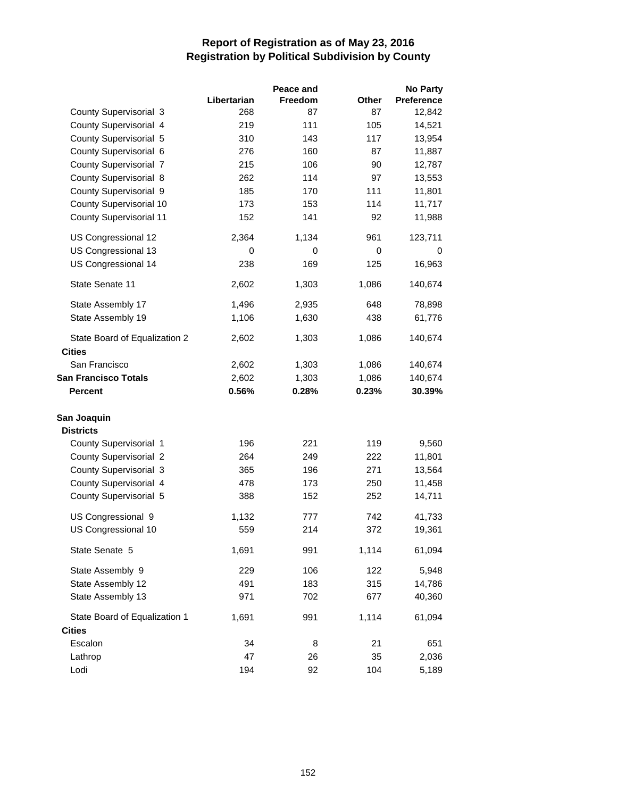|                                                |             | Peace and |       | <b>No Party</b>   |  |
|------------------------------------------------|-------------|-----------|-------|-------------------|--|
|                                                | Libertarian | Freedom   | Other | <b>Preference</b> |  |
| County Supervisorial 3                         | 268         | 87        | 87    | 12,842            |  |
| County Supervisorial 4                         | 219         | 111       | 105   | 14,521            |  |
| County Supervisorial 5                         | 310         | 143       | 117   | 13,954            |  |
| County Supervisorial 6                         | 276         | 160       | 87    | 11,887            |  |
| <b>County Supervisorial 7</b>                  | 215         | 106       | 90    | 12,787            |  |
| County Supervisorial 8                         | 262         | 114       | 97    | 13,553            |  |
| County Supervisorial 9                         | 185         | 170       | 111   | 11,801            |  |
| County Supervisorial 10                        | 173         | 153       | 114   | 11,717            |  |
| <b>County Supervisorial 11</b>                 | 152         | 141       | 92    | 11,988            |  |
| US Congressional 12                            | 2,364       | 1,134     | 961   | 123,711           |  |
| US Congressional 13                            | 0           | 0         | 0     | 0                 |  |
| US Congressional 14                            | 238         | 169       | 125   | 16,963            |  |
| State Senate 11                                | 2,602       | 1,303     | 1,086 | 140,674           |  |
| State Assembly 17                              | 1,496       | 2,935     | 648   | 78,898            |  |
| State Assembly 19                              | 1,106       | 1,630     | 438   | 61,776            |  |
| State Board of Equalization 2<br><b>Cities</b> | 2,602       | 1,303     | 1,086 | 140,674           |  |
| San Francisco                                  | 2,602       | 1,303     | 1,086 | 140,674           |  |
| <b>San Francisco Totals</b>                    | 2,602       | 1,303     | 1,086 | 140,674           |  |
| <b>Percent</b>                                 | 0.56%       | 0.28%     | 0.23% | 30.39%            |  |
|                                                |             |           |       |                   |  |
| San Joaquin                                    |             |           |       |                   |  |
| <b>Districts</b>                               |             |           |       |                   |  |
| County Supervisorial 1                         | 196         | 221       | 119   | 9,560             |  |
| <b>County Supervisorial 2</b>                  | 264         | 249       | 222   | 11,801            |  |
| County Supervisorial 3                         | 365         | 196       | 271   | 13,564            |  |
| County Supervisorial 4                         | 478         | 173       | 250   | 11,458            |  |
| County Supervisorial 5                         | 388         | 152       | 252   | 14,711            |  |
| US Congressional 9                             | 1,132       | 777       | 742   | 41,733            |  |
| US Congressional 10                            | 559         | 214       | 372   | 19,361            |  |
| State Senate 5                                 | 1,691       | 991       | 1,114 | 61,094            |  |
| State Assembly 9                               | 229         | 106       | 122   | 5,948             |  |
| State Assembly 12                              | 491         | 183       | 315   | 14,786            |  |
| State Assembly 13                              | 971         | 702       | 677   | 40,360            |  |
| State Board of Equalization 1                  | 1,691       | 991       | 1,114 | 61,094            |  |
| <b>Cities</b>                                  |             |           |       |                   |  |
| Escalon                                        | 34          | 8         | 21    | 651               |  |
| Lathrop                                        | 47          | 26        | 35    | 2,036             |  |
| Lodi                                           | 194         | 92        | 104   | 5,189             |  |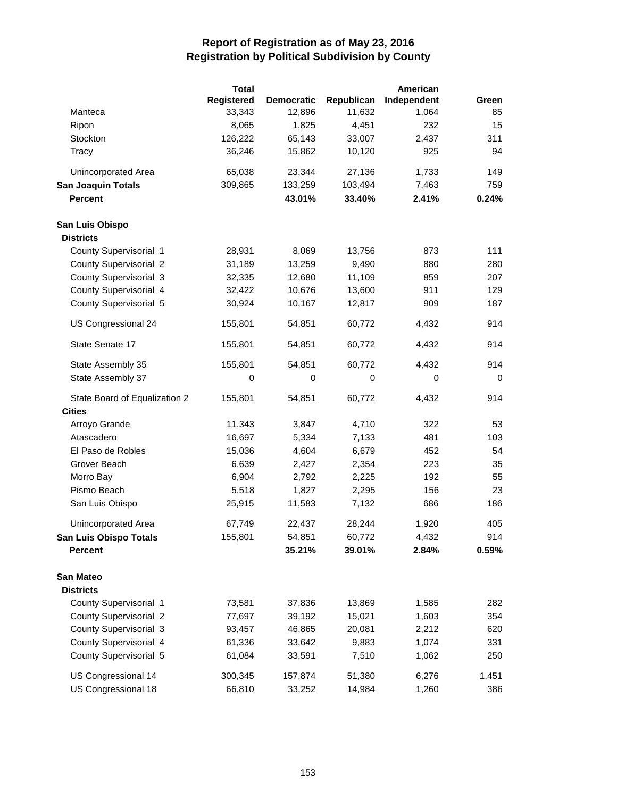|                               | <b>Total</b> |                   |            | American    |       |
|-------------------------------|--------------|-------------------|------------|-------------|-------|
|                               | Registered   | <b>Democratic</b> | Republican | Independent | Green |
| Manteca                       | 33,343       | 12,896            | 11,632     | 1,064       | 85    |
| Ripon                         | 8,065        | 1,825             | 4,451      | 232         | 15    |
| Stockton                      | 126,222      | 65,143            | 33,007     | 2,437       | 311   |
| Tracy                         | 36,246       | 15,862            | 10,120     | 925         | 94    |
| Unincorporated Area           | 65,038       | 23,344            | 27,136     | 1,733       | 149   |
| <b>San Joaquin Totals</b>     | 309,865      | 133,259           | 103,494    | 7,463       | 759   |
| <b>Percent</b>                |              | 43.01%            | 33.40%     | 2.41%       | 0.24% |
| San Luis Obispo               |              |                   |            |             |       |
| <b>Districts</b>              |              |                   |            |             |       |
| County Supervisorial 1        | 28,931       | 8,069             | 13,756     | 873         | 111   |
| County Supervisorial 2        | 31,189       | 13,259            | 9,490      | 880         | 280   |
| County Supervisorial 3        | 32,335       | 12,680            | 11,109     | 859         | 207   |
| County Supervisorial 4        | 32,422       | 10,676            | 13,600     | 911         | 129   |
| County Supervisorial 5        | 30,924       | 10,167            | 12,817     | 909         | 187   |
| US Congressional 24           | 155,801      | 54,851            | 60,772     | 4,432       | 914   |
| State Senate 17               | 155,801      | 54,851            | 60,772     | 4,432       | 914   |
| State Assembly 35             | 155,801      | 54,851            | 60,772     | 4,432       | 914   |
| State Assembly 37             | 0            | 0                 | 0          | 0           | 0     |
| State Board of Equalization 2 | 155,801      | 54,851            | 60,772     | 4,432       | 914   |
| <b>Cities</b>                 |              |                   |            |             |       |
| Arroyo Grande                 | 11,343       | 3,847             | 4,710      | 322         | 53    |
| Atascadero                    | 16,697       | 5,334             | 7,133      | 481         | 103   |
| El Paso de Robles             | 15,036       | 4,604             | 6,679      | 452         | 54    |
| Grover Beach                  | 6,639        | 2,427             | 2,354      | 223         | 35    |
| Morro Bay                     | 6,904        | 2,792             | 2,225      | 192         | 55    |
| Pismo Beach                   | 5,518        | 1,827             | 2,295      | 156         | 23    |
| San Luis Obispo               | 25,915       | 11,583            | 7,132      | 686         | 186   |
| Unincorporated Area           | 67,749       | 22,437            | 28,244     | 1,920       | 405   |
| San Luis Obispo Totals        | 155,801      | 54,851            | 60,772     | 4,432       | 914   |
| <b>Percent</b>                |              | 35.21%            | 39.01%     | 2.84%       | 0.59% |
| San Mateo                     |              |                   |            |             |       |
| <b>Districts</b>              |              |                   |            |             |       |
| County Supervisorial 1        | 73,581       | 37,836            | 13,869     | 1,585       | 282   |
| County Supervisorial 2        | 77,697       | 39,192            | 15,021     | 1,603       | 354   |
| County Supervisorial 3        | 93,457       | 46,865            | 20,081     | 2,212       | 620   |
| County Supervisorial 4        | 61,336       | 33,642            | 9,883      | 1,074       | 331   |
| County Supervisorial 5        | 61,084       | 33,591            | 7,510      | 1,062       | 250   |
| US Congressional 14           | 300,345      | 157,874           | 51,380     | 6,276       | 1,451 |
| US Congressional 18           | 66,810       | 33,252            | 14,984     | 1,260       | 386   |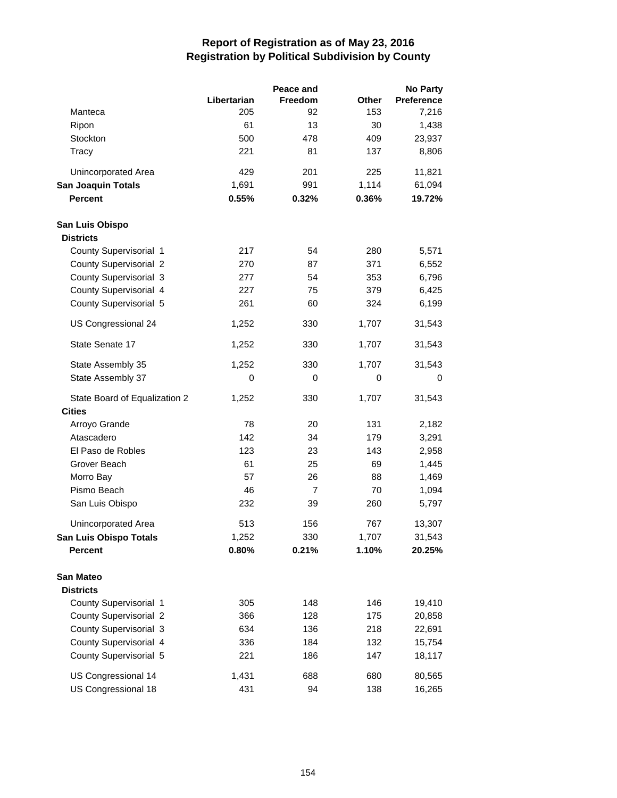|                               |             | Peace and      |       | <b>No Party</b> |
|-------------------------------|-------------|----------------|-------|-----------------|
|                               | Libertarian | Freedom        | Other | Preference      |
| Manteca                       | 205         | 92             | 153   | 7,216           |
| Ripon                         | 61          | 13             | 30    | 1,438           |
| Stockton                      | 500         | 478            | 409   | 23,937          |
| Tracy                         | 221         | 81             | 137   | 8,806           |
| Unincorporated Area           | 429         | 201            | 225   | 11,821          |
| <b>San Joaquin Totals</b>     | 1,691       | 991            | 1,114 | 61,094          |
| <b>Percent</b>                | 0.55%       | 0.32%          | 0.36% | 19.72%          |
| San Luis Obispo               |             |                |       |                 |
| <b>Districts</b>              |             |                |       |                 |
| County Supervisorial 1        | 217         | 54             | 280   | 5,571           |
| <b>County Supervisorial 2</b> | 270         | 87             | 371   | 6,552           |
| County Supervisorial 3        | 277         | 54             | 353   | 6,796           |
| County Supervisorial 4        | 227         | 75             | 379   | 6,425           |
| County Supervisorial 5        | 261         | 60             | 324   | 6,199           |
| US Congressional 24           | 1,252       | 330            | 1,707 | 31,543          |
| State Senate 17               | 1,252       | 330            | 1,707 | 31,543          |
| State Assembly 35             | 1,252       | 330            | 1,707 | 31,543          |
| State Assembly 37             | 0           | 0              | 0     | 0               |
| State Board of Equalization 2 | 1,252       | 330            | 1,707 | 31,543          |
| <b>Cities</b>                 |             |                |       |                 |
| Arroyo Grande                 | 78          | 20             | 131   | 2,182           |
| Atascadero                    | 142         | 34             | 179   | 3,291           |
| El Paso de Robles             | 123         | 23             | 143   | 2,958           |
| Grover Beach                  | 61          | 25             | 69    | 1,445           |
| Morro Bay                     | 57          | 26             | 88    | 1,469           |
| Pismo Beach                   | 46          | $\overline{7}$ | 70    | 1,094           |
| San Luis Obispo               | 232         | 39             | 260   | 5,797           |
| <b>Unincorporated Area</b>    | 513         | 156            | 767   | 13,307          |
| San Luis Obispo Totals        | 1,252       | 330            | 1,707 | 31,543          |
| <b>Percent</b>                | 0.80%       | 0.21%          | 1.10% | 20.25%          |
| San Mateo                     |             |                |       |                 |
| <b>Districts</b>              |             |                |       |                 |
| County Supervisorial 1        | 305         | 148            | 146   | 19,410          |
| <b>County Supervisorial 2</b> | 366         | 128            | 175   | 20,858          |
| County Supervisorial 3        | 634         | 136            | 218   | 22,691          |
| County Supervisorial 4        | 336         | 184            | 132   | 15,754          |
| County Supervisorial 5        | 221         | 186            | 147   | 18,117          |
| US Congressional 14           | 1,431       | 688            | 680   | 80,565          |
| US Congressional 18           | 431         | 94             | 138   | 16,265          |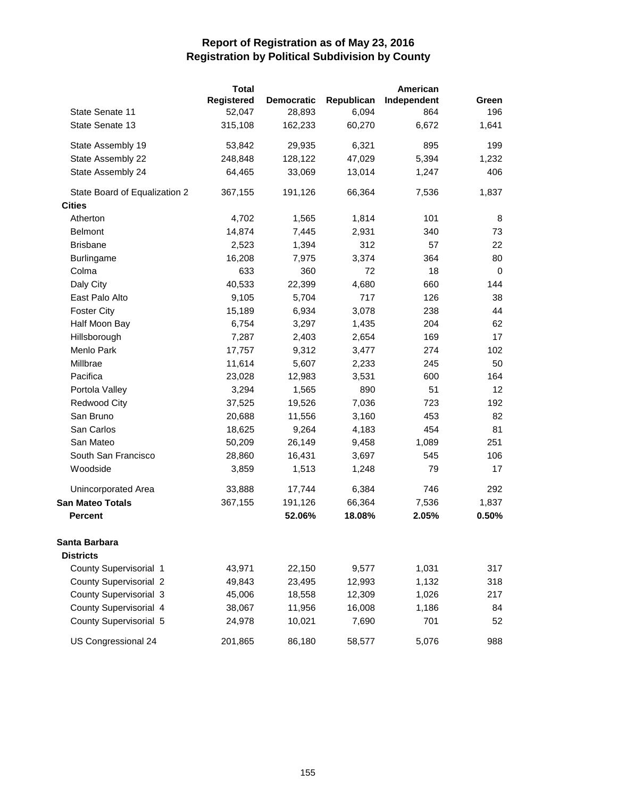|                               | <b>Total</b>      |                   |            | American    |             |
|-------------------------------|-------------------|-------------------|------------|-------------|-------------|
|                               | <b>Registered</b> | <b>Democratic</b> | Republican | Independent | Green       |
| State Senate 11               | 52,047            | 28,893            | 6,094      | 864         | 196         |
| State Senate 13               | 315,108           | 162,233           | 60,270     | 6,672       | 1,641       |
| State Assembly 19             | 53,842            | 29,935            | 6,321      | 895         | 199         |
| State Assembly 22             | 248,848           | 128,122           | 47,029     | 5,394       | 1,232       |
| State Assembly 24             | 64,465            | 33,069            | 13,014     | 1,247       | 406         |
| State Board of Equalization 2 | 367,155           | 191,126           | 66,364     | 7,536       | 1,837       |
| <b>Cities</b>                 |                   |                   |            |             |             |
| Atherton                      | 4,702             | 1,565             | 1,814      | 101         | 8           |
| <b>Belmont</b>                | 14,874            | 7,445             | 2,931      | 340         | 73          |
| <b>Brisbane</b>               | 2,523             | 1,394             | 312        | 57          | 22          |
| Burlingame                    | 16,208            | 7,975             | 3,374      | 364         | 80          |
| Colma                         | 633               | 360               | 72         | 18          | $\mathbf 0$ |
| Daly City                     | 40,533            | 22,399            | 4,680      | 660         | 144         |
| East Palo Alto                | 9,105             | 5,704             | 717        | 126         | 38          |
| <b>Foster City</b>            | 15,189            | 6,934             | 3,078      | 238         | 44          |
| Half Moon Bay                 | 6,754             | 3,297             | 1,435      | 204         | 62          |
| Hillsborough                  | 7,287             | 2,403             | 2,654      | 169         | 17          |
| Menlo Park                    | 17,757            | 9,312             | 3,477      | 274         | 102         |
| Millbrae                      | 11,614            | 5,607             | 2,233      | 245         | 50          |
| Pacifica                      | 23,028            | 12,983            | 3,531      | 600         | 164         |
| Portola Valley                | 3,294             | 1,565             | 890        | 51          | 12          |
| <b>Redwood City</b>           | 37,525            | 19,526            | 7,036      | 723         | 192         |
| San Bruno                     | 20,688            | 11,556            | 3,160      | 453         | 82          |
| San Carlos                    | 18,625            | 9,264             | 4,183      | 454         | 81          |
| San Mateo                     | 50,209            | 26,149            | 9,458      | 1,089       | 251         |
| South San Francisco           | 28,860            | 16,431            | 3,697      | 545         | 106         |
| Woodside                      | 3,859             | 1,513             | 1,248      | 79          | 17          |
| Unincorporated Area           | 33,888            | 17,744            | 6,384      | 746         | 292         |
| <b>San Mateo Totals</b>       | 367,155           | 191,126           | 66,364     | 7,536       | 1,837       |
| <b>Percent</b>                |                   | 52.06%            | 18.08%     | 2.05%       | 0.50%       |
| Santa Barbara                 |                   |                   |            |             |             |
| <b>Districts</b>              |                   |                   |            |             |             |
| County Supervisorial 1        | 43,971            | 22,150            | 9,577      | 1,031       | 317         |
| County Supervisorial 2        | 49,843            | 23,495            | 12,993     | 1,132       | 318         |
| County Supervisorial 3        | 45,006            | 18,558            | 12,309     | 1,026       | 217         |
| County Supervisorial 4        | 38,067            | 11,956            | 16,008     | 1,186       | 84          |
| County Supervisorial 5        | 24,978            | 10,021            | 7,690      | 701         | 52          |
| US Congressional 24           | 201,865           | 86,180            | 58,577     | 5,076       | 988         |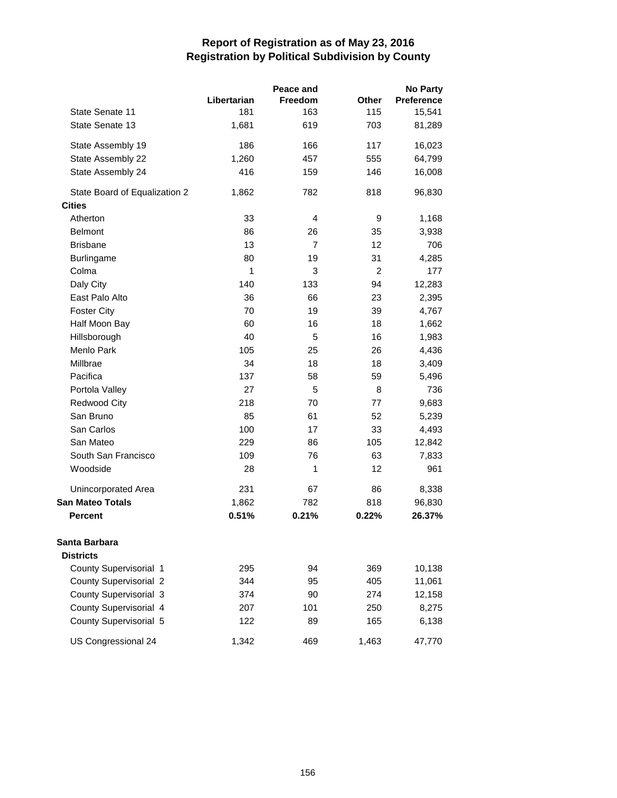|                               |             | Peace and      |                | <b>No Party</b>   |
|-------------------------------|-------------|----------------|----------------|-------------------|
|                               | Libertarian | <b>Freedom</b> | <b>Other</b>   | <b>Preference</b> |
| State Senate 11               | 181         | 163            | 115            | 15,541            |
| State Senate 13               | 1,681       | 619            | 703            | 81,289            |
| State Assembly 19             | 186         | 166            | 117            | 16,023            |
| State Assembly 22             | 1,260       | 457            | 555            | 64,799            |
| State Assembly 24             | 416         | 159            | 146            | 16,008            |
| State Board of Equalization 2 | 1,862       | 782            | 818            | 96,830            |
| <b>Cities</b>                 |             |                |                |                   |
| Atherton                      | 33          | 4              | 9              | 1,168             |
| <b>Belmont</b>                | 86          | 26             | 35             | 3,938             |
| <b>Brisbane</b>               | 13          | $\overline{7}$ | 12             | 706               |
| <b>Burlingame</b>             | 80          | 19             | 31             | 4,285             |
| Colma                         | 1           | 3              | $\overline{2}$ | 177               |
| Daly City                     | 140         | 133            | 94             | 12,283            |
| East Palo Alto                | 36          | 66             | 23             | 2,395             |
| <b>Foster City</b>            | 70          | 19             | 39             | 4,767             |
| Half Moon Bay                 | 60          | 16             | 18             | 1,662             |
| Hillsborough                  | 40          | 5              | 16             | 1,983             |
| Menlo Park                    | 105         | 25             | 26             | 4,436             |
| Millbrae                      | 34          | 18             | 18             | 3,409             |
| Pacifica                      | 137         | 58             | 59             | 5,496             |
| Portola Valley                | 27          | 5              | 8              | 736               |
| Redwood City                  | 218         | 70             | 77             | 9,683             |
| San Bruno                     | 85          | 61             | 52             | 5,239             |
| San Carlos                    | 100         | 17             | 33             | 4,493             |
| San Mateo                     | 229         | 86             | 105            | 12,842            |
| South San Francisco           | 109         | 76             | 63             | 7,833             |
| Woodside                      | 28          | $\mathbf{1}$   | 12             | 961               |
| Unincorporated Area           | 231         | 67             | 86             | 8,338             |
| <b>San Mateo Totals</b>       | 1,862       | 782            | 818            | 96,830            |
| <b>Percent</b>                | 0.51%       | 0.21%          | 0.22%          | 26.37%            |
| Santa Barbara                 |             |                |                |                   |
| <b>Districts</b>              |             |                |                |                   |
| County Supervisorial 1        | 295         | 94             | 369            | 10,138            |
| <b>County Supervisorial 2</b> | 344         | 95             | 405            | 11,061            |
| County Supervisorial 3        | 374         | 90             | 274            | 12,158            |
| County Supervisorial 4        | 207         | 101            | 250            | 8,275             |
| County Supervisorial 5        | 122         | 89             | 165            | 6,138             |
| US Congressional 24           | 1,342       | 469            | 1,463          | 47,770            |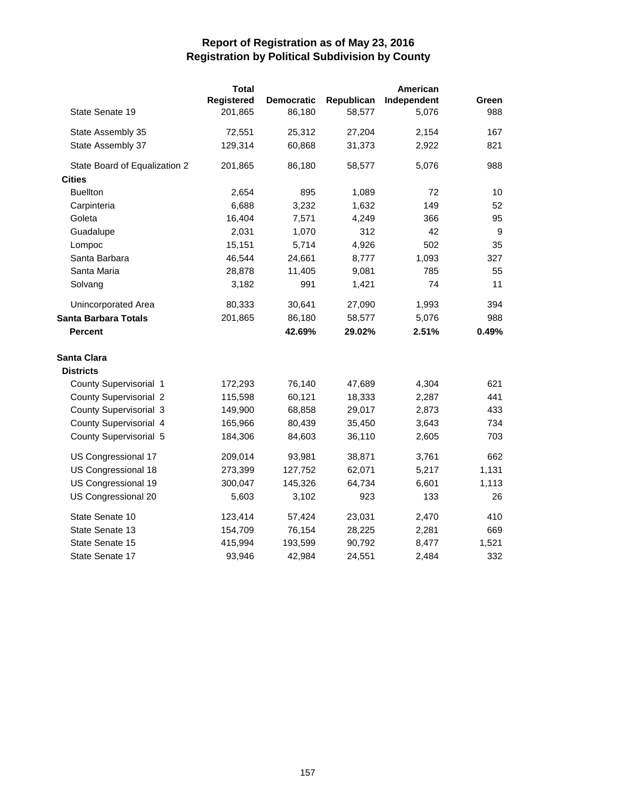|                               | <b>Total</b> |                   |            | American    |       |
|-------------------------------|--------------|-------------------|------------|-------------|-------|
|                               | Registered   | <b>Democratic</b> | Republican | Independent | Green |
| State Senate 19               | 201,865      | 86,180            | 58,577     | 5,076       | 988   |
| State Assembly 35             | 72,551       | 25,312            | 27,204     | 2,154       | 167   |
| State Assembly 37             | 129,314      | 60,868            | 31,373     | 2,922       | 821   |
| State Board of Equalization 2 | 201,865      | 86,180            | 58,577     | 5,076       | 988   |
| <b>Cities</b>                 |              |                   |            |             |       |
| <b>Buellton</b>               | 2,654        | 895               | 1,089      | 72          | 10    |
| Carpinteria                   | 6,688        | 3,232             | 1,632      | 149         | 52    |
| Goleta                        | 16,404       | 7,571             | 4,249      | 366         | 95    |
| Guadalupe                     | 2,031        | 1,070             | 312        | 42          | 9     |
| Lompoc                        | 15,151       | 5,714             | 4,926      | 502         | 35    |
| Santa Barbara                 | 46,544       | 24,661            | 8,777      | 1,093       | 327   |
| Santa Maria                   | 28,878       | 11,405            | 9,081      | 785         | 55    |
| Solvang                       | 3,182        | 991               | 1,421      | 74          | 11    |
| Unincorporated Area           | 80,333       | 30,641            | 27,090     | 1,993       | 394   |
| Santa Barbara Totals          | 201,865      | 86,180            | 58,577     | 5,076       | 988   |
| <b>Percent</b>                |              | 42.69%            | 29.02%     | 2.51%       | 0.49% |
| Santa Clara                   |              |                   |            |             |       |
| <b>Districts</b>              |              |                   |            |             |       |
| County Supervisorial 1        | 172,293      | 76,140            | 47,689     | 4,304       | 621   |
| County Supervisorial 2        | 115,598      | 60,121            | 18,333     | 2,287       | 441   |
| County Supervisorial 3        | 149,900      | 68,858            | 29,017     | 2,873       | 433   |
| County Supervisorial 4        | 165,966      | 80,439            | 35,450     | 3,643       | 734   |
| County Supervisorial 5        | 184,306      | 84,603            | 36,110     | 2,605       | 703   |
| US Congressional 17           | 209,014      | 93,981            | 38,871     | 3,761       | 662   |
| US Congressional 18           | 273,399      | 127,752           | 62,071     | 5,217       | 1,131 |
| US Congressional 19           | 300,047      | 145,326           | 64,734     | 6,601       | 1,113 |
| US Congressional 20           | 5,603        | 3,102             | 923        | 133         | 26    |
| State Senate 10               | 123,414      | 57,424            | 23,031     | 2,470       | 410   |
| State Senate 13               | 154,709      | 76,154            | 28,225     | 2,281       | 669   |
| State Senate 15               | 415,994      | 193,599           | 90,792     | 8,477       | 1,521 |
| State Senate 17               | 93,946       | 42,984            | 24,551     | 2,484       | 332   |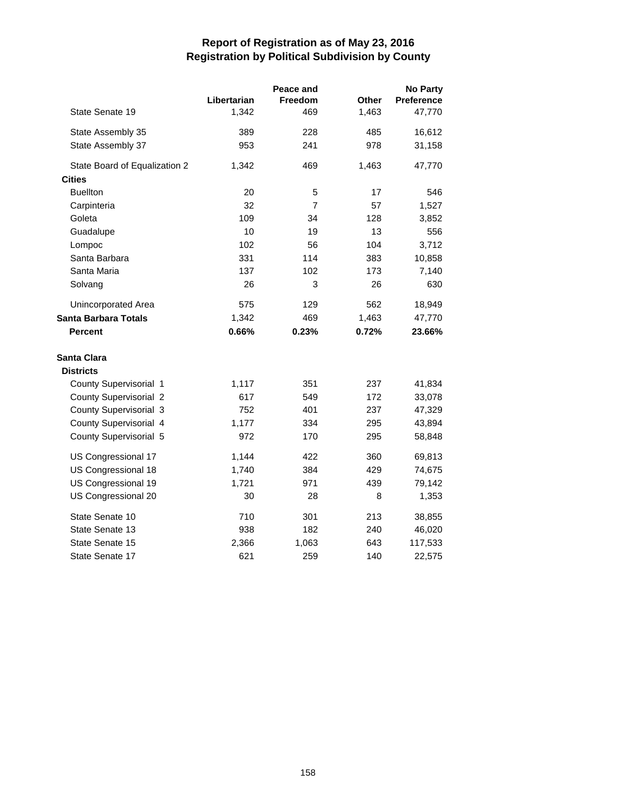|                               | Libertarian | Peace and<br><b>Freedom</b> | Other | <b>No Party</b><br>Preference |
|-------------------------------|-------------|-----------------------------|-------|-------------------------------|
| State Senate 19               | 1,342       | 469                         | 1,463 | 47,770                        |
| State Assembly 35             | 389         | 228                         | 485   | 16,612                        |
| State Assembly 37             | 953         | 241                         | 978   | 31,158                        |
| State Board of Equalization 2 | 1,342       | 469                         | 1,463 | 47,770                        |
| <b>Cities</b>                 |             |                             |       |                               |
| <b>Buellton</b>               | 20          | 5                           | 17    | 546                           |
| Carpinteria                   | 32          | 7                           | 57    | 1,527                         |
| Goleta                        | 109         | 34                          | 128   | 3,852                         |
| Guadalupe                     | 10          | 19                          | 13    | 556                           |
| Lompoc                        | 102         | 56                          | 104   | 3,712                         |
| Santa Barbara                 | 331         | 114                         | 383   | 10,858                        |
| Santa Maria                   | 137         | 102                         | 173   | 7,140                         |
| Solvang                       | 26          | 3                           | 26    | 630                           |
| Unincorporated Area           | 575         | 129                         | 562   | 18,949                        |
| Santa Barbara Totals          | 1,342       | 469                         | 1,463 | 47,770                        |
| Percent                       | 0.66%       | 0.23%                       | 0.72% | 23.66%                        |
| Santa Clara                   |             |                             |       |                               |
| <b>Districts</b>              |             |                             |       |                               |
| County Supervisorial 1        | 1,117       | 351                         | 237   | 41,834                        |
| <b>County Supervisorial 2</b> | 617         | 549                         | 172   | 33,078                        |
| <b>County Supervisorial 3</b> | 752         | 401                         | 237   | 47,329                        |
| County Supervisorial 4        | 1,177       | 334                         | 295   | 43,894                        |
| County Supervisorial 5        | 972         | 170                         | 295   | 58,848                        |
| US Congressional 17           | 1,144       | 422                         | 360   | 69,813                        |
| US Congressional 18           | 1,740       | 384                         | 429   | 74,675                        |
| US Congressional 19           | 1,721       | 971                         | 439   | 79,142                        |
| US Congressional 20           | 30          | 28                          | 8     | 1,353                         |
| State Senate 10               | 710         | 301                         | 213   | 38,855                        |
| State Senate 13               | 938         | 182                         | 240   | 46,020                        |
| State Senate 15               | 2,366       | 1,063                       | 643   | 117,533                       |
| State Senate 17               | 621         | 259                         | 140   | 22,575                        |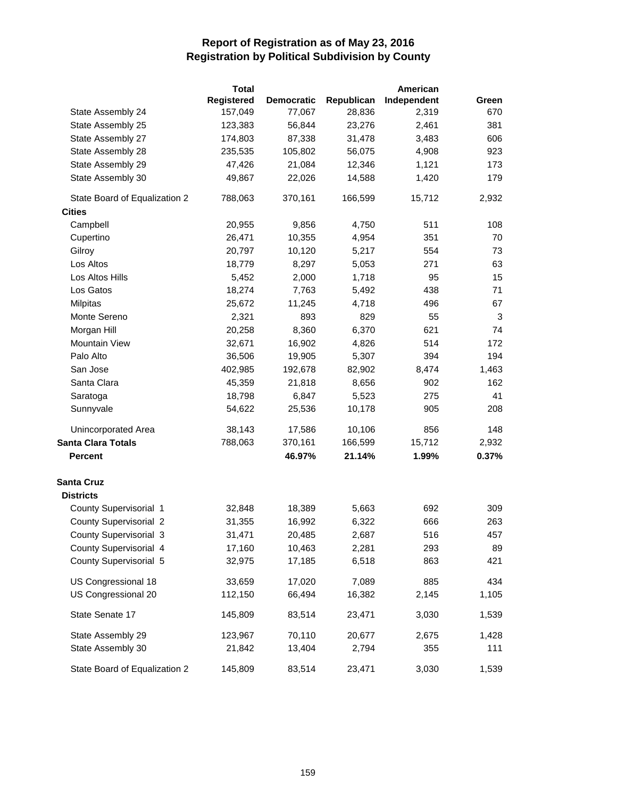|                               | <b>Total</b> |                   |            | American    |       |
|-------------------------------|--------------|-------------------|------------|-------------|-------|
|                               | Registered   | <b>Democratic</b> | Republican | Independent | Green |
| State Assembly 24             | 157,049      | 77,067            | 28,836     | 2,319       | 670   |
| State Assembly 25             | 123,383      | 56,844            | 23,276     | 2,461       | 381   |
| State Assembly 27             | 174,803      | 87,338            | 31,478     | 3,483       | 606   |
| State Assembly 28             | 235,535      | 105,802           | 56,075     | 4,908       | 923   |
| State Assembly 29             | 47,426       | 21,084            | 12,346     | 1,121       | 173   |
| State Assembly 30             | 49,867       | 22,026            | 14,588     | 1,420       | 179   |
| State Board of Equalization 2 | 788,063      | 370,161           | 166,599    | 15,712      | 2,932 |
| <b>Cities</b>                 |              |                   |            |             |       |
| Campbell                      | 20,955       | 9,856             | 4,750      | 511         | 108   |
| Cupertino                     | 26,471       | 10,355            | 4,954      | 351         | 70    |
| Gilroy                        | 20,797       | 10,120            | 5,217      | 554         | 73    |
| Los Altos                     | 18,779       | 8,297             | 5,053      | 271         | 63    |
| Los Altos Hills               | 5,452        | 2,000             | 1,718      | 95          | 15    |
| Los Gatos                     | 18,274       | 7,763             | 5,492      | 438         | 71    |
| Milpitas                      | 25,672       | 11,245            | 4,718      | 496         | 67    |
| Monte Sereno                  | 2,321        | 893               | 829        | 55          | 3     |
| Morgan Hill                   | 20,258       | 8,360             | 6,370      | 621         | 74    |
| <b>Mountain View</b>          | 32,671       | 16,902            | 4,826      | 514         | 172   |
| Palo Alto                     | 36,506       | 19,905            | 5,307      | 394         | 194   |
| San Jose                      | 402,985      | 192,678           | 82,902     | 8,474       | 1,463 |
| Santa Clara                   | 45,359       | 21,818            | 8,656      | 902         | 162   |
| Saratoga                      | 18,798       | 6,847             | 5,523      | 275         | 41    |
| Sunnyvale                     | 54,622       | 25,536            | 10,178     | 905         | 208   |
| Unincorporated Area           | 38,143       | 17,586            | 10,106     | 856         | 148   |
| <b>Santa Clara Totals</b>     | 788,063      | 370,161           | 166,599    | 15,712      | 2,932 |
| <b>Percent</b>                |              | 46.97%            | 21.14%     | 1.99%       | 0.37% |
| <b>Santa Cruz</b>             |              |                   |            |             |       |
| <b>Districts</b>              |              |                   |            |             |       |
| County Supervisorial 1        | 32,848       | 18,389            | 5,663      | 692         | 309   |
| <b>County Supervisorial 2</b> | 31,355       | 16,992            | 6,322      | 666         | 263   |
| <b>County Supervisorial 3</b> | 31,471       | 20,485            | 2,687      | 516         | 457   |
| County Supervisorial 4        | 17,160       | 10,463            | 2,281      | 293         | 89    |
| County Supervisorial 5        | 32,975       | 17,185            | 6,518      | 863         | 421   |
| US Congressional 18           | 33,659       | 17,020            | 7,089      | 885         | 434   |
| US Congressional 20           | 112,150      | 66,494            | 16,382     | 2,145       | 1,105 |
| State Senate 17               | 145,809      | 83,514            | 23,471     | 3,030       | 1,539 |
| State Assembly 29             | 123,967      | 70,110            | 20,677     | 2,675       | 1,428 |
| State Assembly 30             | 21,842       | 13,404            | 2,794      | 355         | 111   |
| State Board of Equalization 2 | 145,809      | 83,514            | 23,471     | 3,030       | 1,539 |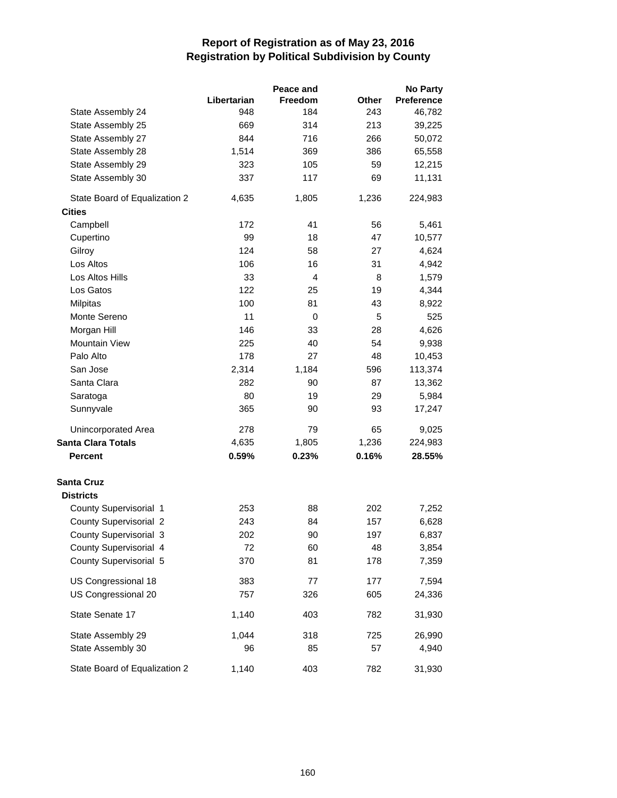|                               |             | Peace and      |              | <b>No Party</b>   |
|-------------------------------|-------------|----------------|--------------|-------------------|
|                               | Libertarian | Freedom        | <b>Other</b> | <b>Preference</b> |
| State Assembly 24             | 948         | 184            | 243          | 46,782            |
| State Assembly 25             | 669         | 314            | 213          | 39,225            |
| State Assembly 27             | 844         | 716            | 266          | 50,072            |
| State Assembly 28             | 1,514       | 369            | 386          | 65,558            |
| State Assembly 29             | 323         | 105            | 59           | 12,215            |
| State Assembly 30             | 337         | 117            | 69           | 11,131            |
| State Board of Equalization 2 | 4,635       | 1,805          | 1,236        | 224,983           |
| <b>Cities</b>                 |             |                |              |                   |
| Campbell                      | 172         | 41             | 56           | 5,461             |
| Cupertino                     | 99          | 18             | 47           | 10,577            |
| Gilroy                        | 124         | 58             | 27           | 4,624             |
| Los Altos                     | 106         | 16             | 31           | 4,942             |
| Los Altos Hills               | 33          | $\overline{4}$ | 8            | 1,579             |
| Los Gatos                     | 122         | 25             | 19           | 4,344             |
| <b>Milpitas</b>               | 100         | 81             | 43           | 8,922             |
| Monte Sereno                  | 11          | $\mathbf 0$    | 5            | 525               |
| Morgan Hill                   | 146         | 33             | 28           | 4,626             |
| Mountain View                 | 225         | 40             | 54           | 9,938             |
| Palo Alto                     | 178         | 27             | 48           | 10,453            |
| San Jose                      | 2,314       | 1,184          | 596          | 113,374           |
| Santa Clara                   | 282         | 90             | 87           | 13,362            |
| Saratoga                      | 80          | 19             | 29           | 5,984             |
| Sunnyvale                     | 365         | 90             | 93           | 17,247            |
| Unincorporated Area           | 278         | 79             | 65           | 9,025             |
| <b>Santa Clara Totals</b>     | 4,635       | 1,805          | 1,236        | 224,983           |
| <b>Percent</b>                | 0.59%       | 0.23%          | 0.16%        | 28.55%            |
| <b>Santa Cruz</b>             |             |                |              |                   |
| <b>Districts</b>              |             |                |              |                   |
| County Supervisorial 1        | 253         | 88             | 202          | 7,252             |
| <b>County Supervisorial 2</b> | 243         | 84             | 157          | 6,628             |
| County Supervisorial 3        | 202         | 90             | 197          | 6,837             |
| County Supervisorial 4        | 72          | 60             | 48           | 3,854             |
| County Supervisorial 5        | 370         | 81             | 178          | 7,359             |
| US Congressional 18           | 383         | 77             | 177          | 7,594             |
| US Congressional 20           | 757         | 326            | 605          | 24,336            |
| State Senate 17               | 1,140       | 403            | 782          | 31,930            |
| State Assembly 29             | 1,044       | 318            | 725          | 26,990            |
| State Assembly 30             | 96          | 85             | 57           | 4,940             |
| State Board of Equalization 2 | 1,140       | 403            | 782          | 31,930            |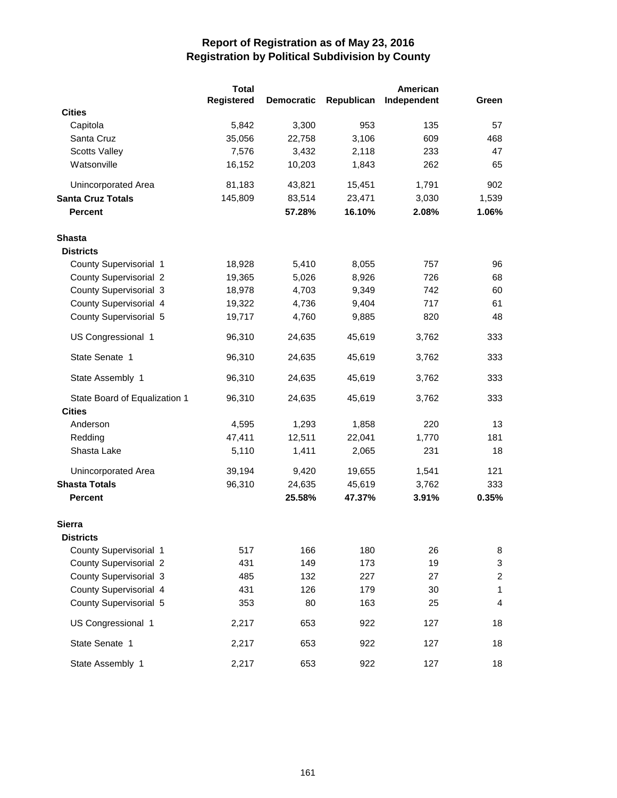|                               | <b>Total</b> |                   |            | American    |                         |
|-------------------------------|--------------|-------------------|------------|-------------|-------------------------|
|                               | Registered   | <b>Democratic</b> | Republican | Independent | Green                   |
| <b>Cities</b>                 |              |                   |            |             |                         |
| Capitola                      | 5,842        | 3,300             | 953        | 135         | 57                      |
| Santa Cruz                    | 35,056       | 22,758            | 3,106      | 609         | 468                     |
| <b>Scotts Valley</b>          | 7,576        | 3,432             | 2,118      | 233         | 47                      |
| Watsonville                   | 16,152       | 10,203            | 1,843      | 262         | 65                      |
| Unincorporated Area           | 81,183       | 43,821            | 15,451     | 1,791       | 902                     |
| <b>Santa Cruz Totals</b>      | 145,809      | 83,514            | 23,471     | 3,030       | 1,539                   |
| <b>Percent</b>                |              | 57.28%            | 16.10%     | 2.08%       | 1.06%                   |
| <b>Shasta</b>                 |              |                   |            |             |                         |
| <b>Districts</b>              |              |                   |            |             |                         |
| County Supervisorial 1        | 18,928       | 5,410             | 8,055      | 757         | 96                      |
| <b>County Supervisorial 2</b> | 19,365       | 5,026             | 8,926      | 726         | 68                      |
| County Supervisorial 3        | 18,978       | 4,703             | 9,349      | 742         | 60                      |
| County Supervisorial 4        | 19,322       | 4,736             | 9,404      | 717         | 61                      |
| County Supervisorial 5        | 19,717       | 4,760             | 9,885      | 820         | 48                      |
| US Congressional 1            | 96,310       | 24,635            | 45,619     | 3,762       | 333                     |
| State Senate 1                | 96,310       | 24,635            | 45,619     | 3,762       | 333                     |
| State Assembly 1              | 96,310       | 24,635            | 45,619     | 3,762       | 333                     |
| State Board of Equalization 1 | 96,310       | 24,635            | 45,619     | 3,762       | 333                     |
| <b>Cities</b>                 |              |                   |            |             |                         |
| Anderson                      | 4,595        | 1,293             | 1,858      | 220         | 13                      |
| Redding                       | 47,411       | 12,511            | 22,041     | 1,770       | 181                     |
| Shasta Lake                   | 5,110        | 1,411             | 2,065      | 231         | 18                      |
| Unincorporated Area           | 39,194       | 9,420             | 19,655     | 1,541       | 121                     |
| <b>Shasta Totals</b>          | 96,310       | 24,635            | 45,619     | 3,762       | 333                     |
| <b>Percent</b>                |              | 25.58%            | 47.37%     | 3.91%       | 0.35%                   |
| <b>Sierra</b>                 |              |                   |            |             |                         |
| <b>Districts</b>              |              |                   |            |             |                         |
| County Supervisorial 1        | 517          | 166               | 180        | 26          | 8                       |
| <b>County Supervisorial 2</b> | 431          | 149               | 173        | 19          | 3                       |
| County Supervisorial 3        | 485          | 132               | 227        | 27          | $\overline{\mathbf{c}}$ |
| County Supervisorial 4        | 431          | 126               | 179        | 30          | 1                       |
| County Supervisorial 5        | 353          | 80                | 163        | 25          | 4                       |
| US Congressional 1            | 2,217        | 653               | 922        | 127         | 18                      |
| State Senate 1                | 2,217        | 653               | 922        | 127         | 18                      |
| State Assembly 1              | 2,217        | 653               | 922        | 127         | 18                      |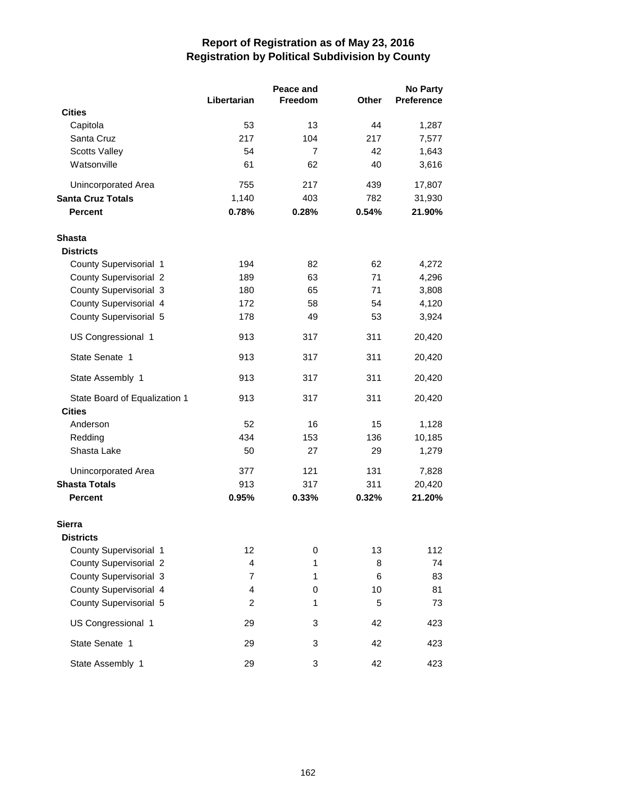|                               |                | Peace and |       | <b>No Party</b>   |  |
|-------------------------------|----------------|-----------|-------|-------------------|--|
|                               | Libertarian    | Freedom   | Other | <b>Preference</b> |  |
| <b>Cities</b>                 |                |           |       |                   |  |
| Capitola                      | 53             | 13        | 44    | 1,287             |  |
| Santa Cruz                    | 217            | 104       | 217   | 7,577             |  |
| <b>Scotts Valley</b>          | 54             | 7         | 42    | 1,643             |  |
| Watsonville                   | 61             | 62        | 40    | 3,616             |  |
| Unincorporated Area           | 755            | 217       | 439   | 17,807            |  |
| <b>Santa Cruz Totals</b>      | 1,140          | 403       | 782   | 31,930            |  |
| <b>Percent</b>                | 0.78%          | 0.28%     | 0.54% | 21.90%            |  |
| <b>Shasta</b>                 |                |           |       |                   |  |
| <b>Districts</b>              |                |           |       |                   |  |
| County Supervisorial 1        | 194            | 82        | 62    | 4,272             |  |
| <b>County Supervisorial 2</b> | 189            | 63        | 71    | 4,296             |  |
| County Supervisorial 3        | 180            | 65        | 71    | 3,808             |  |
| County Supervisorial 4        | 172            | 58        | 54    | 4,120             |  |
| County Supervisorial 5        | 178            | 49        | 53    | 3,924             |  |
| US Congressional 1            | 913            | 317       | 311   | 20,420            |  |
| State Senate 1                | 913            | 317       | 311   | 20,420            |  |
| State Assembly 1              | 913            | 317       | 311   | 20,420            |  |
| State Board of Equalization 1 | 913            | 317       | 311   | 20,420            |  |
| <b>Cities</b>                 |                |           |       |                   |  |
| Anderson                      | 52             | 16        | 15    | 1,128             |  |
| Redding                       | 434            | 153       | 136   | 10,185            |  |
| Shasta Lake                   | 50             | 27        | 29    | 1,279             |  |
| Unincorporated Area           | 377            | 121       | 131   | 7,828             |  |
| <b>Shasta Totals</b>          | 913            | 317       | 311   | 20,420            |  |
| <b>Percent</b>                | 0.95%          | 0.33%     | 0.32% | 21.20%            |  |
| Sierra                        |                |           |       |                   |  |
| <b>Districts</b>              |                |           |       |                   |  |
| County Supervisorial 1        | 12             | 0         | 13    | 112               |  |
| <b>County Supervisorial 2</b> | 4              | 1         | 8     | 74                |  |
| County Supervisorial 3        | $\overline{7}$ | 1         | 6     | 83                |  |
| County Supervisorial 4        | $\overline{4}$ | 0         | 10    | 81                |  |
| County Supervisorial 5        | $\overline{c}$ | 1         | 5     | 73                |  |
| US Congressional 1            | 29             | 3         | 42    | 423               |  |
| State Senate 1                | 29             | 3         | 42    | 423               |  |
| State Assembly 1              | 29             | 3         | 42    | 423               |  |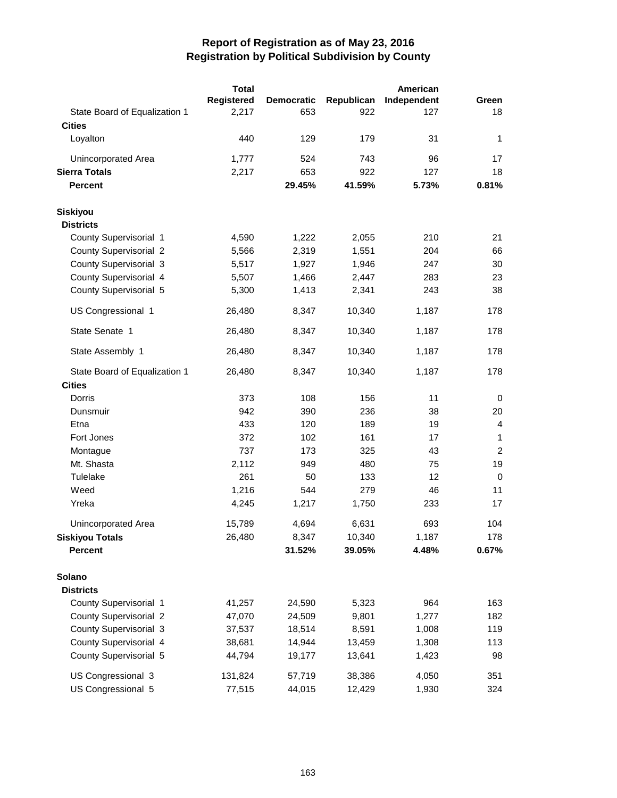|                               | <b>Total</b> |                   |            | American    |                |
|-------------------------------|--------------|-------------------|------------|-------------|----------------|
|                               | Registered   | <b>Democratic</b> | Republican | Independent | Green          |
| State Board of Equalization 1 | 2,217        | 653               | 922        | 127         | 18             |
| <b>Cities</b>                 |              |                   |            |             |                |
| Loyalton                      | 440          | 129               | 179        | 31          | 1              |
| Unincorporated Area           | 1,777        | 524               | 743        | 96          | 17             |
| <b>Sierra Totals</b>          | 2,217        | 653               | 922        | 127         | 18             |
| <b>Percent</b>                |              | 29.45%            | 41.59%     | 5.73%       | 0.81%          |
| <b>Siskiyou</b>               |              |                   |            |             |                |
| <b>Districts</b>              |              |                   |            |             |                |
| County Supervisorial 1        | 4,590        | 1,222             | 2,055      | 210         | 21             |
| County Supervisorial 2        | 5,566        | 2,319             | 1,551      | 204         | 66             |
| County Supervisorial 3        | 5,517        | 1,927             | 1,946      | 247         | 30             |
| County Supervisorial 4        | 5,507        | 1,466             | 2,447      | 283         | 23             |
| County Supervisorial 5        | 5,300        | 1,413             | 2,341      | 243         | 38             |
| US Congressional 1            | 26,480       | 8,347             | 10,340     | 1,187       | 178            |
| State Senate 1                | 26,480       | 8,347             | 10,340     | 1,187       | 178            |
| State Assembly 1              | 26,480       | 8,347             | 10,340     | 1,187       | 178            |
| State Board of Equalization 1 | 26,480       | 8,347             | 10,340     | 1,187       | 178            |
| <b>Cities</b>                 |              |                   |            |             |                |
| Dorris                        | 373          | 108               | 156        | 11          | 0              |
| Dunsmuir                      | 942          | 390               | 236        | 38          | 20             |
| Etna                          | 433          | 120               | 189        | 19          | 4              |
| Fort Jones                    | 372          | 102               | 161        | 17          | 1              |
| Montague                      | 737          | 173               | 325        | 43          | $\overline{c}$ |
| Mt. Shasta                    | 2,112        | 949               | 480        | 75          | 19             |
| Tulelake                      | 261          | 50                | 133        | 12          | 0              |
| Weed                          | 1,216        | 544               | 279        | 46          | 11             |
| Yreka                         | 4,245        | 1,217             | 1,750      | 233         | 17             |
| Unincorporated Area           | 15,789       | 4,694             | 6,631      | 693         | 104            |
| <b>Siskiyou Totals</b>        | 26,480       | 8,347             | 10,340     | 1,187       | 178            |
| <b>Percent</b>                |              | 31.52%            | 39.05%     | 4.48%       | 0.67%          |
| Solano                        |              |                   |            |             |                |
| <b>Districts</b>              |              |                   |            |             |                |
| County Supervisorial 1        | 41,257       | 24,590            | 5,323      | 964         | 163            |
| County Supervisorial 2        | 47,070       | 24,509            | 9,801      | 1,277       | 182            |
| County Supervisorial 3        | 37,537       | 18,514            | 8,591      | 1,008       | 119            |
| County Supervisorial 4        | 38,681       | 14,944            | 13,459     | 1,308       | 113            |
| County Supervisorial 5        | 44,794       | 19,177            | 13,641     | 1,423       | 98             |
| US Congressional 3            | 131,824      | 57,719            | 38,386     | 4,050       | 351            |
| US Congressional 5            | 77,515       | 44,015            | 12,429     | 1,930       | 324            |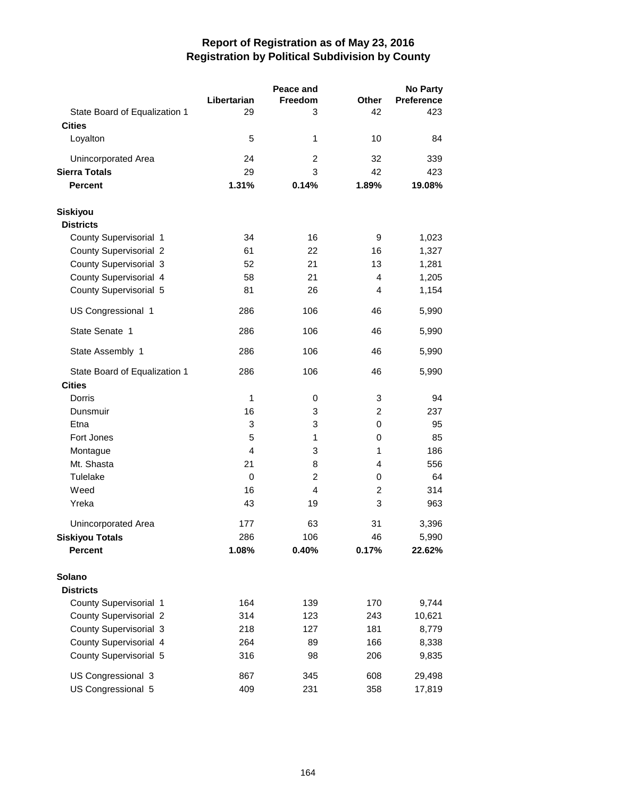|                               |             | Peace and      | <b>No Party</b> |            |  |
|-------------------------------|-------------|----------------|-----------------|------------|--|
|                               | Libertarian | Freedom        | <b>Other</b>    | Preference |  |
| State Board of Equalization 1 | 29          | 3              | 42              | 423        |  |
| <b>Cities</b>                 |             |                |                 |            |  |
| Loyalton                      | 5           | $\mathbf{1}$   | 10              | 84         |  |
| Unincorporated Area           | 24          | $\overline{2}$ | 32              | 339        |  |
| <b>Sierra Totals</b>          | 29          | 3              | 42              | 423        |  |
| <b>Percent</b>                | 1.31%       | 0.14%          | 1.89%           | 19.08%     |  |
| <b>Siskiyou</b>               |             |                |                 |            |  |
| <b>Districts</b>              |             |                |                 |            |  |
| County Supervisorial 1        | 34          | 16             | 9               | 1,023      |  |
| <b>County Supervisorial 2</b> | 61          | 22             | 16              | 1,327      |  |
| County Supervisorial 3        | 52          | 21             | 13              | 1,281      |  |
| County Supervisorial 4        | 58          | 21             | 4               | 1,205      |  |
| County Supervisorial 5        | 81          | 26             | 4               | 1,154      |  |
| US Congressional 1            | 286         | 106            | 46              | 5,990      |  |
| State Senate 1                | 286         | 106            | 46              | 5,990      |  |
| State Assembly 1              | 286         | 106            | 46              | 5,990      |  |
| State Board of Equalization 1 | 286         | 106            | 46              | 5,990      |  |
| <b>Cities</b>                 |             |                |                 |            |  |
| Dorris                        | 1           | 0              | 3               | 94         |  |
| Dunsmuir                      | 16          | 3              | 2               | 237        |  |
| Etna                          | 3           | 3              | 0               | 95         |  |
| Fort Jones                    | 5           | 1              | 0               | 85         |  |
| Montague                      | 4           | 3              | 1               | 186        |  |
| Mt. Shasta                    | 21          | 8              | 4               | 556        |  |
| Tulelake                      | $\mathbf 0$ | $\overline{2}$ | 0               | 64         |  |
| Weed                          | 16          | 4              | 2               | 314        |  |
| Yreka                         | 43          | 19             | 3               | 963        |  |
| Unincorporated Area           | 177         | 63             | 31              | 3,396      |  |
| <b>Siskiyou Totals</b>        | 286         | 106            | 46              | 5,990      |  |
| <b>Percent</b>                | 1.08%       | 0.40%          | 0.17%           | 22.62%     |  |
| Solano                        |             |                |                 |            |  |
| <b>Districts</b>              |             |                |                 |            |  |
| County Supervisorial 1        | 164         | 139            | 170             | 9,744      |  |
| <b>County Supervisorial 2</b> | 314         | 123            | 243             | 10,621     |  |
| County Supervisorial 3        | 218         | 127            | 181             | 8,779      |  |
| County Supervisorial 4        | 264         | 89             | 166             | 8,338      |  |
| County Supervisorial 5        | 316         | 98             | 206             | 9,835      |  |
| US Congressional 3            | 867         | 345            | 608             | 29,498     |  |
| US Congressional 5            | 409         | 231            | 358             | 17,819     |  |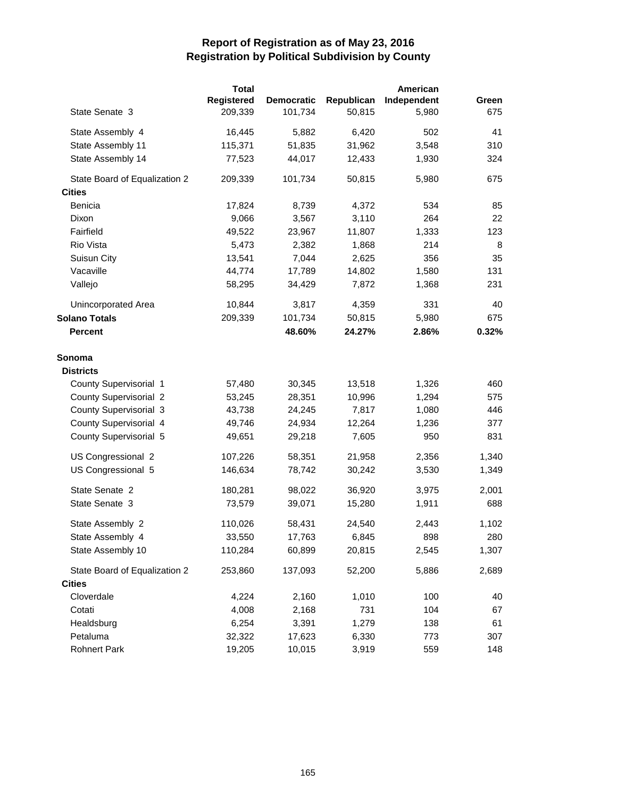|                               | <b>Total</b> |                   |            | American    |       |
|-------------------------------|--------------|-------------------|------------|-------------|-------|
|                               | Registered   | <b>Democratic</b> | Republican | Independent | Green |
| State Senate 3                | 209,339      | 101,734           | 50,815     | 5,980       | 675   |
| State Assembly 4              | 16,445       | 5,882             | 6,420      | 502         | 41    |
| State Assembly 11             | 115,371      | 51,835            | 31,962     | 3,548       | 310   |
| State Assembly 14             | 77,523       | 44,017            | 12,433     | 1,930       | 324   |
| State Board of Equalization 2 | 209,339      | 101,734           | 50,815     | 5,980       | 675   |
| <b>Cities</b>                 |              |                   |            |             |       |
| Benicia                       | 17,824       | 8,739             | 4,372      | 534         | 85    |
| Dixon                         | 9,066        | 3,567             | 3,110      | 264         | 22    |
| Fairfield                     | 49,522       | 23,967            | 11,807     | 1,333       | 123   |
| Rio Vista                     | 5,473        | 2,382             | 1,868      | 214         | 8     |
| Suisun City                   | 13,541       | 7,044             | 2,625      | 356         | 35    |
| Vacaville                     | 44,774       | 17,789            | 14,802     | 1,580       | 131   |
| Vallejo                       | 58,295       | 34,429            | 7,872      | 1,368       | 231   |
| Unincorporated Area           | 10,844       | 3,817             | 4,359      | 331         | 40    |
| <b>Solano Totals</b>          | 209,339      | 101,734           | 50,815     | 5,980       | 675   |
| <b>Percent</b>                |              | 48.60%            | 24.27%     | 2.86%       | 0.32% |
| Sonoma                        |              |                   |            |             |       |
| <b>Districts</b>              |              |                   |            |             |       |
| County Supervisorial 1        | 57,480       | 30,345            | 13,518     | 1,326       | 460   |
| <b>County Supervisorial 2</b> | 53,245       | 28,351            | 10,996     | 1,294       | 575   |
| County Supervisorial 3        | 43,738       | 24,245            | 7,817      | 1,080       | 446   |
| County Supervisorial 4        | 49,746       | 24,934            | 12,264     | 1,236       | 377   |
| County Supervisorial 5        | 49,651       | 29,218            | 7,605      | 950         | 831   |
| US Congressional 2            | 107,226      | 58,351            | 21,958     | 2,356       | 1,340 |
| US Congressional 5            | 146,634      | 78,742            | 30,242     | 3,530       | 1,349 |
| State Senate 2                | 180,281      | 98,022            | 36,920     | 3,975       | 2,001 |
| State Senate 3                | 73,579       | 39,071            | 15,280     | 1,911       | 688   |
| State Assembly 2              | 110,026      | 58,431            | 24,540     | 2,443       | 1,102 |
| State Assembly 4              | 33,550       | 17,763            | 6,845      | 898         | 280   |
| State Assembly 10             | 110,284      | 60,899            | 20,815     | 2,545       | 1,307 |
| State Board of Equalization 2 | 253,860      | 137,093           | 52,200     | 5,886       | 2,689 |
| <b>Cities</b>                 |              |                   |            |             |       |
| Cloverdale                    | 4,224        | 2,160             | 1,010      | 100         | 40    |
| Cotati                        | 4,008        | 2,168             | 731        | 104         | 67    |
| Healdsburg                    | 6,254        | 3,391             | 1,279      | 138         | 61    |
| Petaluma                      | 32,322       | 17,623            | 6,330      | 773         | 307   |
| <b>Rohnert Park</b>           | 19,205       | 10,015            | 3,919      | 559         | 148   |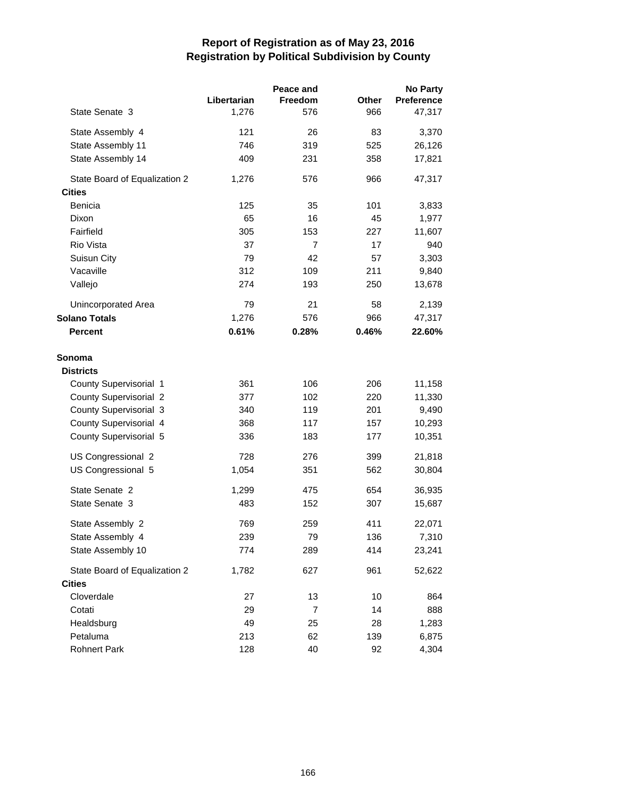|                               |             | Peace and      |              | <b>No Party</b> |
|-------------------------------|-------------|----------------|--------------|-----------------|
|                               | Libertarian | Freedom        | <b>Other</b> | Preference      |
| State Senate 3                | 1,276       | 576            | 966          | 47,317          |
| State Assembly 4              | 121         | 26             | 83           | 3,370           |
| State Assembly 11             | 746         | 319            | 525          | 26,126          |
| State Assembly 14             | 409         | 231            | 358          | 17,821          |
| State Board of Equalization 2 | 1,276       | 576            | 966          | 47,317          |
| <b>Cities</b>                 |             |                |              |                 |
| <b>Benicia</b>                | 125         | 35             | 101          | 3,833           |
| Dixon                         | 65          | 16             | 45           | 1,977           |
| Fairfield                     | 305         | 153            | 227          | 11,607          |
| Rio Vista                     | 37          | $\overline{7}$ | 17           | 940             |
| Suisun City                   | 79          | 42             | 57           | 3,303           |
| Vacaville                     | 312         | 109            | 211          | 9,840           |
| Vallejo                       | 274         | 193            | 250          | 13,678          |
| <b>Unincorporated Area</b>    | 79          | 21             | 58           | 2,139           |
| <b>Solano Totals</b>          | 1,276       | 576            | 966          | 47,317          |
| <b>Percent</b>                | 0.61%       | 0.28%          | 0.46%        | 22.60%          |
| Sonoma                        |             |                |              |                 |
| <b>Districts</b>              |             |                |              |                 |
| County Supervisorial 1        | 361         | 106            | 206          | 11,158          |
| <b>County Supervisorial 2</b> | 377         | 102            | 220          | 11,330          |
| <b>County Supervisorial 3</b> | 340         | 119            | 201          | 9,490           |
| County Supervisorial 4        | 368         | 117            | 157          | 10,293          |
| County Supervisorial 5        | 336         | 183            | 177          | 10,351          |
| US Congressional 2            | 728         | 276            | 399          | 21,818          |
| US Congressional 5            | 1,054       | 351            | 562          | 30,804          |
| State Senate 2                | 1,299       | 475            | 654          | 36,935          |
| State Senate 3                | 483         | 152            | 307          | 15,687          |
| State Assembly 2              | 769         | 259            | 411          | 22,071          |
| State Assembly 4              | 239         | 79             | 136          | 7,310           |
| State Assembly 10             | 774         | 289            | 414          | 23,241          |
| State Board of Equalization 2 | 1,782       | 627            | 961          | 52,622          |
| <b>Cities</b>                 |             |                |              |                 |
| Cloverdale                    | 27          | 13             | 10           | 864             |
| Cotati                        | 29          | 7              | 14           | 888             |
| Healdsburg                    | 49          | 25             | 28           | 1,283           |
| Petaluma                      | 213         | 62             | 139          | 6,875           |
| <b>Rohnert Park</b>           | 128         | 40             | 92           | 4,304           |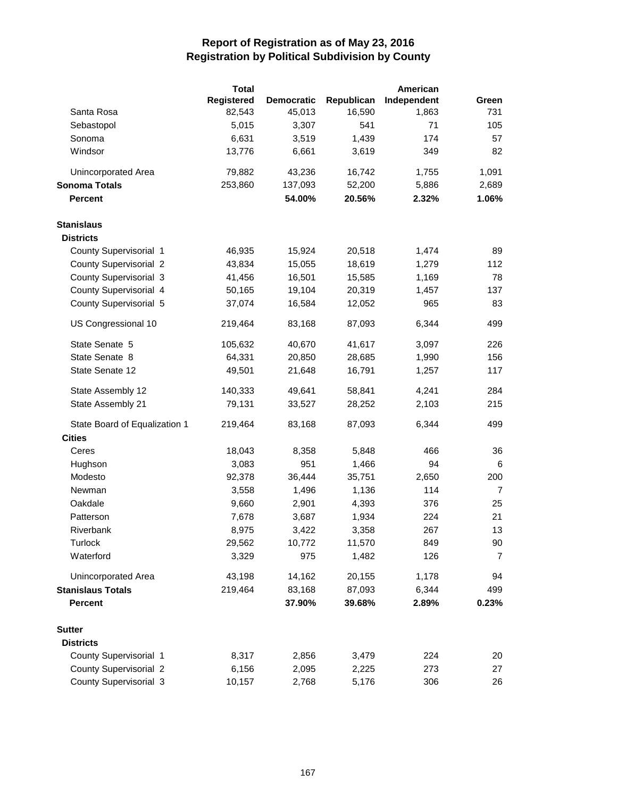|                               | <b>Total</b>    |                   |                 | American    |                      |
|-------------------------------|-----------------|-------------------|-----------------|-------------|----------------------|
|                               | Registered      | <b>Democratic</b> | Republican      | Independent | Green                |
| Santa Rosa                    | 82,543          | 45,013            | 16,590          | 1,863       | 731                  |
| Sebastopol                    | 5,015           | 3,307             | 541             | 71          | 105                  |
| Sonoma                        | 6,631           | 3,519             | 1,439           | 174         | 57                   |
| Windsor                       | 13,776          | 6,661             | 3,619           | 349         | 82                   |
| Unincorporated Area           | 79,882          | 43,236            | 16,742          | 1,755       | 1,091                |
| <b>Sonoma Totals</b>          | 253,860         | 137,093           | 52,200          | 5,886       | 2,689                |
| <b>Percent</b>                |                 | 54.00%            | 20.56%          | 2.32%       | 1.06%                |
| <b>Stanislaus</b>             |                 |                   |                 |             |                      |
| <b>Districts</b>              |                 |                   |                 |             |                      |
| County Supervisorial 1        | 46,935          | 15,924            | 20,518          | 1,474       | 89                   |
| <b>County Supervisorial 2</b> | 43,834          | 15,055            | 18,619          | 1,279       | 112                  |
| County Supervisorial 3        | 41,456          | 16,501            | 15,585          | 1,169       | 78                   |
| County Supervisorial 4        | 50,165          | 19,104            | 20,319          | 1,457       | 137                  |
| County Supervisorial 5        | 37,074          | 16,584            | 12,052          | 965         | 83                   |
| US Congressional 10           | 219,464         | 83,168            | 87,093          | 6,344       | 499                  |
| State Senate 5                | 105,632         | 40,670            | 41,617          | 3,097       | 226                  |
| State Senate 8                | 64,331          | 20,850            | 28,685          | 1,990       | 156                  |
| State Senate 12               | 49,501          | 21,648            | 16,791          | 1,257       | 117                  |
| State Assembly 12             | 140,333         | 49,641            | 58,841          | 4,241       | 284                  |
| State Assembly 21             | 79,131          | 33,527            | 28,252          | 2,103       | 215                  |
| State Board of Equalization 1 | 219,464         | 83,168            | 87,093          | 6,344       | 499                  |
| <b>Cities</b>                 |                 |                   |                 |             |                      |
| Ceres                         | 18,043          | 8,358             | 5,848           | 466         | 36                   |
| Hughson                       | 3,083           | 951               | 1,466           | 94          | 6                    |
| Modesto                       | 92,378          | 36,444            | 35,751          | 2,650       | 200                  |
| Newman                        | 3,558           | 1,496             | 1,136           | 114         | 7                    |
| Oakdale                       | 9,660           | 2,901             | 4,393           | 376         | 25                   |
| Patterson                     | 7,678           | 3,687             | 1,934           | 224         | 21                   |
| Riverbank                     | 8,975           | 3,422             | 3,358           | 267         | 13                   |
| Turlock<br>Waterford          | 29,562<br>3,329 | 10,772<br>975     | 11,570<br>1,482 | 849<br>126  | 90<br>$\overline{7}$ |
| <b>Unincorporated Area</b>    | 43,198          | 14,162            | 20,155          | 1,178       | 94                   |
| <b>Stanislaus Totals</b>      | 219,464         | 83,168            | 87,093          | 6,344       | 499                  |
| <b>Percent</b>                |                 | 37.90%            | 39.68%          | 2.89%       | 0.23%                |
|                               |                 |                   |                 |             |                      |
| <b>Sutter</b>                 |                 |                   |                 |             |                      |
| <b>Districts</b>              |                 |                   |                 |             |                      |
| County Supervisorial 1        | 8,317           | 2,856             | 3,479           | 224         | 20                   |
| <b>County Supervisorial 2</b> | 6,156           | 2,095             | 2,225           | 273         | 27                   |
| County Supervisorial 3        | 10,157          | 2,768             | 5,176           | 306         | 26                   |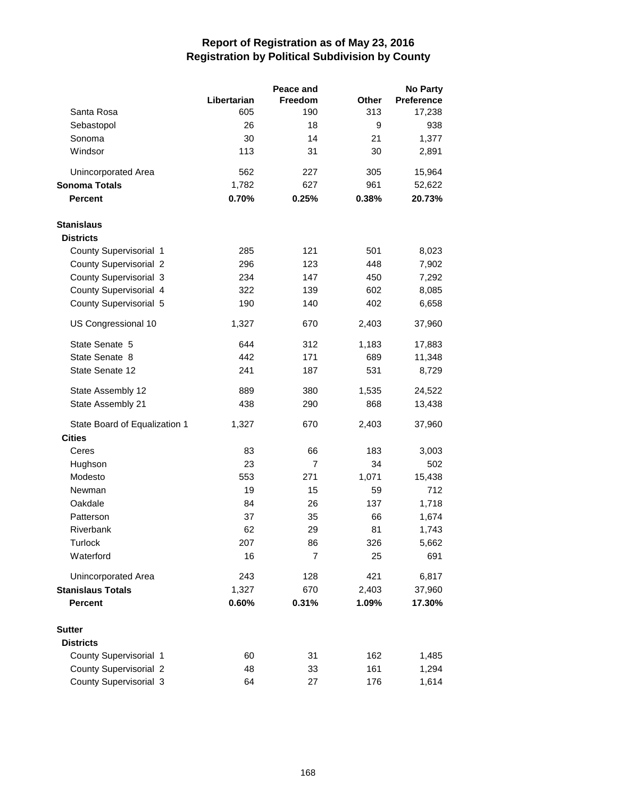|                               |             | Peace and      |       | <b>No Party</b> |
|-------------------------------|-------------|----------------|-------|-----------------|
|                               | Libertarian | Freedom        | Other | Preference      |
| Santa Rosa                    | 605         | 190            | 313   | 17,238          |
| Sebastopol                    | 26          | 18             | 9     | 938             |
| Sonoma                        | 30          | 14             | 21    | 1,377           |
| Windsor                       | 113         | 31             | 30    | 2,891           |
| Unincorporated Area           | 562         | 227            | 305   | 15,964          |
| <b>Sonoma Totals</b>          | 1,782       | 627            | 961   | 52,622          |
| Percent                       | 0.70%       | 0.25%          | 0.38% | 20.73%          |
| <b>Stanislaus</b>             |             |                |       |                 |
| <b>Districts</b>              |             |                |       |                 |
| County Supervisorial 1        | 285         | 121            | 501   | 8,023           |
| <b>County Supervisorial 2</b> | 296         | 123            | 448   | 7,902           |
| County Supervisorial 3        | 234         | 147            | 450   | 7,292           |
| County Supervisorial 4        | 322         | 139            | 602   | 8,085           |
| County Supervisorial 5        | 190         | 140            | 402   | 6,658           |
| US Congressional 10           | 1,327       | 670            | 2,403 | 37,960          |
| State Senate 5                | 644         | 312            | 1,183 | 17,883          |
| State Senate 8                | 442         | 171            | 689   | 11,348          |
| State Senate 12               | 241         | 187            | 531   | 8,729           |
| State Assembly 12             | 889         | 380            | 1,535 | 24,522          |
| State Assembly 21             | 438         | 290            | 868   | 13,438          |
| State Board of Equalization 1 | 1,327       | 670            | 2,403 | 37,960          |
| <b>Cities</b>                 |             |                |       |                 |
| Ceres                         | 83          | 66             | 183   | 3,003           |
| Hughson                       | 23          | $\overline{7}$ | 34    | 502             |
| Modesto                       | 553         | 271            | 1,071 | 15,438          |
| Newman                        | 19          | 15             | 59    | 712             |
| Oakdale                       | 84          | 26             | 137   | 1,718           |
| Patterson                     | 37          | 35             | 66    | 1,674           |
| Riverbank                     | 62          | 29             | 81    | 1,743           |
| Turlock                       | 207         | 86             | 326   | 5,662           |
| Waterford                     | 16          | 7              | 25    | 691             |
| Unincorporated Area           | 243         | 128            | 421   | 6,817           |
| <b>Stanislaus Totals</b>      | 1,327       | 670            | 2,403 | 37,960          |
| <b>Percent</b>                | 0.60%       | 0.31%          | 1.09% | 17.30%          |
| <b>Sutter</b>                 |             |                |       |                 |
| <b>Districts</b>              |             |                |       |                 |
| County Supervisorial 1        | 60          | 31             | 162   | 1,485           |
| <b>County Supervisorial 2</b> | 48          | 33             | 161   | 1,294           |
| County Supervisorial 3        | 64          | 27             | 176   | 1,614           |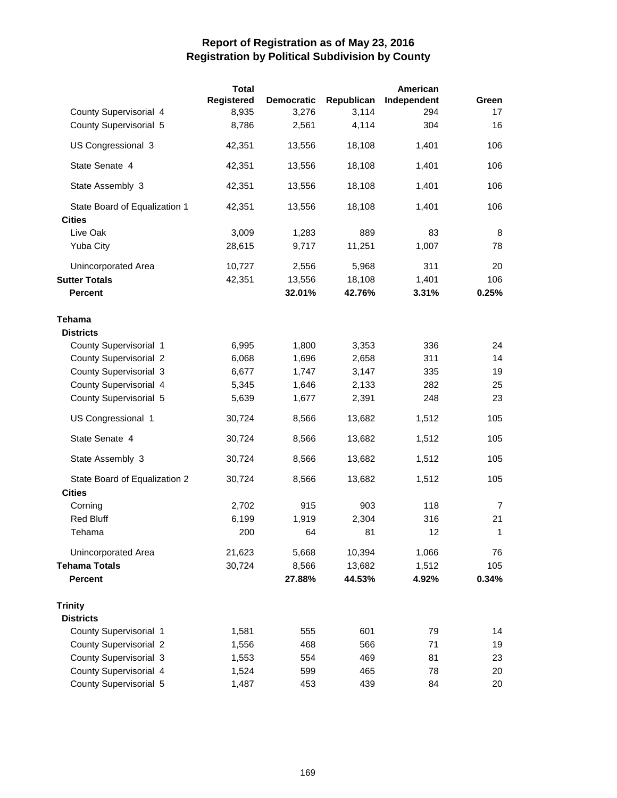|                               | <b>Total</b> |                   |            | American    |       |
|-------------------------------|--------------|-------------------|------------|-------------|-------|
|                               | Registered   | <b>Democratic</b> | Republican | Independent | Green |
| County Supervisorial 4        | 8,935        | 3,276             | 3,114      | 294         | 17    |
| County Supervisorial 5        | 8,786        | 2,561             | 4,114      | 304         | 16    |
| US Congressional 3            | 42,351       | 13,556            | 18,108     | 1,401       | 106   |
| State Senate 4                | 42,351       | 13,556            | 18,108     | 1,401       | 106   |
| State Assembly 3              | 42,351       | 13,556            | 18,108     | 1,401       | 106   |
| State Board of Equalization 1 | 42,351       | 13,556            | 18,108     | 1,401       | 106   |
| <b>Cities</b>                 |              |                   |            |             |       |
| Live Oak                      | 3,009        | 1,283             | 889        | 83          | 8     |
| Yuba City                     | 28,615       | 9,717             | 11,251     | 1,007       | 78    |
| Unincorporated Area           | 10,727       | 2,556             | 5,968      | 311         | 20    |
| <b>Sutter Totals</b>          | 42,351       | 13,556            | 18,108     | 1,401       | 106   |
| <b>Percent</b>                |              | 32.01%            | 42.76%     | 3.31%       | 0.25% |
| Tehama                        |              |                   |            |             |       |
| <b>Districts</b>              |              |                   |            |             |       |
| County Supervisorial 1        | 6,995        | 1,800             | 3,353      | 336         | 24    |
| <b>County Supervisorial 2</b> | 6,068        | 1,696             | 2,658      | 311         | 14    |
| County Supervisorial 3        | 6,677        | 1,747             | 3,147      | 335         | 19    |
| County Supervisorial 4        | 5,345        | 1,646             | 2,133      | 282         | 25    |
| County Supervisorial 5        | 5,639        | 1,677             | 2,391      | 248         | 23    |
| US Congressional 1            | 30,724       | 8,566             | 13,682     | 1,512       | 105   |
| State Senate 4                | 30,724       | 8,566             | 13,682     | 1,512       | 105   |
| State Assembly 3              | 30,724       | 8,566             | 13,682     | 1,512       | 105   |
| State Board of Equalization 2 | 30,724       | 8,566             | 13,682     | 1,512       | 105   |
| <b>Cities</b>                 |              |                   |            |             |       |
| Corning                       | 2,702        | 915               | 903        | 118         | 7     |
| <b>Red Bluff</b>              | 6,199        | 1,919             | 2,304      | 316         | 21    |
| Tehama                        | 200          | 64                | 81         | 12          | 1     |
| Unincorporated Area           | 21,623       | 5,668             | 10,394     | 1,066       | 76    |
| <b>Tehama Totals</b>          | 30,724       | 8,566             | 13,682     | 1,512       | 105   |
| <b>Percent</b>                |              | 27.88%            | 44.53%     | 4.92%       | 0.34% |
| <b>Trinity</b>                |              |                   |            |             |       |
| <b>Districts</b>              |              |                   |            |             |       |
| County Supervisorial 1        | 1,581        | 555               | 601        | 79          | 14    |
| <b>County Supervisorial 2</b> | 1,556        | 468               | 566        | 71          | 19    |
| County Supervisorial 3        | 1,553        | 554               | 469        | 81          | 23    |
| County Supervisorial 4        | 1,524        | 599               | 465        | 78          | 20    |
| County Supervisorial 5        | 1,487        | 453               | 439        | 84          | 20    |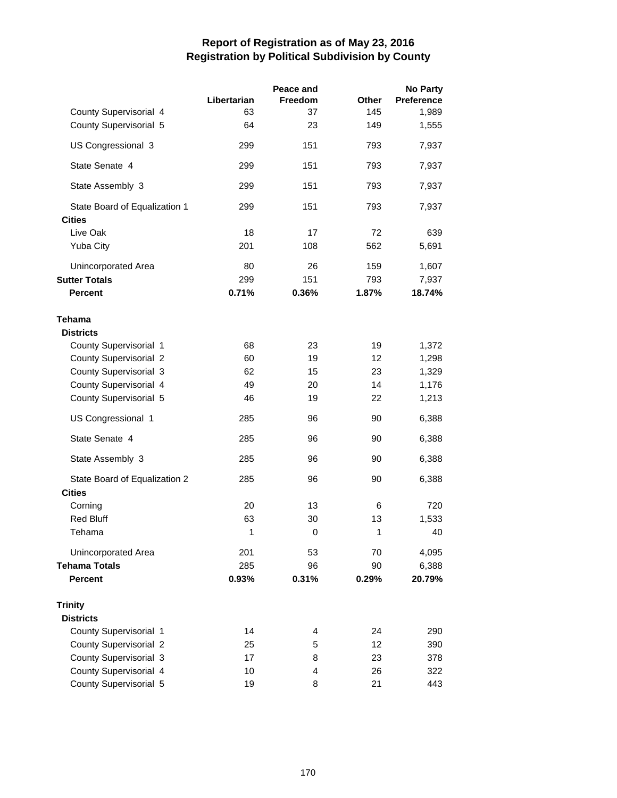|                               |             | Peace and |       | <b>No Party</b>   |
|-------------------------------|-------------|-----------|-------|-------------------|
|                               | Libertarian | Freedom   | Other | <b>Preference</b> |
| County Supervisorial 4        | 63          | 37        | 145   | 1,989             |
| County Supervisorial 5        | 64          | 23        | 149   | 1,555             |
| US Congressional 3            | 299         | 151       | 793   | 7,937             |
| State Senate 4                | 299         | 151       | 793   | 7,937             |
| State Assembly 3              | 299         | 151       | 793   | 7,937             |
| State Board of Equalization 1 | 299         | 151       | 793   | 7,937             |
| <b>Cities</b>                 |             |           |       |                   |
| Live Oak                      | 18          | 17        | 72    | 639               |
| <b>Yuba City</b>              | 201         | 108       | 562   | 5,691             |
| Unincorporated Area           | 80          | 26        | 159   | 1,607             |
| <b>Sutter Totals</b>          | 299         | 151       | 793   | 7,937             |
| <b>Percent</b>                | 0.71%       | 0.36%     | 1.87% | 18.74%            |
| <b>Tehama</b>                 |             |           |       |                   |
| <b>Districts</b>              |             |           |       |                   |
| County Supervisorial 1        | 68          | 23        | 19    | 1,372             |
| <b>County Supervisorial 2</b> | 60          | 19        | 12    | 1,298             |
| County Supervisorial 3        | 62          | 15        | 23    | 1,329             |
| County Supervisorial 4        | 49          | 20        | 14    | 1,176             |
| County Supervisorial 5        | 46          | 19        | 22    | 1,213             |
| US Congressional 1            | 285         | 96        | 90    | 6,388             |
| State Senate 4                | 285         | 96        | 90    | 6,388             |
| State Assembly 3              | 285         | 96        | 90    | 6,388             |
| State Board of Equalization 2 | 285         | 96        | 90    | 6,388             |
| <b>Cities</b>                 |             |           |       |                   |
| Corning                       | 20          | 13        | 6     | 720               |
| <b>Red Bluff</b>              | 63          | 30        | 13    | 1,533             |
| Tehama                        | 1           | 0         | 1     | 40                |
| Unincorporated Area           | 201         | 53        | 70    | 4,095             |
| <b>Tehama Totals</b>          | 285         | 96        | 90    | 6,388             |
| <b>Percent</b>                | 0.93%       | 0.31%     | 0.29% | 20.79%            |
| <b>Trinity</b>                |             |           |       |                   |
| <b>Districts</b>              |             |           |       |                   |
| County Supervisorial 1        | 14          | 4         | 24    | 290               |
| <b>County Supervisorial 2</b> | 25          | 5         | 12    | 390               |
| County Supervisorial 3        | 17          | 8         | 23    | 378               |
| County Supervisorial 4        | 10          | 4         | 26    | 322               |
| County Supervisorial 5        | 19          | 8         | 21    | 443               |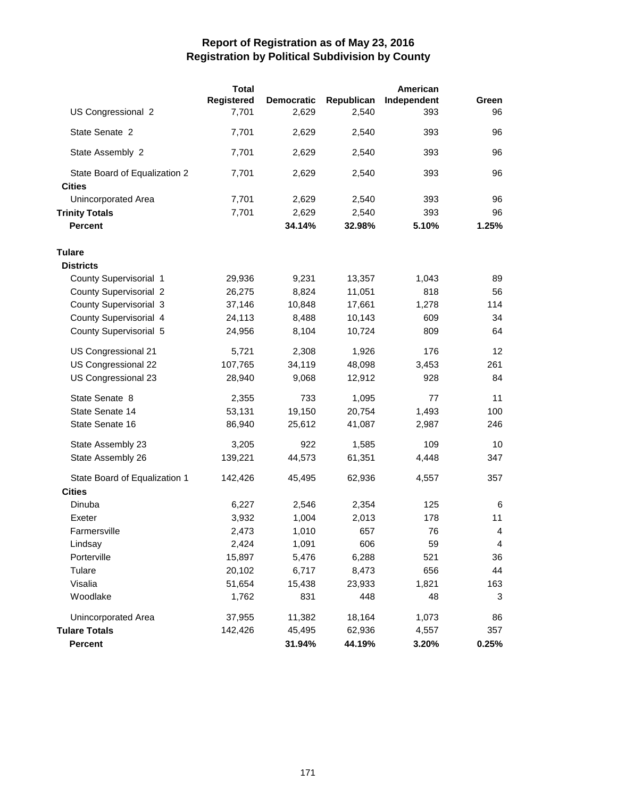|                               | <b>Total</b> |                   |            | American    |       |
|-------------------------------|--------------|-------------------|------------|-------------|-------|
|                               | Registered   | <b>Democratic</b> | Republican | Independent | Green |
| US Congressional 2            | 7,701        | 2,629             | 2,540      | 393         | 96    |
| State Senate 2                | 7,701        | 2,629             | 2,540      | 393         | 96    |
| State Assembly 2              | 7,701        | 2,629             | 2,540      | 393         | 96    |
| State Board of Equalization 2 | 7,701        | 2,629             | 2,540      | 393         | 96    |
| <b>Cities</b>                 |              |                   |            |             |       |
| <b>Unincorporated Area</b>    | 7,701        | 2,629             | 2,540      | 393         | 96    |
| <b>Trinity Totals</b>         | 7,701        | 2,629             | 2,540      | 393         | 96    |
| <b>Percent</b>                |              | 34.14%            | 32.98%     | 5.10%       | 1.25% |
| <b>Tulare</b>                 |              |                   |            |             |       |
| <b>Districts</b>              |              |                   |            |             |       |
| County Supervisorial 1        | 29,936       | 9,231             | 13,357     | 1,043       | 89    |
| County Supervisorial 2        | 26,275       | 8,824             | 11,051     | 818         | 56    |
| County Supervisorial 3        | 37,146       | 10,848            | 17,661     | 1,278       | 114   |
| County Supervisorial 4        | 24,113       | 8,488             | 10,143     | 609         | 34    |
| County Supervisorial 5        | 24,956       | 8,104             | 10,724     | 809         | 64    |
| US Congressional 21           | 5,721        | 2,308             | 1,926      | 176         | 12    |
| US Congressional 22           | 107,765      | 34,119            | 48,098     | 3,453       | 261   |
| US Congressional 23           | 28,940       | 9,068             | 12,912     | 928         | 84    |
| State Senate 8                | 2,355        | 733               | 1,095      | 77          | 11    |
| State Senate 14               | 53,131       | 19,150            | 20,754     | 1,493       | 100   |
| State Senate 16               | 86,940       | 25,612            | 41,087     | 2,987       | 246   |
| State Assembly 23             | 3,205        | 922               | 1,585      | 109         | 10    |
| State Assembly 26             | 139,221      | 44,573            | 61,351     | 4,448       | 347   |
| State Board of Equalization 1 | 142,426      | 45,495            | 62,936     | 4,557       | 357   |
| <b>Cities</b>                 |              |                   |            |             |       |
| Dinuba                        | 6,227        | 2,546             | 2,354      | 125         | 6     |
| Exeter                        | 3,932        | 1,004             | 2,013      | 178         | 11    |
| Farmersville                  | 2,473        | 1,010             | 657        | 76          | 4     |
| Lindsay                       | 2,424        | 1,091             | 606        | 59          | 4     |
| Porterville                   | 15,897       | 5,476             | 6,288      | 521         | 36    |
| Tulare                        | 20,102       | 6,717             | 8,473      | 656         | 44    |
| Visalia                       | 51,654       | 15,438            | 23,933     | 1,821       | 163   |
| Woodlake                      | 1,762        | 831               | 448        | 48          | 3     |
| Unincorporated Area           | 37,955       | 11,382            | 18,164     | 1,073       | 86    |
| <b>Tulare Totals</b>          | 142,426      | 45,495            | 62,936     | 4,557       | 357   |
| Percent                       |              | 31.94%            | 44.19%     | 3.20%       | 0.25% |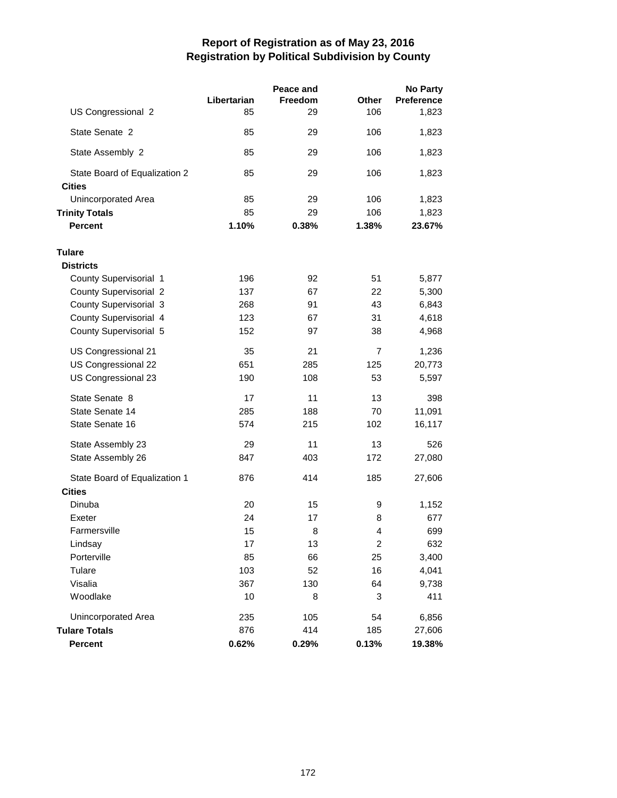|                                                |                   | Peace and     |                         | <b>No Party</b>            |
|------------------------------------------------|-------------------|---------------|-------------------------|----------------------------|
| US Congressional 2                             | Libertarian<br>85 | Freedom<br>29 | Other<br>106            | <b>Preference</b><br>1,823 |
| State Senate 2                                 | 85                | 29            | 106                     | 1,823                      |
| State Assembly 2                               | 85                | 29            | 106                     | 1,823                      |
| State Board of Equalization 2<br><b>Cities</b> | 85                | 29            | 106                     | 1,823                      |
| Unincorporated Area                            | 85                | 29            | 106                     | 1,823                      |
| <b>Trinity Totals</b>                          | 85                | 29            | 106                     | 1,823                      |
| <b>Percent</b>                                 | 1.10%             | 0.38%         | 1.38%                   | 23.67%                     |
| <b>Tulare</b>                                  |                   |               |                         |                            |
| <b>Districts</b>                               |                   |               |                         |                            |
| County Supervisorial 1                         | 196               | 92            | 51                      | 5,877                      |
| <b>County Supervisorial 2</b>                  | 137               | 67            | 22                      | 5,300                      |
| County Supervisorial 3                         | 268               | 91            | 43                      | 6,843                      |
| County Supervisorial 4                         | 123               | 67            | 31                      | 4,618                      |
| County Supervisorial 5                         | 152               | 97            | 38                      | 4,968                      |
| US Congressional 21                            | 35                | 21            | $\overline{7}$          | 1,236                      |
| US Congressional 22                            | 651               | 285           | 125                     | 20,773                     |
| US Congressional 23                            | 190               | 108           | 53                      | 5,597                      |
| State Senate 8                                 | 17                | 11            | 13                      | 398                        |
| State Senate 14                                | 285               | 188           | 70                      | 11,091                     |
| State Senate 16                                | 574               | 215           | 102                     | 16,117                     |
| State Assembly 23                              | 29                | 11            | 13                      | 526                        |
| State Assembly 26                              | 847               | 403           | 172                     | 27,080                     |
| State Board of Equalization 1                  | 876               | 414           | 185                     | 27,606                     |
| <b>Cities</b>                                  |                   |               |                         |                            |
| Dinuba                                         | 20                | 15            | 9                       | 1,152                      |
| Exeter                                         | 24                | 17            | 8                       | 677                        |
| Farmersville                                   | 15                | 8             | 4                       | 699                        |
| Lindsay                                        | 17                | 13            | $\overline{\mathbf{c}}$ | 632                        |
| Porterville                                    | 85                | 66            | 25                      | 3,400                      |
| Tulare                                         | 103               | 52            | 16                      | 4,041                      |
| Visalia                                        | 367               | 130           | 64                      | 9,738                      |
| Woodlake                                       | 10                | 8             | 3                       | 411                        |
| Unincorporated Area                            | 235               | 105           | 54                      | 6,856                      |
| <b>Tulare Totals</b>                           | 876               | 414           | 185                     | 27,606                     |
| Percent                                        | 0.62%             | 0.29%         | 0.13%                   | 19.38%                     |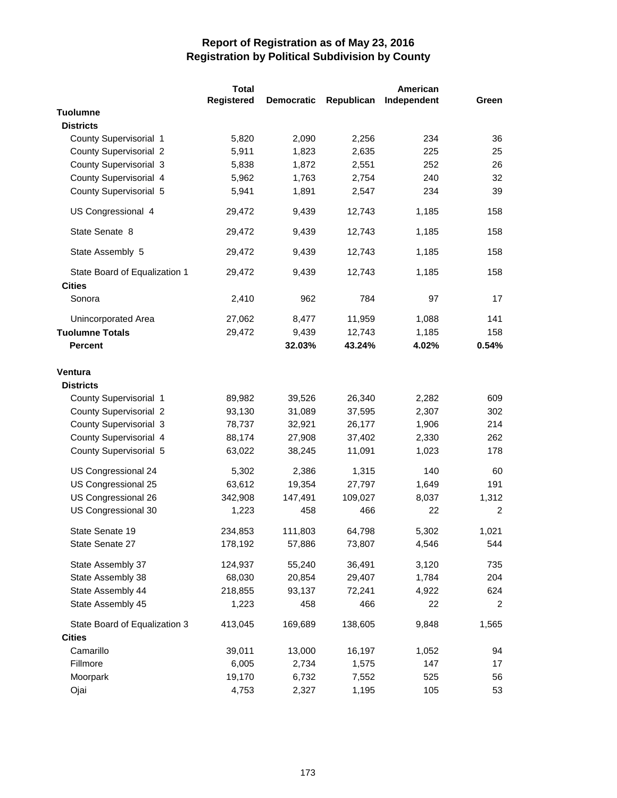|                               | <b>Total</b> |                   |            | American    |                |
|-------------------------------|--------------|-------------------|------------|-------------|----------------|
|                               | Registered   | <b>Democratic</b> | Republican | Independent | Green          |
| <b>Tuolumne</b>               |              |                   |            |             |                |
| <b>Districts</b>              |              |                   |            |             |                |
| County Supervisorial 1        | 5,820        | 2,090             | 2,256      | 234         | 36             |
| <b>County Supervisorial 2</b> | 5,911        | 1,823             | 2,635      | 225         | 25             |
| County Supervisorial 3        | 5,838        | 1,872             | 2,551      | 252         | 26             |
| County Supervisorial 4        | 5,962        | 1,763             | 2,754      | 240         | 32             |
| County Supervisorial 5        | 5,941        | 1,891             | 2,547      | 234         | 39             |
| US Congressional 4            | 29,472       | 9,439             | 12,743     | 1,185       | 158            |
| State Senate 8                | 29,472       | 9,439             | 12,743     | 1,185       | 158            |
| State Assembly 5              | 29,472       | 9,439             | 12,743     | 1,185       | 158            |
| State Board of Equalization 1 | 29,472       | 9,439             | 12,743     | 1,185       | 158            |
| <b>Cities</b>                 |              |                   |            |             |                |
| Sonora                        | 2,410        | 962               | 784        | 97          | 17             |
| Unincorporated Area           | 27,062       | 8,477             | 11,959     | 1,088       | 141            |
| <b>Tuolumne Totals</b>        | 29,472       | 9,439             | 12,743     | 1,185       | 158            |
| <b>Percent</b>                |              | 32.03%            | 43.24%     | 4.02%       | 0.54%          |
| Ventura                       |              |                   |            |             |                |
| <b>Districts</b>              |              |                   |            |             |                |
| County Supervisorial 1        | 89,982       | 39,526            | 26,340     | 2,282       | 609            |
| <b>County Supervisorial 2</b> | 93,130       | 31,089            | 37,595     | 2,307       | 302            |
| County Supervisorial 3        | 78,737       | 32,921            | 26,177     | 1,906       | 214            |
| County Supervisorial 4        | 88,174       | 27,908            | 37,402     | 2,330       | 262            |
| County Supervisorial 5        | 63,022       | 38,245            | 11,091     | 1,023       | 178            |
| US Congressional 24           | 5,302        | 2,386             | 1,315      | 140         | 60             |
| US Congressional 25           | 63,612       | 19,354            | 27,797     | 1,649       | 191            |
| US Congressional 26           | 342,908      | 147,491           | 109,027    | 8,037       | 1,312          |
| US Congressional 30           | 1,223        | 458               | 466        | 22          | $\overline{c}$ |
| State Senate 19               | 234,853      | 111,803           | 64,798     | 5,302       | 1,021          |
| State Senate 27               | 178,192      | 57,886            | 73,807     | 4,546       | 544            |
| State Assembly 37             | 124,937      | 55,240            | 36,491     | 3,120       | 735            |
| State Assembly 38             | 68,030       | 20,854            | 29,407     | 1,784       | 204            |
| State Assembly 44             | 218,855      | 93,137            | 72,241     | 4,922       | 624            |
| State Assembly 45             | 1,223        | 458               | 466        | 22          | 2              |
| State Board of Equalization 3 | 413,045      | 169,689           | 138,605    | 9,848       | 1,565          |
| <b>Cities</b>                 |              |                   |            |             |                |
| Camarillo                     | 39,011       | 13,000            | 16,197     | 1,052       | 94             |
| Fillmore                      | 6,005        | 2,734             | 1,575      | 147         | 17             |
| Moorpark                      | 19,170       | 6,732             | 7,552      | 525         | 56             |
| Ojai                          | 4,753        | 2,327             | 1,195      | 105         | 53             |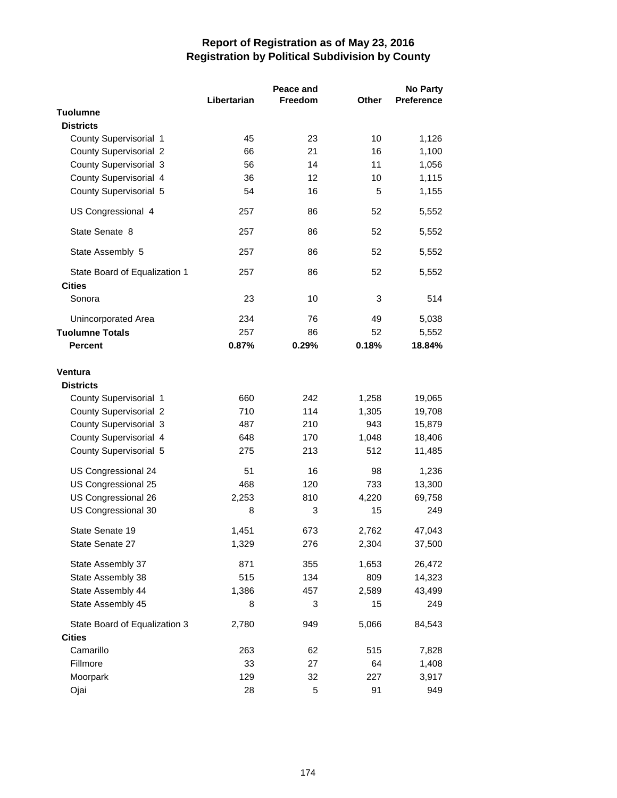|                                                |             | Peace and      |              | <b>No Party</b>   |  |
|------------------------------------------------|-------------|----------------|--------------|-------------------|--|
|                                                | Libertarian | <b>Freedom</b> | <b>Other</b> | <b>Preference</b> |  |
| <b>Tuolumne</b>                                |             |                |              |                   |  |
| <b>Districts</b>                               |             |                |              |                   |  |
| County Supervisorial 1                         | 45          | 23             | 10           | 1,126             |  |
| <b>County Supervisorial 2</b>                  | 66          | 21             | 16           | 1,100             |  |
| County Supervisorial 3                         | 56          | 14             | 11           | 1,056             |  |
| County Supervisorial 4                         | 36          | 12             | 10           | 1,115             |  |
| County Supervisorial 5                         | 54          | 16             | 5            | 1,155             |  |
| US Congressional 4                             | 257         | 86             | 52           | 5,552             |  |
| State Senate 8                                 | 257         | 86             | 52           | 5,552             |  |
| State Assembly 5                               | 257         | 86             | 52           | 5,552             |  |
| State Board of Equalization 1<br><b>Cities</b> | 257         | 86             | 52           | 5,552             |  |
| Sonora                                         | 23          | 10             | 3            | 514               |  |
| Unincorporated Area                            | 234         | 76             | 49           | 5,038             |  |
| <b>Tuolumne Totals</b>                         | 257         | 86             | 52           | 5,552             |  |
| <b>Percent</b>                                 | 0.87%       | 0.29%          | 0.18%        | 18.84%            |  |
|                                                |             |                |              |                   |  |
| Ventura                                        |             |                |              |                   |  |
| <b>Districts</b>                               |             |                |              |                   |  |
| County Supervisorial 1                         | 660         | 242            | 1,258        | 19,065            |  |
| County Supervisorial 2                         | 710         | 114            | 1,305        | 19,708            |  |
| County Supervisorial 3                         | 487         | 210            | 943          | 15,879            |  |
| County Supervisorial 4                         | 648         | 170            | 1,048        | 18,406            |  |
| County Supervisorial 5                         | 275         | 213            | 512          | 11,485            |  |
| US Congressional 24                            | 51          | 16             | 98           | 1,236             |  |
| US Congressional 25                            | 468         | 120            | 733          | 13,300            |  |
| US Congressional 26                            | 2,253       | 810            | 4,220        | 69,758            |  |
| US Congressional 30                            | 8           | 3              | 15           | 249               |  |
| State Senate 19                                | 1,451       | 673            | 2,762        | 47,043            |  |
| State Senate 27                                | 1,329       | 276            | 2,304        | 37,500            |  |
| State Assembly 37                              | 871         | 355            | 1,653        | 26,472            |  |
| State Assembly 38                              | 515         | 134            | 809          | 14,323            |  |
| State Assembly 44                              | 1,386       | 457            | 2,589        | 43,499            |  |
| State Assembly 45                              | 8           | 3              | 15           | 249               |  |
| State Board of Equalization 3                  | 2,780       | 949            | 5,066        | 84,543            |  |
| <b>Cities</b>                                  |             |                |              |                   |  |
| Camarillo                                      | 263         | 62             | 515          | 7,828             |  |
| Fillmore                                       | 33          | 27             | 64           | 1,408             |  |
| Moorpark                                       | 129         | 32             | 227          | 3,917             |  |
| Ojai                                           | 28          | 5              | 91           | 949               |  |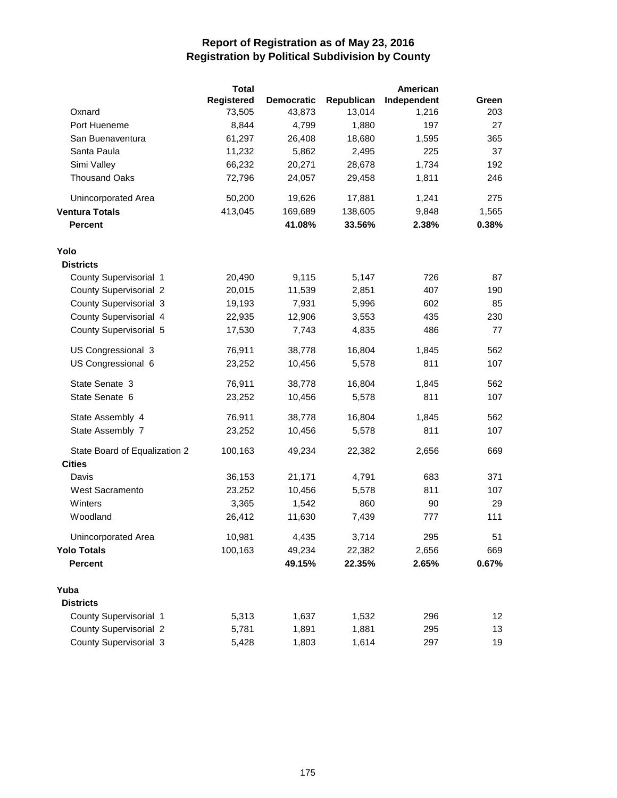|                               | <b>Total</b> |                   |            | American    |       |
|-------------------------------|--------------|-------------------|------------|-------------|-------|
|                               | Registered   | <b>Democratic</b> | Republican | Independent | Green |
| Oxnard                        | 73,505       | 43,873            | 13,014     | 1,216       | 203   |
| Port Hueneme                  | 8,844        | 4,799             | 1,880      | 197         | 27    |
| San Buenaventura              | 61,297       | 26,408            | 18,680     | 1,595       | 365   |
| Santa Paula                   | 11,232       | 5,862             | 2,495      | 225         | 37    |
| Simi Valley                   | 66,232       | 20,271            | 28,678     | 1,734       | 192   |
| <b>Thousand Oaks</b>          | 72,796       | 24,057            | 29,458     | 1,811       | 246   |
| Unincorporated Area           | 50,200       | 19,626            | 17,881     | 1,241       | 275   |
| <b>Ventura Totals</b>         | 413,045      | 169,689           | 138,605    | 9,848       | 1,565 |
| <b>Percent</b>                |              | 41.08%            | 33.56%     | 2.38%       | 0.38% |
| Yolo                          |              |                   |            |             |       |
| <b>Districts</b>              |              |                   |            |             |       |
| County Supervisorial 1        | 20,490       | 9,115             | 5,147      | 726         | 87    |
| <b>County Supervisorial 2</b> | 20,015       | 11,539            | 2,851      | 407         | 190   |
| County Supervisorial 3        | 19,193       | 7,931             | 5,996      | 602         | 85    |
| County Supervisorial 4        | 22,935       | 12,906            | 3,553      | 435         | 230   |
| County Supervisorial 5        | 17,530       | 7,743             | 4,835      | 486         | 77    |
| US Congressional 3            | 76,911       | 38,778            | 16,804     | 1,845       | 562   |
| US Congressional 6            | 23,252       | 10,456            | 5,578      | 811         | 107   |
| State Senate 3                | 76,911       | 38,778            | 16,804     | 1,845       | 562   |
| State Senate 6                | 23,252       | 10,456            | 5,578      | 811         | 107   |
| State Assembly 4              | 76,911       | 38,778            | 16,804     | 1,845       | 562   |
| State Assembly 7              | 23,252       | 10,456            | 5,578      | 811         | 107   |
| State Board of Equalization 2 | 100,163      | 49,234            | 22,382     | 2,656       | 669   |
| <b>Cities</b>                 |              |                   |            |             |       |
| Davis                         | 36,153       | 21,171            | 4,791      | 683         | 371   |
| <b>West Sacramento</b>        | 23,252       | 10,456            | 5,578      | 811         | 107   |
| Winters                       | 3,365        | 1,542             | 860        | 90          | 29    |
| Woodland                      | 26,412       | 11,630            | 7,439      | 777         | 111   |
| Unincorporated Area           | 10,981       | 4,435             | 3,714      | 295         | 51    |
| <b>Yolo Totals</b>            | 100,163      | 49,234            | 22,382     | 2,656       | 669   |
| <b>Percent</b>                |              | 49.15%            | 22.35%     | 2.65%       | 0.67% |
| Yuba                          |              |                   |            |             |       |
| <b>Districts</b>              |              |                   |            |             |       |
| County Supervisorial 1        | 5,313        | 1,637             | 1,532      | 296         | 12    |
| County Supervisorial 2        | 5,781        | 1,891             | 1,881      | 295         | 13    |
| County Supervisorial 3        | 5,428        | 1,803             | 1,614      | 297         | 19    |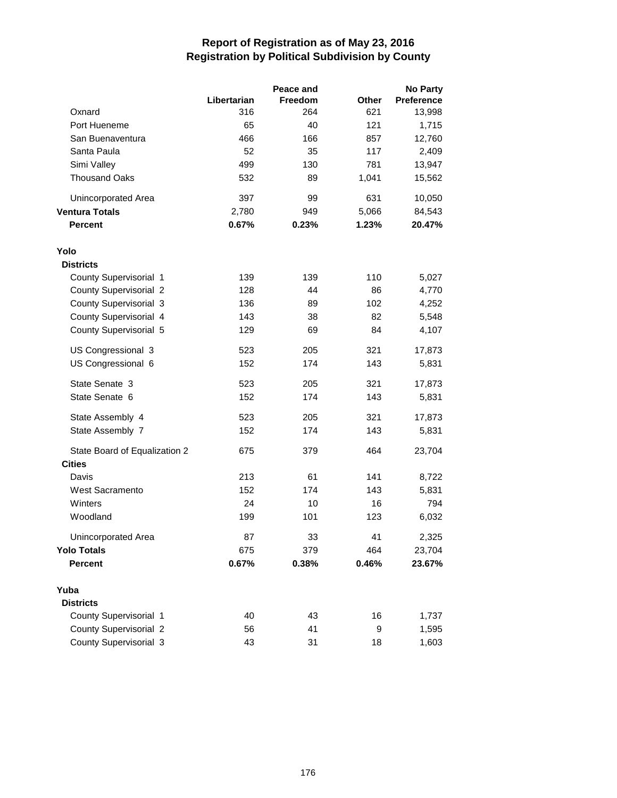|                               |             | Peace and |       | <b>No Party</b> |
|-------------------------------|-------------|-----------|-------|-----------------|
|                               | Libertarian | Freedom   | Other | Preference      |
| Oxnard                        | 316         | 264       | 621   | 13,998          |
| Port Hueneme                  | 65          | 40        | 121   | 1,715           |
| San Buenaventura              | 466         | 166       | 857   | 12,760          |
| Santa Paula                   | 52          | 35        | 117   | 2,409           |
| Simi Valley                   | 499         | 130       | 781   | 13,947          |
| <b>Thousand Oaks</b>          | 532         | 89        | 1,041 | 15,562          |
| Unincorporated Area           | 397         | 99        | 631   | 10,050          |
| <b>Ventura Totals</b>         | 2,780       | 949       | 5,066 | 84,543          |
| <b>Percent</b>                | 0.67%       | 0.23%     | 1.23% | 20.47%          |
| Yolo                          |             |           |       |                 |
| <b>Districts</b>              |             |           |       |                 |
| County Supervisorial 1        | 139         | 139       | 110   | 5,027           |
| <b>County Supervisorial 2</b> | 128         | 44        | 86    | 4,770           |
| County Supervisorial 3        | 136         | 89        | 102   | 4,252           |
| County Supervisorial 4        | 143         | 38        | 82    | 5,548           |
| County Supervisorial 5        | 129         | 69        | 84    | 4,107           |
| US Congressional 3            | 523         | 205       | 321   | 17,873          |
| US Congressional 6            | 152         | 174       | 143   | 5,831           |
| State Senate 3                | 523         | 205       | 321   | 17,873          |
| State Senate 6                | 152         | 174       | 143   | 5,831           |
| State Assembly 4              | 523         | 205       | 321   | 17,873          |
| State Assembly 7              | 152         | 174       | 143   | 5,831           |
| State Board of Equalization 2 | 675         | 379       | 464   | 23,704          |
| <b>Cities</b>                 |             |           |       |                 |
| Davis                         | 213         | 61        | 141   | 8,722           |
| <b>West Sacramento</b>        | 152         | 174       | 143   | 5,831           |
| Winters                       | 24          | 10        | 16    | 794             |
| Woodland                      | 199         | 101       | 123   | 6,032           |
| Unincorporated Area           | 87          | 33        | 41    | 2,325           |
| <b>Yolo Totals</b>            | 675         | 379       | 464   | 23,704          |
| <b>Percent</b>                | 0.67%       | 0.38%     | 0.46% | 23.67%          |
| Yuba                          |             |           |       |                 |
| <b>Districts</b>              |             |           |       |                 |
| County Supervisorial 1        | 40          | 43        | 16    | 1,737           |
| County Supervisorial 2        | 56          | 41        | 9     | 1,595           |
| County Supervisorial 3        | 43          | 31        | 18    | 1,603           |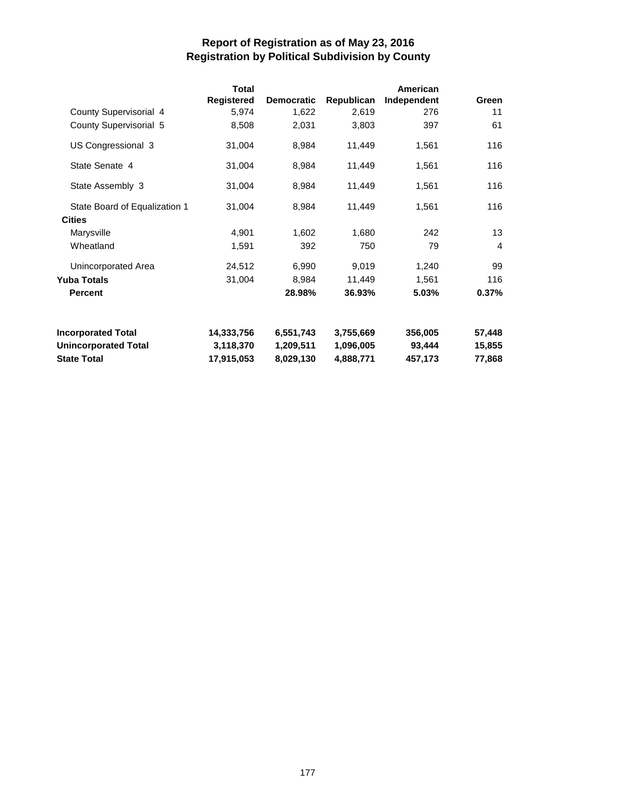|                               | <b>Total</b> |                   |            | American    |                |
|-------------------------------|--------------|-------------------|------------|-------------|----------------|
|                               | Registered   | <b>Democratic</b> | Republican | Independent | Green          |
| County Supervisorial 4        | 5,974        | 1,622             | 2,619      | 276         | 11             |
| County Supervisorial 5        | 8,508        | 2,031             | 3,803      | 397         | 61             |
| US Congressional 3            | 31,004       | 8,984             | 11,449     | 1,561       | 116            |
| State Senate 4                | 31,004       | 8,984             | 11,449     | 1,561       | 116            |
| State Assembly 3              | 31,004       | 8,984             | 11,449     | 1,561       | 116            |
| State Board of Equalization 1 | 31,004       | 8,984             | 11,449     | 1,561       | 116            |
| <b>Cities</b>                 |              |                   |            |             |                |
| Marysville                    | 4,901        | 1,602             | 1,680      | 242         | 13             |
| Wheatland                     | 1,591        | 392               | 750        | 79          | $\overline{4}$ |
| Unincorporated Area           | 24,512       | 6,990             | 9,019      | 1,240       | 99             |
| <b>Yuba Totals</b>            | 31,004       | 8,984             | 11,449     | 1,561       | 116            |
| <b>Percent</b>                |              | 28.98%            | 36.93%     | 5.03%       | 0.37%          |
| <b>Incorporated Total</b>     | 14,333,756   | 6,551,743         | 3,755,669  | 356,005     | 57,448         |
| <b>Unincorporated Total</b>   | 3,118,370    | 1,209,511         | 1,096,005  | 93,444      | 15,855         |
| <b>State Total</b>            | 17,915,053   | 8,029,130         | 4,888,771  | 457,173     | 77,868         |